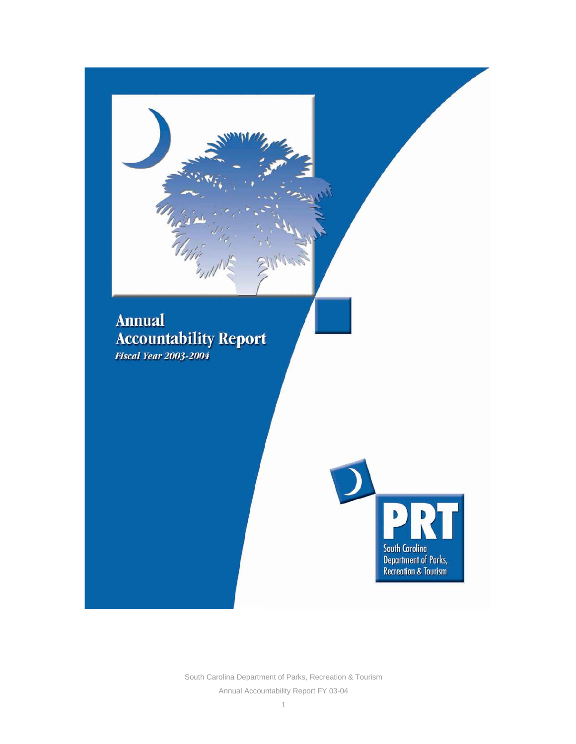

South Carolina Department of Parks, Recreation & Tourism Annual Accountability Report FY 03-04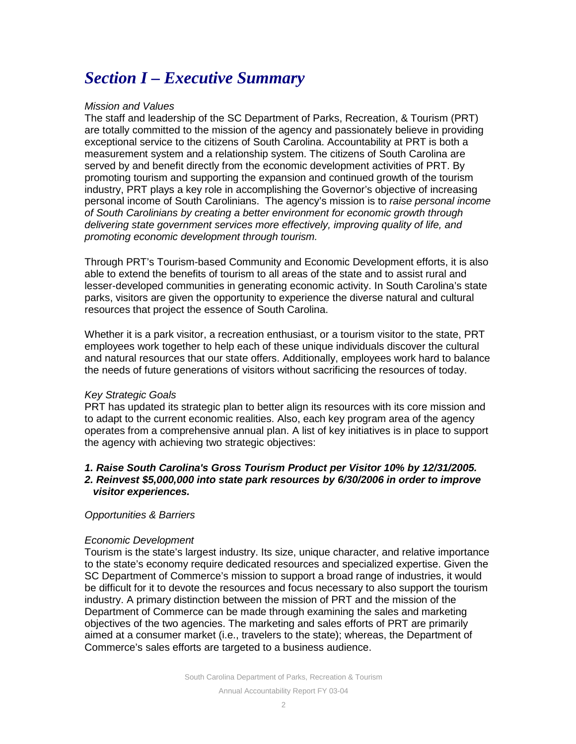# *Section I – Executive Summary*

## *Mission and Values*

The staff and leadership of the SC Department of Parks, Recreation, & Tourism (PRT) are totally committed to the mission of the agency and passionately believe in providing exceptional service to the citizens of South Carolina. Accountability at PRT is both a measurement system and a relationship system. The citizens of South Carolina are served by and benefit directly from the economic development activities of PRT. By promoting tourism and supporting the expansion and continued growth of the tourism industry, PRT plays a key role in accomplishing the Governor's objective of increasing personal income of South Carolinians. The agency's mission is to *raise personal income of South Carolinians by creating a better environment for economic growth through delivering state government services more effectively, improving quality of life, and promoting economic development through tourism.*

Through PRT's Tourism-based Community and Economic Development efforts, it is also able to extend the benefits of tourism to all areas of the state and to assist rural and lesser-developed communities in generating economic activity. In South Carolina's state parks, visitors are given the opportunity to experience the diverse natural and cultural resources that project the essence of South Carolina.

Whether it is a park visitor, a recreation enthusiast, or a tourism visitor to the state, PRT employees work together to help each of these unique individuals discover the cultural and natural resources that our state offers. Additionally, employees work hard to balance the needs of future generations of visitors without sacrificing the resources of today.

## *Key Strategic Goals*

PRT has updated its strategic plan to better align its resources with its core mission and to adapt to the current economic realities. Also, each key program area of the agency operates from a comprehensive annual plan. A list of key initiatives is in place to support the agency with achieving two strategic objectives:

## *1. Raise South Carolina's Gross Tourism Product per Visitor 10% by 12/31/2005.*

## *2. Reinvest \$5,000,000 into state park resources by 6/30/2006 in order to improve visitor experiences.*

## *Opportunities & Barriers*

## *Economic Development*

Tourism is the state's largest industry. Its size, unique character, and relative importance to the state's economy require dedicated resources and specialized expertise. Given the SC Department of Commerce's mission to support a broad range of industries, it would be difficult for it to devote the resources and focus necessary to also support the tourism industry. A primary distinction between the mission of PRT and the mission of the Department of Commerce can be made through examining the sales and marketing objectives of the two agencies. The marketing and sales efforts of PRT are primarily aimed at a consumer market (i.e., travelers to the state); whereas, the Department of Commerce's sales efforts are targeted to a business audience.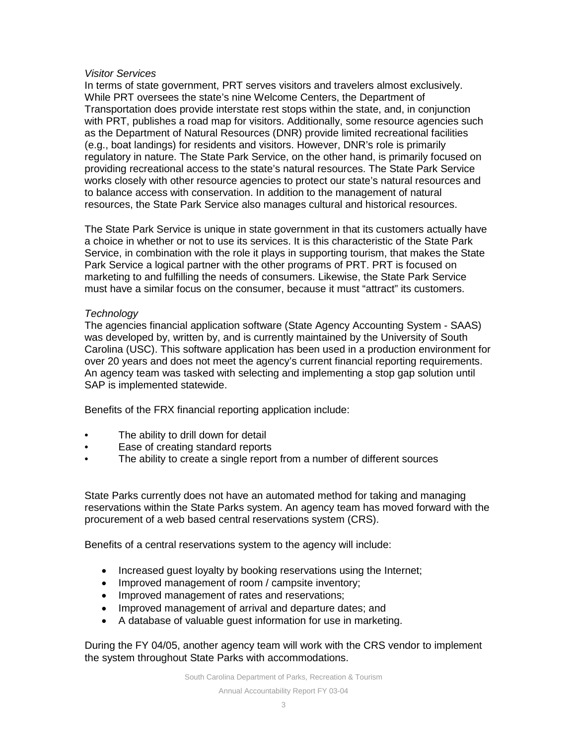## *Visitor Services*

In terms of state government, PRT serves visitors and travelers almost exclusively. While PRT oversees the state's nine Welcome Centers, the Department of Transportation does provide interstate rest stops within the state, and, in conjunction with PRT, publishes a road map for visitors. Additionally, some resource agencies such as the Department of Natural Resources (DNR) provide limited recreational facilities (e.g., boat landings) for residents and visitors. However, DNR's role is primarily regulatory in nature. The State Park Service, on the other hand, is primarily focused on providing recreational access to the state's natural resources. The State Park Service works closely with other resource agencies to protect our state's natural resources and to balance access with conservation. In addition to the management of natural resources, the State Park Service also manages cultural and historical resources.

The State Park Service is unique in state government in that its customers actually have a choice in whether or not to use its services. It is this characteristic of the State Park Service, in combination with the role it plays in supporting tourism, that makes the State Park Service a logical partner with the other programs of PRT. PRT is focused on marketing to and fulfilling the needs of consumers. Likewise, the State Park Service must have a similar focus on the consumer, because it must "attract" its customers.

## *Technology*

The agencies financial application software (State Agency Accounting System - SAAS) was developed by, written by, and is currently maintained by the University of South Carolina (USC). This software application has been used in a production environment for over 20 years and does not meet the agency's current financial reporting requirements. An agency team was tasked with selecting and implementing a stop gap solution until SAP is implemented statewide.

Benefits of the FRX financial reporting application include:

- The ability to drill down for detail
- Ease of creating standard reports
- The ability to create a single report from a number of different sources

State Parks currently does not have an automated method for taking and managing reservations within the State Parks system. An agency team has moved forward with the procurement of a web based central reservations system (CRS).

Benefits of a central reservations system to the agency will include:

- Increased guest loyalty by booking reservations using the Internet;
- Improved management of room / campsite inventory;
- Improved management of rates and reservations:
- Improved management of arrival and departure dates; and
- A database of valuable guest information for use in marketing.

During the FY 04/05, another agency team will work with the CRS vendor to implement the system throughout State Parks with accommodations.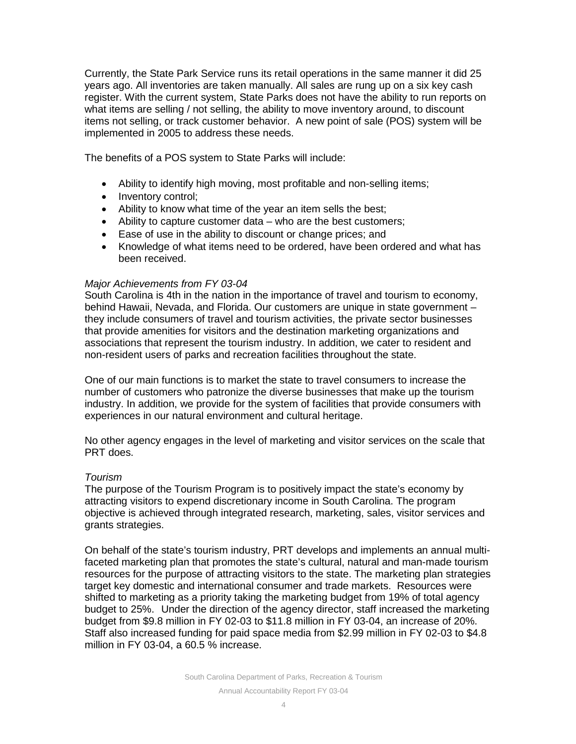Currently, the State Park Service runs its retail operations in the same manner it did 25 years ago. All inventories are taken manually. All sales are rung up on a six key cash register. With the current system, State Parks does not have the ability to run reports on what items are selling / not selling, the ability to move inventory around, to discount items not selling, or track customer behavior. A new point of sale (POS) system will be implemented in 2005 to address these needs.

The benefits of a POS system to State Parks will include:

- Ability to identify high moving, most profitable and non-selling items;
- Inventory control;
- Ability to know what time of the year an item sells the best;
- Ability to capture customer data who are the best customers;
- Ease of use in the ability to discount or change prices; and
- Knowledge of what items need to be ordered, have been ordered and what has been received.

## *Major Achievements from FY 03-04*

South Carolina is 4th in the nation in the importance of travel and tourism to economy, behind Hawaii, Nevada, and Florida. Our customers are unique in state government – they include consumers of travel and tourism activities, the private sector businesses that provide amenities for visitors and the destination marketing organizations and associations that represent the tourism industry. In addition, we cater to resident and non-resident users of parks and recreation facilities throughout the state.

One of our main functions is to market the state to travel consumers to increase the number of customers who patronize the diverse businesses that make up the tourism industry. In addition, we provide for the system of facilities that provide consumers with experiences in our natural environment and cultural heritage.

No other agency engages in the level of marketing and visitor services on the scale that PRT does.

## *Tourism*

The purpose of the Tourism Program is to positively impact the state's economy by attracting visitors to expend discretionary income in South Carolina. The program objective is achieved through integrated research, marketing, sales, visitor services and grants strategies.

On behalf of the state's tourism industry, PRT develops and implements an annual multifaceted marketing plan that promotes the state's cultural, natural and man-made tourism resources for the purpose of attracting visitors to the state. The marketing plan strategies target key domestic and international consumer and trade markets. Resources were shifted to marketing as a priority taking the marketing budget from 19% of total agency budget to 25%. Under the direction of the agency director, staff increased the marketing budget from \$9.8 million in FY 02-03 to \$11.8 million in FY 03-04, an increase of 20%. Staff also increased funding for paid space media from \$2.99 million in FY 02-03 to \$4.8 million in FY 03-04, a 60.5 % increase.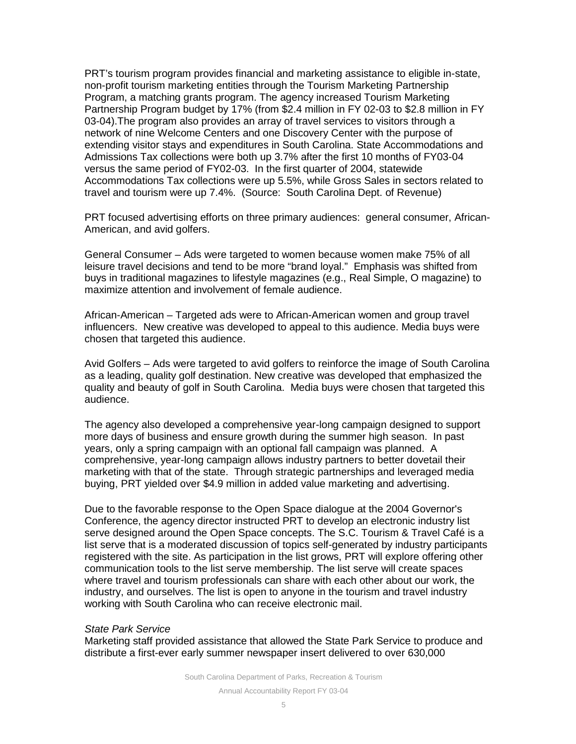PRT's tourism program provides financial and marketing assistance to eligible in-state, non-profit tourism marketing entities through the Tourism Marketing Partnership Program, a matching grants program. The agency increased Tourism Marketing Partnership Program budget by 17% (from \$2.4 million in FY 02-03 to \$2.8 million in FY 03-04).The program also provides an array of travel services to visitors through a network of nine Welcome Centers and one Discovery Center with the purpose of extending visitor stays and expenditures in South Carolina. State Accommodations and Admissions Tax collections were both up 3.7% after the first 10 months of FY03-04 versus the same period of FY02-03. In the first quarter of 2004, statewide Accommodations Tax collections were up 5.5%, while Gross Sales in sectors related to travel and tourism were up 7.4%. (Source: South Carolina Dept. of Revenue)

PRT focused advertising efforts on three primary audiences: general consumer, African-American, and avid golfers.

General Consumer – Ads were targeted to women because women make 75% of all leisure travel decisions and tend to be more "brand loyal." Emphasis was shifted from buys in traditional magazines to lifestyle magazines (e.g., Real Simple, O magazine) to maximize attention and involvement of female audience.

African-American – Targeted ads were to African-American women and group travel influencers. New creative was developed to appeal to this audience. Media buys were chosen that targeted this audience.

Avid Golfers – Ads were targeted to avid golfers to reinforce the image of South Carolina as a leading, quality golf destination. New creative was developed that emphasized the quality and beauty of golf in South Carolina. Media buys were chosen that targeted this audience.

The agency also developed a comprehensive year-long campaign designed to support more days of business and ensure growth during the summer high season. In past years, only a spring campaign with an optional fall campaign was planned. A comprehensive, year-long campaign allows industry partners to better dovetail their marketing with that of the state. Through strategic partnerships and leveraged media buying, PRT yielded over \$4.9 million in added value marketing and advertising.

Due to the favorable response to the Open Space dialogue at the 2004 Governor's Conference, the agency director instructed PRT to develop an electronic industry list serve designed around the Open Space concepts. The S.C. Tourism & Travel Café is a list serve that is a moderated discussion of topics self-generated by industry participants registered with the site. As participation in the list grows, PRT will explore offering other communication tools to the list serve membership. The list serve will create spaces where travel and tourism professionals can share with each other about our work, the industry, and ourselves. The list is open to anyone in the tourism and travel industry working with South Carolina who can receive electronic mail.

#### *State Park Service*

Marketing staff provided assistance that allowed the State Park Service to produce and distribute a first-ever early summer newspaper insert delivered to over 630,000

South Carolina Department of Parks, Recreation & Tourism

Annual Accountability Report FY 03-04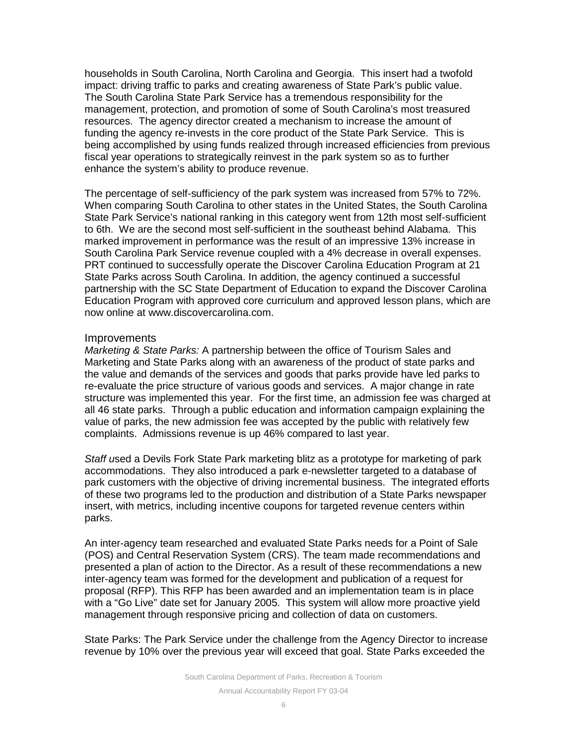households in South Carolina, North Carolina and Georgia. This insert had a twofold impact: driving traffic to parks and creating awareness of State Park's public value. The South Carolina State Park Service has a tremendous responsibility for the management, protection, and promotion of some of South Carolina's most treasured resources. The agency director created a mechanism to increase the amount of funding the agency re-invests in the core product of the State Park Service. This is being accomplished by using funds realized through increased efficiencies from previous fiscal year operations to strategically reinvest in the park system so as to further enhance the system's ability to produce revenue.

The percentage of self-sufficiency of the park system was increased from 57% to 72%. When comparing South Carolina to other states in the United States, the South Carolina State Park Service's national ranking in this category went from 12th most self-sufficient to 6th. We are the second most self-sufficient in the southeast behind Alabama. This marked improvement in performance was the result of an impressive 13% increase in South Carolina Park Service revenue coupled with a 4% decrease in overall expenses. PRT continued to successfully operate the Discover Carolina Education Program at 21 State Parks across South Carolina. In addition, the agency continued a successful partnership with the SC State Department of Education to expand the Discover Carolina Education Program with approved core curriculum and approved lesson plans, which are now online at www.discovercarolina.com.

#### Improvements

*Marketing & State Parks:* A partnership between the office of Tourism Sales and Marketing and State Parks along with an awareness of the product of state parks and the value and demands of the services and goods that parks provide have led parks to re-evaluate the price structure of various goods and services. A major change in rate structure was implemented this year. For the first time, an admission fee was charged at all 46 state parks. Through a public education and information campaign explaining the value of parks, the new admission fee was accepted by the public with relatively few complaints. Admissions revenue is up 46% compared to last year.

*Staff u*sed a Devils Fork State Park marketing blitz as a prototype for marketing of park accommodations. They also introduced a park e-newsletter targeted to a database of park customers with the objective of driving incremental business. The integrated efforts of these two programs led to the production and distribution of a State Parks newspaper insert, with metrics, including incentive coupons for targeted revenue centers within parks.

An inter-agency team researched and evaluated State Parks needs for a Point of Sale (POS) and Central Reservation System (CRS). The team made recommendations and presented a plan of action to the Director. As a result of these recommendations a new inter-agency team was formed for the development and publication of a request for proposal (RFP). This RFP has been awarded and an implementation team is in place with a "Go Live" date set for January 2005. This system will allow more proactive yield management through responsive pricing and collection of data on customers.

State Parks: The Park Service under the challenge from the Agency Director to increase revenue by 10% over the previous year will exceed that goal. State Parks exceeded the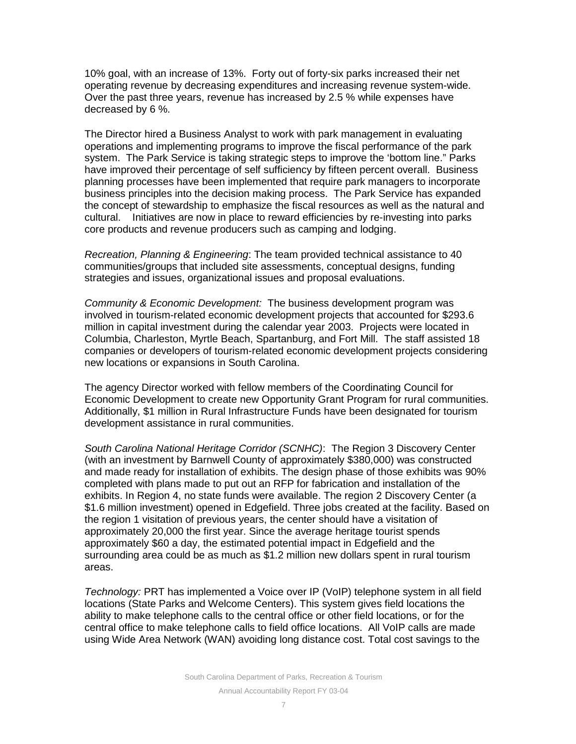10% goal, with an increase of 13%. Forty out of forty-six parks increased their net operating revenue by decreasing expenditures and increasing revenue system-wide. Over the past three years, revenue has increased by 2.5 % while expenses have decreased by 6 %.

The Director hired a Business Analyst to work with park management in evaluating operations and implementing programs to improve the fiscal performance of the park system. The Park Service is taking strategic steps to improve the 'bottom line." Parks have improved their percentage of self sufficiency by fifteen percent overall. Business planning processes have been implemented that require park managers to incorporate business principles into the decision making process. The Park Service has expanded the concept of stewardship to emphasize the fiscal resources as well as the natural and cultural. Initiatives are now in place to reward efficiencies by re-investing into parks core products and revenue producers such as camping and lodging.

*Recreation, Planning & Engineering*: The team provided technical assistance to 40 communities/groups that included site assessments, conceptual designs, funding strategies and issues, organizational issues and proposal evaluations.

*Community & Economic Development:* The business development program was involved in tourism-related economic development projects that accounted for \$293.6 million in capital investment during the calendar year 2003. Projects were located in Columbia, Charleston, Myrtle Beach, Spartanburg, and Fort Mill. The staff assisted 18 companies or developers of tourism-related economic development projects considering new locations or expansions in South Carolina.

The agency Director worked with fellow members of the Coordinating Council for Economic Development to create new Opportunity Grant Program for rural communities. Additionally, \$1 million in Rural Infrastructure Funds have been designated for tourism development assistance in rural communities.

*South Carolina National Heritage Corridor (SCNHC)*: The Region 3 Discovery Center (with an investment by Barnwell County of approximately \$380,000) was constructed and made ready for installation of exhibits. The design phase of those exhibits was 90% completed with plans made to put out an RFP for fabrication and installation of the exhibits. In Region 4, no state funds were available. The region 2 Discovery Center (a \$1.6 million investment) opened in Edgefield. Three jobs created at the facility. Based on the region 1 visitation of previous years, the center should have a visitation of approximately 20,000 the first year. Since the average heritage tourist spends approximately \$60 a day, the estimated potential impact in Edgefield and the surrounding area could be as much as \$1.2 million new dollars spent in rural tourism areas.

*Technology:* PRT has implemented a Voice over IP (VoIP) telephone system in all field locations (State Parks and Welcome Centers). This system gives field locations the ability to make telephone calls to the central office or other field locations, or for the central office to make telephone calls to field office locations. All VoIP calls are made using Wide Area Network (WAN) avoiding long distance cost. Total cost savings to the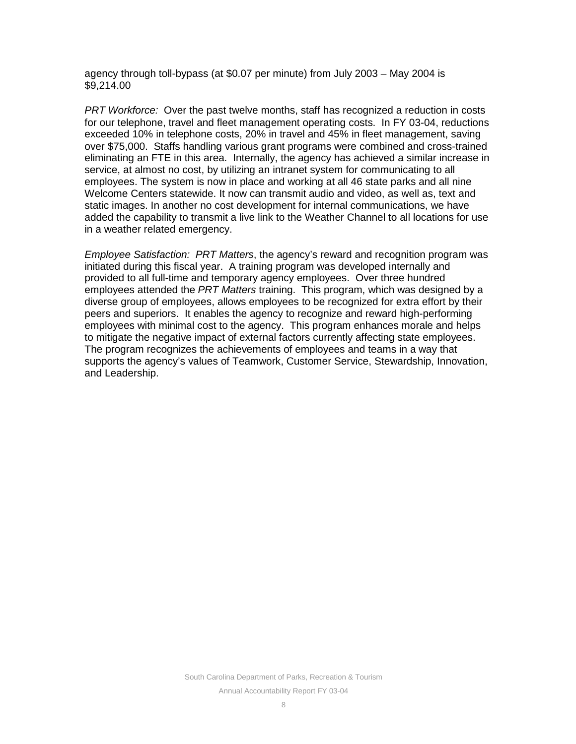agency through toll-bypass (at \$0.07 per minute) from July 2003 – May 2004 is \$9,214.00

*PRT Workforce:* Over the past twelve months, staff has recognized a reduction in costs for our telephone, travel and fleet management operating costs. In FY 03-04, reductions exceeded 10% in telephone costs, 20% in travel and 45% in fleet management, saving over \$75,000. Staffs handling various grant programs were combined and cross-trained eliminating an FTE in this area. Internally, the agency has achieved a similar increase in service, at almost no cost, by utilizing an intranet system for communicating to all employees. The system is now in place and working at all 46 state parks and all nine Welcome Centers statewide. It now can transmit audio and video, as well as, text and static images. In another no cost development for internal communications, we have added the capability to transmit a live link to the Weather Channel to all locations for use in a weather related emergency.

*Employee Satisfaction: PRT Matters*, the agency's reward and recognition program was initiated during this fiscal year. A training program was developed internally and provided to all full-time and temporary agency employees. Over three hundred employees attended the *PRT Matters* training. This program, which was designed by a diverse group of employees, allows employees to be recognized for extra effort by their peers and superiors. It enables the agency to recognize and reward high-performing employees with minimal cost to the agency. This program enhances morale and helps to mitigate the negative impact of external factors currently affecting state employees. The program recognizes the achievements of employees and teams in a way that supports the agency's values of Teamwork, Customer Service, Stewardship, Innovation, and Leadership.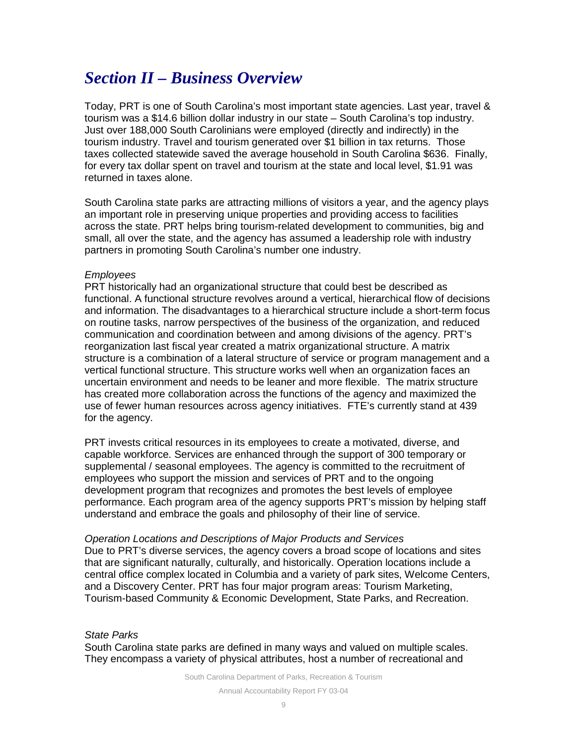# *Section II – Business Overview*

Today, PRT is one of South Carolina's most important state agencies. Last year, travel & tourism was a \$14.6 billion dollar industry in our state – South Carolina's top industry. Just over 188,000 South Carolinians were employed (directly and indirectly) in the tourism industry. Travel and tourism generated over \$1 billion in tax returns. Those taxes collected statewide saved the average household in South Carolina \$636. Finally, for every tax dollar spent on travel and tourism at the state and local level, \$1.91 was returned in taxes alone.

South Carolina state parks are attracting millions of visitors a year, and the agency plays an important role in preserving unique properties and providing access to facilities across the state. PRT helps bring tourism-related development to communities, big and small, all over the state, and the agency has assumed a leadership role with industry partners in promoting South Carolina's number one industry.

#### *Employees*

PRT historically had an organizational structure that could best be described as functional. A functional structure revolves around a vertical, hierarchical flow of decisions and information. The disadvantages to a hierarchical structure include a short-term focus on routine tasks, narrow perspectives of the business of the organization, and reduced communication and coordination between and among divisions of the agency. PRT's reorganization last fiscal year created a matrix organizational structure. A matrix structure is a combination of a lateral structure of service or program management and a vertical functional structure. This structure works well when an organization faces an uncertain environment and needs to be leaner and more flexible. The matrix structure has created more collaboration across the functions of the agency and maximized the use of fewer human resources across agency initiatives. FTE's currently stand at 439 for the agency.

PRT invests critical resources in its employees to create a motivated, diverse, and capable workforce. Services are enhanced through the support of 300 temporary or supplemental / seasonal employees. The agency is committed to the recruitment of employees who support the mission and services of PRT and to the ongoing development program that recognizes and promotes the best levels of employee performance. Each program area of the agency supports PRT's mission by helping staff understand and embrace the goals and philosophy of their line of service.

#### *Operation Locations and Descriptions of Major Products and Services*

Due to PRT's diverse services, the agency covers a broad scope of locations and sites that are significant naturally, culturally, and historically. Operation locations include a central office complex located in Columbia and a variety of park sites, Welcome Centers, and a Discovery Center. PRT has four major program areas: Tourism Marketing, Tourism-based Community & Economic Development, State Parks, and Recreation.

## *State Parks*

South Carolina state parks are defined in many ways and valued on multiple scales. They encompass a variety of physical attributes, host a number of recreational and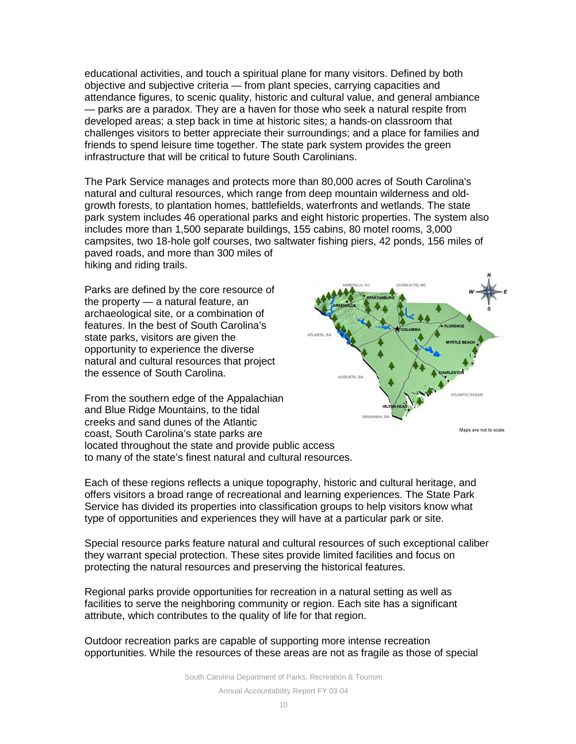educational activities, and touch a spiritual plane for many visitors. Defined by both objective and subjective criteria — from plant species, carrying capacities and attendance figures, to scenic quality, historic and cultural value, and general ambiance — parks are a paradox. They are a haven for those who seek a natural respite from developed areas; a step back in time at historic sites; a hands-on classroom that challenges visitors to better appreciate their surroundings; and a place for families and friends to spend leisure time together. The state park system provides the green infrastructure that will be critical to future South Carolinians.

The Park Service manages and protects more than 80,000 acres of South Carolina's natural and cultural resources, which range from deep mountain wilderness and oldgrowth forests, to plantation homes, battlefields, waterfronts and wetlands. The state park system includes 46 operational parks and eight historic properties. The system also includes more than 1,500 separate buildings, 155 cabins, 80 motel rooms, 3,000 campsites, two 18-hole golf courses, two saltwater fishing piers, 42 ponds, 156 miles of paved roads, and more than 300 miles of hiking and riding trails.

Parks are defined by the core resource of the property — a natural feature, an archaeological site, or a combination of features. In the best of South Carolina's state parks, visitors are given the opportunity to experience the diverse natural and cultural resources that project the essence of South Carolina.





Each of these regions reflects a unique topography, historic and cultural heritage, and offers visitors a broad range of recreational and learning experiences. The State Park Service has divided its properties into classification groups to help visitors know what type of opportunities and experiences they will have at a particular park or site.

Special resource parks feature natural and cultural resources of such exceptional caliber they warrant special protection. These sites provide limited facilities and focus on protecting the natural resources and preserving the historical features.

Regional parks provide opportunities for recreation in a natural setting as well as facilities to serve the neighboring community or region. Each site has a significant attribute, which contributes to the quality of life for that region.

Outdoor recreation parks are capable of supporting more intense recreation opportunities. While the resources of these areas are not as fragile as those of special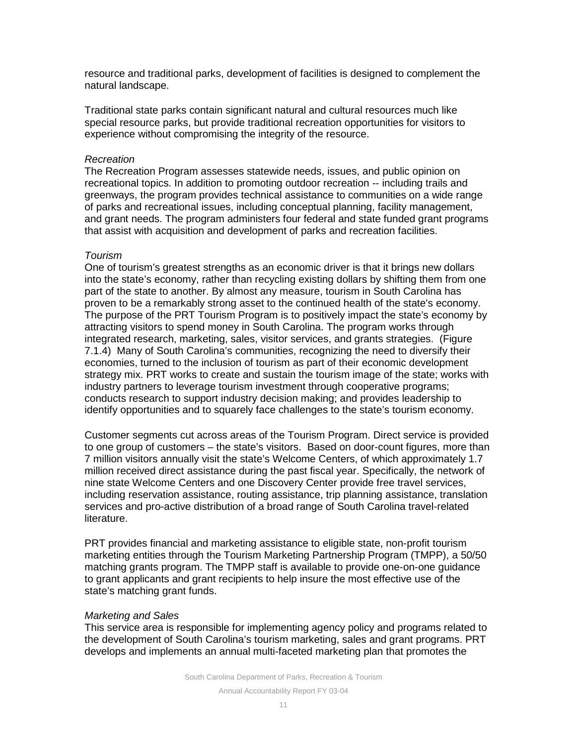resource and traditional parks, development of facilities is designed to complement the natural landscape.

Traditional state parks contain significant natural and cultural resources much like special resource parks, but provide traditional recreation opportunities for visitors to experience without compromising the integrity of the resource.

#### *Recreation*

The Recreation Program assesses statewide needs, issues, and public opinion on recreational topics. In addition to promoting outdoor recreation -- including trails and greenways, the program provides technical assistance to communities on a wide range of parks and recreational issues, including conceptual planning, facility management, and grant needs. The program administers four federal and state funded grant programs that assist with acquisition and development of parks and recreation facilities.

## *Tourism*

One of tourism's greatest strengths as an economic driver is that it brings new dollars into the state's economy, rather than recycling existing dollars by shifting them from one part of the state to another. By almost any measure, tourism in South Carolina has proven to be a remarkably strong asset to the continued health of the state's economy. The purpose of the PRT Tourism Program is to positively impact the state's economy by attracting visitors to spend money in South Carolina. The program works through integrated research, marketing, sales, visitor services, and grants strategies. (Figure 7.1.4) Many of South Carolina's communities, recognizing the need to diversify their economies, turned to the inclusion of tourism as part of their economic development strategy mix. PRT works to create and sustain the tourism image of the state; works with industry partners to leverage tourism investment through cooperative programs; conducts research to support industry decision making; and provides leadership to identify opportunities and to squarely face challenges to the state's tourism economy.

Customer segments cut across areas of the Tourism Program. Direct service is provided to one group of customers – the state's visitors. Based on door-count figures, more than 7 million visitors annually visit the state's Welcome Centers, of which approximately 1.7 million received direct assistance during the past fiscal year. Specifically, the network of nine state Welcome Centers and one Discovery Center provide free travel services, including reservation assistance, routing assistance, trip planning assistance, translation services and pro-active distribution of a broad range of South Carolina travel-related literature.

PRT provides financial and marketing assistance to eligible state, non-profit tourism marketing entities through the Tourism Marketing Partnership Program (TMPP), a 50/50 matching grants program. The TMPP staff is available to provide one-on-one guidance to grant applicants and grant recipients to help insure the most effective use of the state's matching grant funds.

## *Marketing and Sales*

This service area is responsible for implementing agency policy and programs related to the development of South Carolina's tourism marketing, sales and grant programs. PRT develops and implements an annual multi-faceted marketing plan that promotes the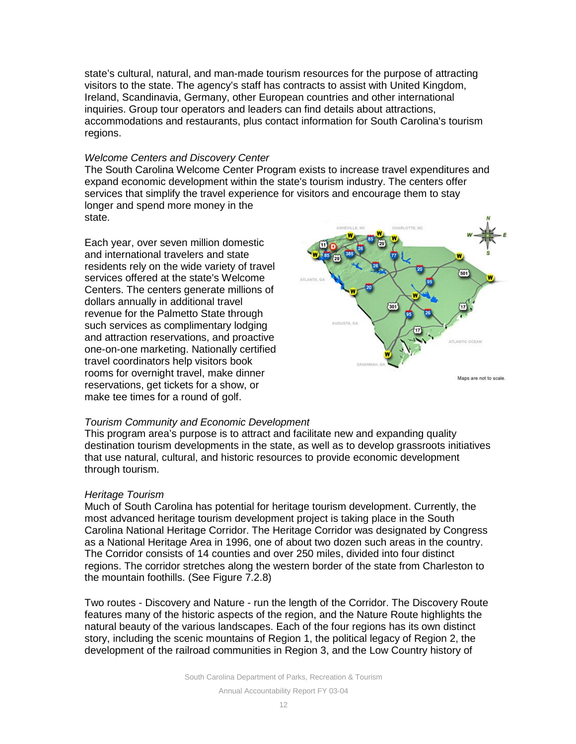state's cultural, natural, and man-made tourism resources for the purpose of attracting visitors to the state. The agency's staff has contracts to assist with United Kingdom, Ireland, Scandinavia, Germany, other European countries and other international inquiries. Group tour operators and leaders can find details about attractions, accommodations and restaurants, plus contact information for South Carolina's tourism regions.

#### *Welcome Centers and Discovery Center*

The South Carolina Welcome Center Program exists to increase travel expenditures and expand economic development within the state's tourism industry. The centers offer services that simplify the travel experience for visitors and encourage them to stay longer and spend more money in the state.

Each year, over seven million domestic and international travelers and state residents rely on the wide variety of travel services offered at the state's Welcome Centers. The centers generate millions of dollars annually in additional travel revenue for the Palmetto State through such services as complimentary lodging and attraction reservations, and proactive one-on-one marketing. Nationally certified travel coordinators help visitors book rooms for overnight travel, make dinner reservations, get tickets for a show, or make tee times for a round of golf.



*Tourism Community and Economic Development*

This program area's purpose is to attract and facilitate new and expanding quality destination tourism developments in the state, as well as to develop grassroots initiatives that use natural, cultural, and historic resources to provide economic development through tourism.

#### *Heritage Tourism*

Much of South Carolina has potential for heritage tourism development. Currently, the most advanced heritage tourism development project is taking place in the South Carolina National Heritage Corridor. The Heritage Corridor was designated by Congress as a National Heritage Area in 1996, one of about two dozen such areas in the country. The Corridor consists of 14 counties and over 250 miles, divided into four distinct regions. The corridor stretches along the western border of the state from Charleston to the mountain foothills. (See Figure 7.2.8)

Two routes - Discovery and Nature - run the length of the Corridor. The Discovery Route features many of the historic aspects of the region, and the Nature Route highlights the natural beauty of the various landscapes. Each of the four regions has its own distinct story, including the scenic mountains of Region 1, the political legacy of Region 2, the development of the railroad communities in Region 3, and the Low Country history of

South Carolina Department of Parks, Recreation & Tourism

Annual Accountability Report FY 03-04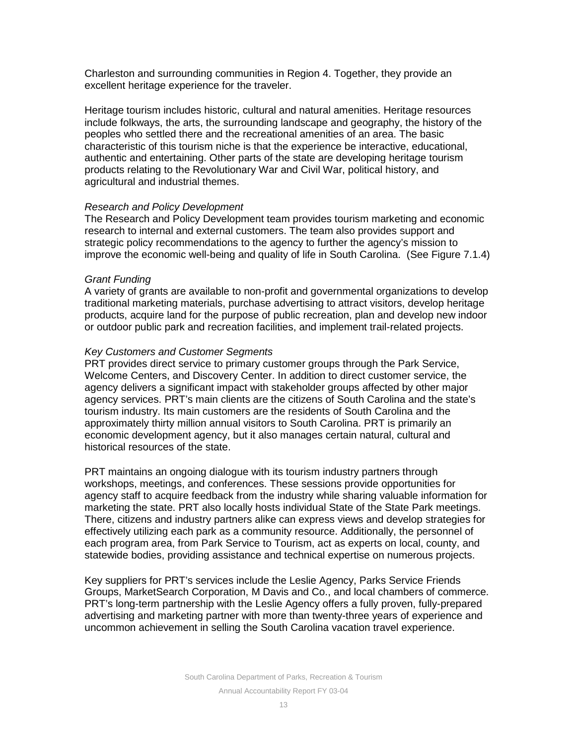Charleston and surrounding communities in Region 4. Together, they provide an excellent heritage experience for the traveler.

Heritage tourism includes historic, cultural and natural amenities. Heritage resources include folkways, the arts, the surrounding landscape and geography, the history of the peoples who settled there and the recreational amenities of an area. The basic characteristic of this tourism niche is that the experience be interactive, educational, authentic and entertaining. Other parts of the state are developing heritage tourism products relating to the Revolutionary War and Civil War, political history, and agricultural and industrial themes.

#### *Research and Policy Development*

The Research and Policy Development team provides tourism marketing and economic research to internal and external customers. The team also provides support and strategic policy recommendations to the agency to further the agency's mission to improve the economic well-being and quality of life in South Carolina. (See Figure 7.1.4)

#### *Grant Funding*

A variety of grants are available to non-profit and governmental organizations to develop traditional marketing materials, purchase advertising to attract visitors, develop heritage products, acquire land for the purpose of public recreation, plan and develop new indoor or outdoor public park and recreation facilities, and implement trail-related projects.

#### *Key Customers and Customer Segments*

PRT provides direct service to primary customer groups through the Park Service, Welcome Centers, and Discovery Center. In addition to direct customer service, the agency delivers a significant impact with stakeholder groups affected by other major agency services. PRT's main clients are the citizens of South Carolina and the state's tourism industry. Its main customers are the residents of South Carolina and the approximately thirty million annual visitors to South Carolina. PRT is primarily an economic development agency, but it also manages certain natural, cultural and historical resources of the state.

PRT maintains an ongoing dialogue with its tourism industry partners through workshops, meetings, and conferences. These sessions provide opportunities for agency staff to acquire feedback from the industry while sharing valuable information for marketing the state. PRT also locally hosts individual State of the State Park meetings. There, citizens and industry partners alike can express views and develop strategies for effectively utilizing each park as a community resource. Additionally, the personnel of each program area, from Park Service to Tourism, act as experts on local, county, and statewide bodies, providing assistance and technical expertise on numerous projects.

Key suppliers for PRT's services include the Leslie Agency, Parks Service Friends Groups, MarketSearch Corporation, M Davis and Co., and local chambers of commerce. PRT's long-term partnership with the Leslie Agency offers a fully proven, fully-prepared advertising and marketing partner with more than twenty-three years of experience and uncommon achievement in selling the South Carolina vacation travel experience.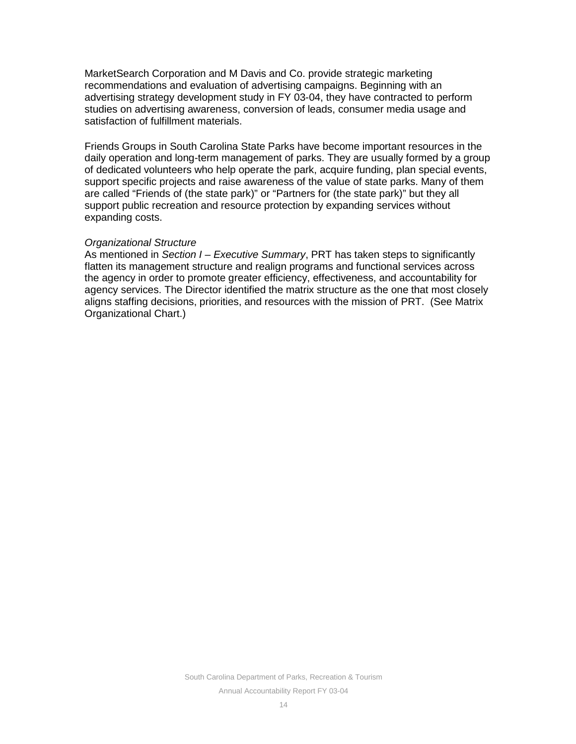MarketSearch Corporation and M Davis and Co. provide strategic marketing recommendations and evaluation of advertising campaigns. Beginning with an advertising strategy development study in FY 03-04, they have contracted to perform studies on advertising awareness, conversion of leads, consumer media usage and satisfaction of fulfillment materials.

Friends Groups in South Carolina State Parks have become important resources in the daily operation and long-term management of parks. They are usually formed by a group of dedicated volunteers who help operate the park, acquire funding, plan special events, support specific projects and raise awareness of the value of state parks. Many of them are called "Friends of (the state park)" or "Partners for (the state park)" but they all support public recreation and resource protection by expanding services without expanding costs.

#### *Organizational Structure*

As mentioned in *Section I – Executive Summary*, PRT has taken steps to significantly flatten its management structure and realign programs and functional services across the agency in order to promote greater efficiency, effectiveness, and accountability for agency services. The Director identified the matrix structure as the one that most closely aligns staffing decisions, priorities, and resources with the mission of PRT. (See Matrix Organizational Chart.)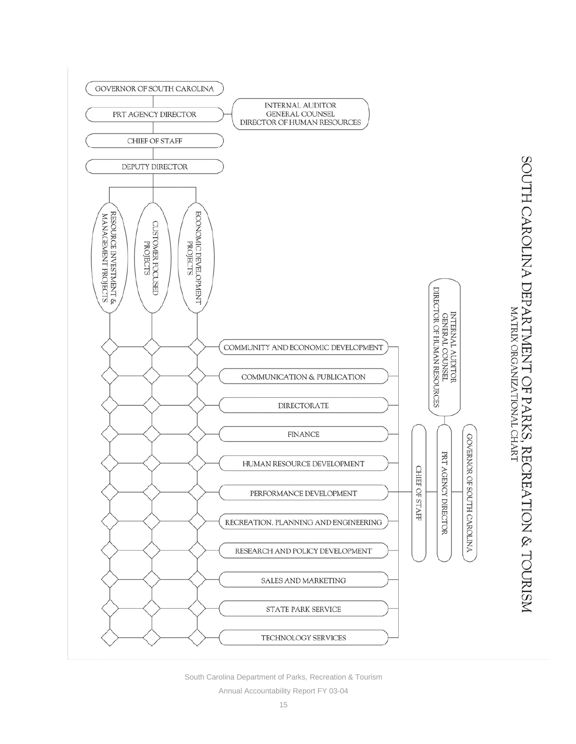

SOUTH CAROLINA DEPARTMENT OF PARKS, RECREATION & TOURISM

South Carolina Department of Parks, Recreation & Tourism

Annual Accountability Report FY 03-04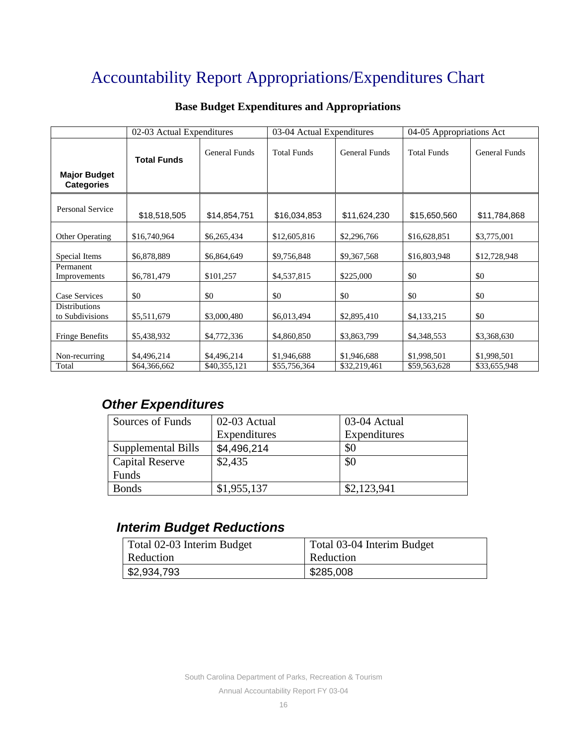# Accountability Report Appropriations/Expenditures Chart

|                                          | 02-03 Actual Expenditures |                      |                    | 03-04 Actual Expenditures |                    | 04-05 Appropriations Act |  |
|------------------------------------------|---------------------------|----------------------|--------------------|---------------------------|--------------------|--------------------------|--|
| <b>Major Budget</b><br><b>Categories</b> | <b>Total Funds</b>        | <b>General Funds</b> | <b>Total Funds</b> | <b>General Funds</b>      | <b>Total Funds</b> | <b>General Funds</b>     |  |
| Personal Service                         |                           |                      |                    |                           |                    |                          |  |
|                                          | \$18,518,505              | \$14,854,751         | \$16,034,853       | \$11,624,230              | \$15,650,560       | \$11,784,868             |  |
| Other Operating                          | \$16,740,964              | \$6,265,434          | \$12,605,816       | \$2,296,766               | \$16,628,851       | \$3,775,001              |  |
| Special Items                            | \$6,878,889               | \$6,864,649          | \$9,756,848        | \$9,367,568               | \$16,803,948       | \$12,728,948             |  |
| Permanent<br>Improvements                | \$6,781,479               | \$101,257            | \$4,537,815        | \$225,000                 | \$0                | \$0                      |  |
| Case Services                            | \$0                       | \$0                  | \$0                | \$0                       | \$0                | \$0                      |  |
| <b>Distributions</b>                     |                           |                      |                    |                           |                    |                          |  |
| to Subdivisions                          | \$5,511,679               | \$3,000,480          | \$6,013,494        | \$2,895,410               | \$4,133,215        | \$0                      |  |
| <b>Fringe Benefits</b>                   | \$5,438,932               | \$4,772,336          | \$4,860,850        | \$3,863,799               | \$4,348,553        | \$3,368,630              |  |
| Non-recurring                            | \$4,496,214               | \$4,496,214          | \$1,946,688        | \$1,946,688               | \$1,998,501        | \$1,998,501              |  |
| Total                                    | \$64,366,662              | \$40,355,121         | \$55,756,364       | \$32,219,461              | \$59,563,628       | \$33,655,948             |  |

## **Base Budget Expenditures and Appropriations**

## *Other Expenditures*

| Sources of Funds       | 02-03 Actual | 03-04 Actual |
|------------------------|--------------|--------------|
|                        | Expenditures | Expenditures |
| Supplemental Bills     | \$4,496,214  | \$0          |
| <b>Capital Reserve</b> | \$2,435      | \$0          |
| Funds                  |              |              |
| <b>Bonds</b>           | \$1,955,137  | \$2,123,941  |

## *Interim Budget Reductions*

| Total 02-03 Interim Budget | Total 03-04 Interim Budget |
|----------------------------|----------------------------|
| Reduction                  | Reduction                  |
| $\frac{1}{2}$ \$2,934,793  | \$285,008                  |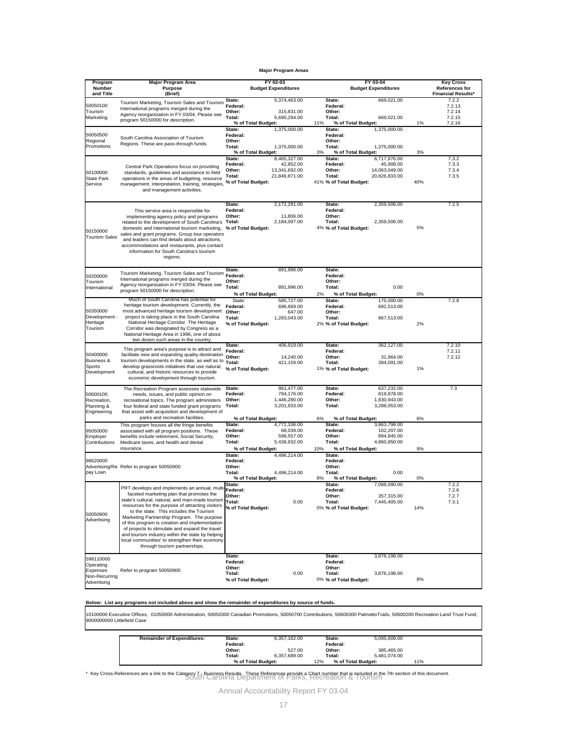**Major Program Areas**

| <b>Budget Expenditures</b><br>and Title<br>(Brief)<br><b>Financial Results*</b><br>5,374,463.00<br>7.2.2<br>State:<br>State:<br>669,021.00<br>Tourism Marketing, Tourism Sales and Tourism<br>50050100<br>Federal:<br>Federal:<br>7.2.13<br>International programs merged during the<br>Tourism<br>Other:<br>Other:<br>7.2.14<br>315,831.00<br>Agency reorganization in FY 03/04. Please see<br>Marketing<br>Total:<br>Total:<br>669,021.00<br>5,690,294.00<br>7.2.15<br>program 50150000 for description.<br>% of Total Budget:<br>11%<br>% of Total Budget:<br>1%<br>7.2.16<br>State:<br>1,375,000.00<br>State:<br>1,375,000.00<br>50050500<br>Federal:<br>Federal:<br>South Carolina Association of Tourism<br>Regional<br>Other:<br>Other-<br>Regions. These are pass-through funds.<br>Promotions<br>Total:<br>1,375,000.00<br>Total:<br>1,375,000.00<br>3%<br>% of Total Budget:<br>3%<br>% of Total Budget:<br>State:<br>8,465,327.00<br>State:<br>6,717,876.00<br>7.3.2<br>Federal:<br>42,852.00<br>Federal:<br>45,908.00<br>7.3.3<br>Central Park Operations focus on providing<br>Other:<br>13,341,692.00<br>Other:<br>14,063,049.00<br>7.3.4<br>50100000<br>standards, guidelines and assistance to field<br>Total:<br>21,849,871.00<br>Total:<br>20,826,833.00<br>7.3.5<br>State Park<br>operations in the areas of budgeting, resource<br>40%<br>41% % of Total Budget:<br>% of Total Budget:<br>Service<br>management, interpretation, training, strategies,<br>and management activities.<br>State:<br>2,172,291.00<br>7.2.5<br>State:<br>2,359,506.00<br>Federal:<br>Federal:<br>This service area is responsible for<br>Other:<br>11,806.00<br>Other:<br>implementing agency policy and programs<br>Total:<br>2,184,097.00<br>Total:<br>2,359,506.00<br>related to the development of South Carolina's<br>% of Total Budget:<br>4% % of Total Budget:<br>5%<br>domestic and international tourism marketing,<br>50150000<br>sales and grant programs. Group tour operators<br><b>Tourism Sales</b><br>and leaders can find details about attractions,<br>accommodations and restaurants, plus contact<br>information for South Carolina's tourism<br>regions.<br>State:<br>891,996.00<br>State:<br>Tourism Marketing, Tourism Sales and Tourism Federal:<br>Federal:<br>50200000<br>International programs merged during the<br>Other:<br>Tourism<br>Other:<br>Agency reorganization in FY 03/04. Please see<br>0.00<br>Total:<br>891,996.00<br>Total:<br>International<br>program 50150000 for description.<br>2%<br>0%<br>% of Total Budget:<br>% of Total Budget:<br>Much of South Carolina has potential for<br>State:<br>175,000.00<br>7.2.8<br>State:<br>585,727.00<br>heritage tourism development. Currently, the Federal:<br>Federal:<br>696,669.00<br>692,513.00<br>50350000<br>most advanced heritage tourism development Other:<br>647.00<br>Other:<br>Development -<br>project is taking place in the South Carolina<br>Total:<br>1,283,043.00<br>Total:<br>867,513.00<br>National Heritage Corridor. The Heritage<br>Heritage<br>% of Total Budget:<br>2% % of Total Budget:<br>2%<br>Tourism<br>Corridor was designated by Congress as a<br>National Heritage Area in 1996, one of about<br>two dozen such areas in the country.<br>7.2.10<br>State:<br>406,919.00<br>State:<br>362,127.00<br>This program area's purpose is to attract and<br>Federal:<br>Federal:<br>7.2.11<br>50400000<br>facilitate new and expanding quality destination<br>Other:<br>14,240.00<br>Other:<br>31,964.00<br>7.2.12<br>Business &<br>tourism developments in the state, as well as to<br>Total:<br>421,159.00<br>Total:<br>394,091.00<br>Sports<br>develop grassroots initiatives that use natural,<br>1%<br>% of Total Budget:<br>1% % of Total Budget:<br>Development<br>cultural, and historic resources to provide<br>economic development through tourism.<br>State:<br>961,477.00<br>State:<br>637,232.00<br>7.3<br>The Recreation Program assesses statewide<br>Federal:<br>794,176.00<br>Federal:<br>819,878.00<br>50600100<br>needs, issues, and public opinion on<br>Other:<br>1,446,280.00<br>Other:<br>1,830,943.00<br>Recreation,<br>recreational topics. The program administers<br>Total:<br>3,201,933.00<br>Total:<br>3,288,053.00<br>Planning &<br>four federal and state funded grant programs<br>Engineering<br>that assist with acquisition and development of<br>parks and recreation facilities.<br>6%<br>6%<br>% of Total Budget:<br>% of Total Budget:<br>State:<br>This program houses all the fringe benefits<br>4,772,336.00<br>State:<br>3,863,798.00<br>95050000<br>Federal:<br>68,039.00<br>Federal:<br>102,207.00<br>associated with all program positions. These<br>Other:<br>598,557.00<br>Other:<br>894,845.00<br>Employer<br>benefits include retirement, Social Security,<br>Contributions<br>Total:<br>5,438,932.00<br>Total:<br>4,860,850.00<br>Medicare taxes, and health and dental<br>insurance.<br>% of Total Budget:<br>10%<br>% of Total Budget:<br>9%<br>State:<br>State:<br>4,496,214.00<br>98620000<br>Federal:<br>Federal:<br>Advertising/Re Refer to program 50050900<br>Other:<br>Other:<br>0.00<br>Total:<br>4,496,214.00<br>pay Loan<br>Total:<br>% of Total Budget:<br>8%<br>% of Total Budget:<br>0%<br>State:<br>7,088,090.00<br>7.2.2<br>State:<br>PRT develops and implements an annual, multi<br>Federal:<br>7.2.6<br>Federal:<br>faceted marketing plan that promotes the<br>Other <sup>.</sup><br>Other-<br>357,315.00<br>727<br>state's cultural, natural, and man-made tourism<br><b>Total:</b><br>0.00<br>Total:<br>7,445,405.00<br>7.3.1<br>resources for the purpose of attracting visitors<br>% of Total Budget:<br>0% % of Total Budget:<br>14%<br>to the state. This includes the Tourism<br>50050900<br>Marketing Partnership Program. The purpose<br>Advertising<br>of this program is creation and implementation<br>of projects to stimulate and expand the travel<br>and tourism industry within the state by helping<br>local communities' to strengthen their ecomony<br>through tourism partnerships.<br>State:<br>State:<br>3,876,198.00<br>598110000<br>Federal:<br>Federal:<br>Operating<br>Other:<br>Other:<br>Expenses<br>Refer to program 50050900<br>Total:<br>0.00<br>Total:<br>3,876,198.00<br>Non-Recurring<br>% of Total Budget:<br>0% % of Total Budget:<br>8%<br>Advertising | Program       | <b>Major Program Area</b> | FY 02-03 | FY 03-04                   | <b>Key Cross</b> |
|-----------------------------------------------------------------------------------------------------------------------------------------------------------------------------------------------------------------------------------------------------------------------------------------------------------------------------------------------------------------------------------------------------------------------------------------------------------------------------------------------------------------------------------------------------------------------------------------------------------------------------------------------------------------------------------------------------------------------------------------------------------------------------------------------------------------------------------------------------------------------------------------------------------------------------------------------------------------------------------------------------------------------------------------------------------------------------------------------------------------------------------------------------------------------------------------------------------------------------------------------------------------------------------------------------------------------------------------------------------------------------------------------------------------------------------------------------------------------------------------------------------------------------------------------------------------------------------------------------------------------------------------------------------------------------------------------------------------------------------------------------------------------------------------------------------------------------------------------------------------------------------------------------------------------------------------------------------------------------------------------------------------------------------------------------------------------------------------------------------------------------------------------------------------------------------------------------------------------------------------------------------------------------------------------------------------------------------------------------------------------------------------------------------------------------------------------------------------------------------------------------------------------------------------------------------------------------------------------------------------------------------------------------------------------------------------------------------------------------------------------------------------------------------------------------------------------------------------------------------------------------------------------------------------------------------------------------------------------------------------------------------------------------------------------------------------------------------------------------------------------------------------------------------------------------------------------------------------------------------------------------------------------------------------------------------------------------------------------------------------------------------------------------------------------------------------------------------------------------------------------------------------------------------------------------------------------------------------------------------------------------------------------------------------------------------------------------------------------------------------------------------------------------------------------------------------------------------------------------------------------------------------------------------------------------------------------------------------------------------------------------------------------------------------------------------------------------------------------------------------------------------------------------------------------------------------------------------------------------------------------------------------------------------------------------------------------------------------------------------------------------------------------------------------------------------------------------------------------------------------------------------------------------------------------------------------------------------------------------------------------------------------------------------------------------------------------------------------------------------------------------------------------------------------------------------------------------------------------------------------------------------------------------------------------------------------------------------------------------------------------------------------------------------------------------------------------------------------------------------------------------------------------------------------------------------------------------------------------------------------------------------------------------------------------------------------------------------------------------------------------------------------------------------------------------------------------------------------------------------------------------------------------------------------------------------------------------------------------------------------------------------------------------------------------------------------------------------------------------------------------------------------------------------------------------------------------------------------------------------------------------------------------------------------------------------------------------------------------------------------------------------------------------------------------------------------------------------------------------------------------------------------------------------------------------------------------------------------------------------------------------------------------------------------------------------------------------------------------------------------------------------------|---------------|---------------------------|----------|----------------------------|------------------|
|                                                                                                                                                                                                                                                                                                                                                                                                                                                                                                                                                                                                                                                                                                                                                                                                                                                                                                                                                                                                                                                                                                                                                                                                                                                                                                                                                                                                                                                                                                                                                                                                                                                                                                                                                                                                                                                                                                                                                                                                                                                                                                                                                                                                                                                                                                                                                                                                                                                                                                                                                                                                                                                                                                                                                                                                                                                                                                                                                                                                                                                                                                                                                                                                                                                                                                                                                                                                                                                                                                                                                                                                                                                                                                                                                                                                                                                                                                                                                                                                                                                                                                                                                                                                                                                                                                                                                                                                                                                                                                                                                                                                                                                                                                                                                                                                                                                                                                                                                                                                                                                                                                                                                                                                                                                                                                                                                                                                                                                                                                                                                                                                                                                                                                                                                                                                                                                                                                                                                                                                                                                                                                                                                                                                                                                                                                                                                                                         | <b>Number</b> | <b>Purpose</b>            |          | <b>Budget Expenditures</b> | References for   |
|                                                                                                                                                                                                                                                                                                                                                                                                                                                                                                                                                                                                                                                                                                                                                                                                                                                                                                                                                                                                                                                                                                                                                                                                                                                                                                                                                                                                                                                                                                                                                                                                                                                                                                                                                                                                                                                                                                                                                                                                                                                                                                                                                                                                                                                                                                                                                                                                                                                                                                                                                                                                                                                                                                                                                                                                                                                                                                                                                                                                                                                                                                                                                                                                                                                                                                                                                                                                                                                                                                                                                                                                                                                                                                                                                                                                                                                                                                                                                                                                                                                                                                                                                                                                                                                                                                                                                                                                                                                                                                                                                                                                                                                                                                                                                                                                                                                                                                                                                                                                                                                                                                                                                                                                                                                                                                                                                                                                                                                                                                                                                                                                                                                                                                                                                                                                                                                                                                                                                                                                                                                                                                                                                                                                                                                                                                                                                                                         |               |                           |          |                            |                  |
|                                                                                                                                                                                                                                                                                                                                                                                                                                                                                                                                                                                                                                                                                                                                                                                                                                                                                                                                                                                                                                                                                                                                                                                                                                                                                                                                                                                                                                                                                                                                                                                                                                                                                                                                                                                                                                                                                                                                                                                                                                                                                                                                                                                                                                                                                                                                                                                                                                                                                                                                                                                                                                                                                                                                                                                                                                                                                                                                                                                                                                                                                                                                                                                                                                                                                                                                                                                                                                                                                                                                                                                                                                                                                                                                                                                                                                                                                                                                                                                                                                                                                                                                                                                                                                                                                                                                                                                                                                                                                                                                                                                                                                                                                                                                                                                                                                                                                                                                                                                                                                                                                                                                                                                                                                                                                                                                                                                                                                                                                                                                                                                                                                                                                                                                                                                                                                                                                                                                                                                                                                                                                                                                                                                                                                                                                                                                                                                         |               |                           |          |                            |                  |
|                                                                                                                                                                                                                                                                                                                                                                                                                                                                                                                                                                                                                                                                                                                                                                                                                                                                                                                                                                                                                                                                                                                                                                                                                                                                                                                                                                                                                                                                                                                                                                                                                                                                                                                                                                                                                                                                                                                                                                                                                                                                                                                                                                                                                                                                                                                                                                                                                                                                                                                                                                                                                                                                                                                                                                                                                                                                                                                                                                                                                                                                                                                                                                                                                                                                                                                                                                                                                                                                                                                                                                                                                                                                                                                                                                                                                                                                                                                                                                                                                                                                                                                                                                                                                                                                                                                                                                                                                                                                                                                                                                                                                                                                                                                                                                                                                                                                                                                                                                                                                                                                                                                                                                                                                                                                                                                                                                                                                                                                                                                                                                                                                                                                                                                                                                                                                                                                                                                                                                                                                                                                                                                                                                                                                                                                                                                                                                                         |               |                           |          |                            |                  |
|                                                                                                                                                                                                                                                                                                                                                                                                                                                                                                                                                                                                                                                                                                                                                                                                                                                                                                                                                                                                                                                                                                                                                                                                                                                                                                                                                                                                                                                                                                                                                                                                                                                                                                                                                                                                                                                                                                                                                                                                                                                                                                                                                                                                                                                                                                                                                                                                                                                                                                                                                                                                                                                                                                                                                                                                                                                                                                                                                                                                                                                                                                                                                                                                                                                                                                                                                                                                                                                                                                                                                                                                                                                                                                                                                                                                                                                                                                                                                                                                                                                                                                                                                                                                                                                                                                                                                                                                                                                                                                                                                                                                                                                                                                                                                                                                                                                                                                                                                                                                                                                                                                                                                                                                                                                                                                                                                                                                                                                                                                                                                                                                                                                                                                                                                                                                                                                                                                                                                                                                                                                                                                                                                                                                                                                                                                                                                                                         |               |                           |          |                            |                  |
|                                                                                                                                                                                                                                                                                                                                                                                                                                                                                                                                                                                                                                                                                                                                                                                                                                                                                                                                                                                                                                                                                                                                                                                                                                                                                                                                                                                                                                                                                                                                                                                                                                                                                                                                                                                                                                                                                                                                                                                                                                                                                                                                                                                                                                                                                                                                                                                                                                                                                                                                                                                                                                                                                                                                                                                                                                                                                                                                                                                                                                                                                                                                                                                                                                                                                                                                                                                                                                                                                                                                                                                                                                                                                                                                                                                                                                                                                                                                                                                                                                                                                                                                                                                                                                                                                                                                                                                                                                                                                                                                                                                                                                                                                                                                                                                                                                                                                                                                                                                                                                                                                                                                                                                                                                                                                                                                                                                                                                                                                                                                                                                                                                                                                                                                                                                                                                                                                                                                                                                                                                                                                                                                                                                                                                                                                                                                                                                         |               |                           |          |                            |                  |
|                                                                                                                                                                                                                                                                                                                                                                                                                                                                                                                                                                                                                                                                                                                                                                                                                                                                                                                                                                                                                                                                                                                                                                                                                                                                                                                                                                                                                                                                                                                                                                                                                                                                                                                                                                                                                                                                                                                                                                                                                                                                                                                                                                                                                                                                                                                                                                                                                                                                                                                                                                                                                                                                                                                                                                                                                                                                                                                                                                                                                                                                                                                                                                                                                                                                                                                                                                                                                                                                                                                                                                                                                                                                                                                                                                                                                                                                                                                                                                                                                                                                                                                                                                                                                                                                                                                                                                                                                                                                                                                                                                                                                                                                                                                                                                                                                                                                                                                                                                                                                                                                                                                                                                                                                                                                                                                                                                                                                                                                                                                                                                                                                                                                                                                                                                                                                                                                                                                                                                                                                                                                                                                                                                                                                                                                                                                                                                                         |               |                           |          |                            |                  |
|                                                                                                                                                                                                                                                                                                                                                                                                                                                                                                                                                                                                                                                                                                                                                                                                                                                                                                                                                                                                                                                                                                                                                                                                                                                                                                                                                                                                                                                                                                                                                                                                                                                                                                                                                                                                                                                                                                                                                                                                                                                                                                                                                                                                                                                                                                                                                                                                                                                                                                                                                                                                                                                                                                                                                                                                                                                                                                                                                                                                                                                                                                                                                                                                                                                                                                                                                                                                                                                                                                                                                                                                                                                                                                                                                                                                                                                                                                                                                                                                                                                                                                                                                                                                                                                                                                                                                                                                                                                                                                                                                                                                                                                                                                                                                                                                                                                                                                                                                                                                                                                                                                                                                                                                                                                                                                                                                                                                                                                                                                                                                                                                                                                                                                                                                                                                                                                                                                                                                                                                                                                                                                                                                                                                                                                                                                                                                                                         |               |                           |          |                            |                  |
|                                                                                                                                                                                                                                                                                                                                                                                                                                                                                                                                                                                                                                                                                                                                                                                                                                                                                                                                                                                                                                                                                                                                                                                                                                                                                                                                                                                                                                                                                                                                                                                                                                                                                                                                                                                                                                                                                                                                                                                                                                                                                                                                                                                                                                                                                                                                                                                                                                                                                                                                                                                                                                                                                                                                                                                                                                                                                                                                                                                                                                                                                                                                                                                                                                                                                                                                                                                                                                                                                                                                                                                                                                                                                                                                                                                                                                                                                                                                                                                                                                                                                                                                                                                                                                                                                                                                                                                                                                                                                                                                                                                                                                                                                                                                                                                                                                                                                                                                                                                                                                                                                                                                                                                                                                                                                                                                                                                                                                                                                                                                                                                                                                                                                                                                                                                                                                                                                                                                                                                                                                                                                                                                                                                                                                                                                                                                                                                         |               |                           |          |                            |                  |
|                                                                                                                                                                                                                                                                                                                                                                                                                                                                                                                                                                                                                                                                                                                                                                                                                                                                                                                                                                                                                                                                                                                                                                                                                                                                                                                                                                                                                                                                                                                                                                                                                                                                                                                                                                                                                                                                                                                                                                                                                                                                                                                                                                                                                                                                                                                                                                                                                                                                                                                                                                                                                                                                                                                                                                                                                                                                                                                                                                                                                                                                                                                                                                                                                                                                                                                                                                                                                                                                                                                                                                                                                                                                                                                                                                                                                                                                                                                                                                                                                                                                                                                                                                                                                                                                                                                                                                                                                                                                                                                                                                                                                                                                                                                                                                                                                                                                                                                                                                                                                                                                                                                                                                                                                                                                                                                                                                                                                                                                                                                                                                                                                                                                                                                                                                                                                                                                                                                                                                                                                                                                                                                                                                                                                                                                                                                                                                                         |               |                           |          |                            |                  |
|                                                                                                                                                                                                                                                                                                                                                                                                                                                                                                                                                                                                                                                                                                                                                                                                                                                                                                                                                                                                                                                                                                                                                                                                                                                                                                                                                                                                                                                                                                                                                                                                                                                                                                                                                                                                                                                                                                                                                                                                                                                                                                                                                                                                                                                                                                                                                                                                                                                                                                                                                                                                                                                                                                                                                                                                                                                                                                                                                                                                                                                                                                                                                                                                                                                                                                                                                                                                                                                                                                                                                                                                                                                                                                                                                                                                                                                                                                                                                                                                                                                                                                                                                                                                                                                                                                                                                                                                                                                                                                                                                                                                                                                                                                                                                                                                                                                                                                                                                                                                                                                                                                                                                                                                                                                                                                                                                                                                                                                                                                                                                                                                                                                                                                                                                                                                                                                                                                                                                                                                                                                                                                                                                                                                                                                                                                                                                                                         |               |                           |          |                            |                  |
|                                                                                                                                                                                                                                                                                                                                                                                                                                                                                                                                                                                                                                                                                                                                                                                                                                                                                                                                                                                                                                                                                                                                                                                                                                                                                                                                                                                                                                                                                                                                                                                                                                                                                                                                                                                                                                                                                                                                                                                                                                                                                                                                                                                                                                                                                                                                                                                                                                                                                                                                                                                                                                                                                                                                                                                                                                                                                                                                                                                                                                                                                                                                                                                                                                                                                                                                                                                                                                                                                                                                                                                                                                                                                                                                                                                                                                                                                                                                                                                                                                                                                                                                                                                                                                                                                                                                                                                                                                                                                                                                                                                                                                                                                                                                                                                                                                                                                                                                                                                                                                                                                                                                                                                                                                                                                                                                                                                                                                                                                                                                                                                                                                                                                                                                                                                                                                                                                                                                                                                                                                                                                                                                                                                                                                                                                                                                                                                         |               |                           |          |                            |                  |
|                                                                                                                                                                                                                                                                                                                                                                                                                                                                                                                                                                                                                                                                                                                                                                                                                                                                                                                                                                                                                                                                                                                                                                                                                                                                                                                                                                                                                                                                                                                                                                                                                                                                                                                                                                                                                                                                                                                                                                                                                                                                                                                                                                                                                                                                                                                                                                                                                                                                                                                                                                                                                                                                                                                                                                                                                                                                                                                                                                                                                                                                                                                                                                                                                                                                                                                                                                                                                                                                                                                                                                                                                                                                                                                                                                                                                                                                                                                                                                                                                                                                                                                                                                                                                                                                                                                                                                                                                                                                                                                                                                                                                                                                                                                                                                                                                                                                                                                                                                                                                                                                                                                                                                                                                                                                                                                                                                                                                                                                                                                                                                                                                                                                                                                                                                                                                                                                                                                                                                                                                                                                                                                                                                                                                                                                                                                                                                                         |               |                           |          |                            |                  |
|                                                                                                                                                                                                                                                                                                                                                                                                                                                                                                                                                                                                                                                                                                                                                                                                                                                                                                                                                                                                                                                                                                                                                                                                                                                                                                                                                                                                                                                                                                                                                                                                                                                                                                                                                                                                                                                                                                                                                                                                                                                                                                                                                                                                                                                                                                                                                                                                                                                                                                                                                                                                                                                                                                                                                                                                                                                                                                                                                                                                                                                                                                                                                                                                                                                                                                                                                                                                                                                                                                                                                                                                                                                                                                                                                                                                                                                                                                                                                                                                                                                                                                                                                                                                                                                                                                                                                                                                                                                                                                                                                                                                                                                                                                                                                                                                                                                                                                                                                                                                                                                                                                                                                                                                                                                                                                                                                                                                                                                                                                                                                                                                                                                                                                                                                                                                                                                                                                                                                                                                                                                                                                                                                                                                                                                                                                                                                                                         |               |                           |          |                            |                  |
|                                                                                                                                                                                                                                                                                                                                                                                                                                                                                                                                                                                                                                                                                                                                                                                                                                                                                                                                                                                                                                                                                                                                                                                                                                                                                                                                                                                                                                                                                                                                                                                                                                                                                                                                                                                                                                                                                                                                                                                                                                                                                                                                                                                                                                                                                                                                                                                                                                                                                                                                                                                                                                                                                                                                                                                                                                                                                                                                                                                                                                                                                                                                                                                                                                                                                                                                                                                                                                                                                                                                                                                                                                                                                                                                                                                                                                                                                                                                                                                                                                                                                                                                                                                                                                                                                                                                                                                                                                                                                                                                                                                                                                                                                                                                                                                                                                                                                                                                                                                                                                                                                                                                                                                                                                                                                                                                                                                                                                                                                                                                                                                                                                                                                                                                                                                                                                                                                                                                                                                                                                                                                                                                                                                                                                                                                                                                                                                         |               |                           |          |                            |                  |
|                                                                                                                                                                                                                                                                                                                                                                                                                                                                                                                                                                                                                                                                                                                                                                                                                                                                                                                                                                                                                                                                                                                                                                                                                                                                                                                                                                                                                                                                                                                                                                                                                                                                                                                                                                                                                                                                                                                                                                                                                                                                                                                                                                                                                                                                                                                                                                                                                                                                                                                                                                                                                                                                                                                                                                                                                                                                                                                                                                                                                                                                                                                                                                                                                                                                                                                                                                                                                                                                                                                                                                                                                                                                                                                                                                                                                                                                                                                                                                                                                                                                                                                                                                                                                                                                                                                                                                                                                                                                                                                                                                                                                                                                                                                                                                                                                                                                                                                                                                                                                                                                                                                                                                                                                                                                                                                                                                                                                                                                                                                                                                                                                                                                                                                                                                                                                                                                                                                                                                                                                                                                                                                                                                                                                                                                                                                                                                                         |               |                           |          |                            |                  |
|                                                                                                                                                                                                                                                                                                                                                                                                                                                                                                                                                                                                                                                                                                                                                                                                                                                                                                                                                                                                                                                                                                                                                                                                                                                                                                                                                                                                                                                                                                                                                                                                                                                                                                                                                                                                                                                                                                                                                                                                                                                                                                                                                                                                                                                                                                                                                                                                                                                                                                                                                                                                                                                                                                                                                                                                                                                                                                                                                                                                                                                                                                                                                                                                                                                                                                                                                                                                                                                                                                                                                                                                                                                                                                                                                                                                                                                                                                                                                                                                                                                                                                                                                                                                                                                                                                                                                                                                                                                                                                                                                                                                                                                                                                                                                                                                                                                                                                                                                                                                                                                                                                                                                                                                                                                                                                                                                                                                                                                                                                                                                                                                                                                                                                                                                                                                                                                                                                                                                                                                                                                                                                                                                                                                                                                                                                                                                                                         |               |                           |          |                            |                  |
|                                                                                                                                                                                                                                                                                                                                                                                                                                                                                                                                                                                                                                                                                                                                                                                                                                                                                                                                                                                                                                                                                                                                                                                                                                                                                                                                                                                                                                                                                                                                                                                                                                                                                                                                                                                                                                                                                                                                                                                                                                                                                                                                                                                                                                                                                                                                                                                                                                                                                                                                                                                                                                                                                                                                                                                                                                                                                                                                                                                                                                                                                                                                                                                                                                                                                                                                                                                                                                                                                                                                                                                                                                                                                                                                                                                                                                                                                                                                                                                                                                                                                                                                                                                                                                                                                                                                                                                                                                                                                                                                                                                                                                                                                                                                                                                                                                                                                                                                                                                                                                                                                                                                                                                                                                                                                                                                                                                                                                                                                                                                                                                                                                                                                                                                                                                                                                                                                                                                                                                                                                                                                                                                                                                                                                                                                                                                                                                         |               |                           |          |                            |                  |
|                                                                                                                                                                                                                                                                                                                                                                                                                                                                                                                                                                                                                                                                                                                                                                                                                                                                                                                                                                                                                                                                                                                                                                                                                                                                                                                                                                                                                                                                                                                                                                                                                                                                                                                                                                                                                                                                                                                                                                                                                                                                                                                                                                                                                                                                                                                                                                                                                                                                                                                                                                                                                                                                                                                                                                                                                                                                                                                                                                                                                                                                                                                                                                                                                                                                                                                                                                                                                                                                                                                                                                                                                                                                                                                                                                                                                                                                                                                                                                                                                                                                                                                                                                                                                                                                                                                                                                                                                                                                                                                                                                                                                                                                                                                                                                                                                                                                                                                                                                                                                                                                                                                                                                                                                                                                                                                                                                                                                                                                                                                                                                                                                                                                                                                                                                                                                                                                                                                                                                                                                                                                                                                                                                                                                                                                                                                                                                                         |               |                           |          |                            |                  |
|                                                                                                                                                                                                                                                                                                                                                                                                                                                                                                                                                                                                                                                                                                                                                                                                                                                                                                                                                                                                                                                                                                                                                                                                                                                                                                                                                                                                                                                                                                                                                                                                                                                                                                                                                                                                                                                                                                                                                                                                                                                                                                                                                                                                                                                                                                                                                                                                                                                                                                                                                                                                                                                                                                                                                                                                                                                                                                                                                                                                                                                                                                                                                                                                                                                                                                                                                                                                                                                                                                                                                                                                                                                                                                                                                                                                                                                                                                                                                                                                                                                                                                                                                                                                                                                                                                                                                                                                                                                                                                                                                                                                                                                                                                                                                                                                                                                                                                                                                                                                                                                                                                                                                                                                                                                                                                                                                                                                                                                                                                                                                                                                                                                                                                                                                                                                                                                                                                                                                                                                                                                                                                                                                                                                                                                                                                                                                                                         |               |                           |          |                            |                  |
|                                                                                                                                                                                                                                                                                                                                                                                                                                                                                                                                                                                                                                                                                                                                                                                                                                                                                                                                                                                                                                                                                                                                                                                                                                                                                                                                                                                                                                                                                                                                                                                                                                                                                                                                                                                                                                                                                                                                                                                                                                                                                                                                                                                                                                                                                                                                                                                                                                                                                                                                                                                                                                                                                                                                                                                                                                                                                                                                                                                                                                                                                                                                                                                                                                                                                                                                                                                                                                                                                                                                                                                                                                                                                                                                                                                                                                                                                                                                                                                                                                                                                                                                                                                                                                                                                                                                                                                                                                                                                                                                                                                                                                                                                                                                                                                                                                                                                                                                                                                                                                                                                                                                                                                                                                                                                                                                                                                                                                                                                                                                                                                                                                                                                                                                                                                                                                                                                                                                                                                                                                                                                                                                                                                                                                                                                                                                                                                         |               |                           |          |                            |                  |
|                                                                                                                                                                                                                                                                                                                                                                                                                                                                                                                                                                                                                                                                                                                                                                                                                                                                                                                                                                                                                                                                                                                                                                                                                                                                                                                                                                                                                                                                                                                                                                                                                                                                                                                                                                                                                                                                                                                                                                                                                                                                                                                                                                                                                                                                                                                                                                                                                                                                                                                                                                                                                                                                                                                                                                                                                                                                                                                                                                                                                                                                                                                                                                                                                                                                                                                                                                                                                                                                                                                                                                                                                                                                                                                                                                                                                                                                                                                                                                                                                                                                                                                                                                                                                                                                                                                                                                                                                                                                                                                                                                                                                                                                                                                                                                                                                                                                                                                                                                                                                                                                                                                                                                                                                                                                                                                                                                                                                                                                                                                                                                                                                                                                                                                                                                                                                                                                                                                                                                                                                                                                                                                                                                                                                                                                                                                                                                                         |               |                           |          |                            |                  |
|                                                                                                                                                                                                                                                                                                                                                                                                                                                                                                                                                                                                                                                                                                                                                                                                                                                                                                                                                                                                                                                                                                                                                                                                                                                                                                                                                                                                                                                                                                                                                                                                                                                                                                                                                                                                                                                                                                                                                                                                                                                                                                                                                                                                                                                                                                                                                                                                                                                                                                                                                                                                                                                                                                                                                                                                                                                                                                                                                                                                                                                                                                                                                                                                                                                                                                                                                                                                                                                                                                                                                                                                                                                                                                                                                                                                                                                                                                                                                                                                                                                                                                                                                                                                                                                                                                                                                                                                                                                                                                                                                                                                                                                                                                                                                                                                                                                                                                                                                                                                                                                                                                                                                                                                                                                                                                                                                                                                                                                                                                                                                                                                                                                                                                                                                                                                                                                                                                                                                                                                                                                                                                                                                                                                                                                                                                                                                                                         |               |                           |          |                            |                  |
|                                                                                                                                                                                                                                                                                                                                                                                                                                                                                                                                                                                                                                                                                                                                                                                                                                                                                                                                                                                                                                                                                                                                                                                                                                                                                                                                                                                                                                                                                                                                                                                                                                                                                                                                                                                                                                                                                                                                                                                                                                                                                                                                                                                                                                                                                                                                                                                                                                                                                                                                                                                                                                                                                                                                                                                                                                                                                                                                                                                                                                                                                                                                                                                                                                                                                                                                                                                                                                                                                                                                                                                                                                                                                                                                                                                                                                                                                                                                                                                                                                                                                                                                                                                                                                                                                                                                                                                                                                                                                                                                                                                                                                                                                                                                                                                                                                                                                                                                                                                                                                                                                                                                                                                                                                                                                                                                                                                                                                                                                                                                                                                                                                                                                                                                                                                                                                                                                                                                                                                                                                                                                                                                                                                                                                                                                                                                                                                         |               |                           |          |                            |                  |
|                                                                                                                                                                                                                                                                                                                                                                                                                                                                                                                                                                                                                                                                                                                                                                                                                                                                                                                                                                                                                                                                                                                                                                                                                                                                                                                                                                                                                                                                                                                                                                                                                                                                                                                                                                                                                                                                                                                                                                                                                                                                                                                                                                                                                                                                                                                                                                                                                                                                                                                                                                                                                                                                                                                                                                                                                                                                                                                                                                                                                                                                                                                                                                                                                                                                                                                                                                                                                                                                                                                                                                                                                                                                                                                                                                                                                                                                                                                                                                                                                                                                                                                                                                                                                                                                                                                                                                                                                                                                                                                                                                                                                                                                                                                                                                                                                                                                                                                                                                                                                                                                                                                                                                                                                                                                                                                                                                                                                                                                                                                                                                                                                                                                                                                                                                                                                                                                                                                                                                                                                                                                                                                                                                                                                                                                                                                                                                                         |               |                           |          |                            |                  |
|                                                                                                                                                                                                                                                                                                                                                                                                                                                                                                                                                                                                                                                                                                                                                                                                                                                                                                                                                                                                                                                                                                                                                                                                                                                                                                                                                                                                                                                                                                                                                                                                                                                                                                                                                                                                                                                                                                                                                                                                                                                                                                                                                                                                                                                                                                                                                                                                                                                                                                                                                                                                                                                                                                                                                                                                                                                                                                                                                                                                                                                                                                                                                                                                                                                                                                                                                                                                                                                                                                                                                                                                                                                                                                                                                                                                                                                                                                                                                                                                                                                                                                                                                                                                                                                                                                                                                                                                                                                                                                                                                                                                                                                                                                                                                                                                                                                                                                                                                                                                                                                                                                                                                                                                                                                                                                                                                                                                                                                                                                                                                                                                                                                                                                                                                                                                                                                                                                                                                                                                                                                                                                                                                                                                                                                                                                                                                                                         |               |                           |          |                            |                  |
|                                                                                                                                                                                                                                                                                                                                                                                                                                                                                                                                                                                                                                                                                                                                                                                                                                                                                                                                                                                                                                                                                                                                                                                                                                                                                                                                                                                                                                                                                                                                                                                                                                                                                                                                                                                                                                                                                                                                                                                                                                                                                                                                                                                                                                                                                                                                                                                                                                                                                                                                                                                                                                                                                                                                                                                                                                                                                                                                                                                                                                                                                                                                                                                                                                                                                                                                                                                                                                                                                                                                                                                                                                                                                                                                                                                                                                                                                                                                                                                                                                                                                                                                                                                                                                                                                                                                                                                                                                                                                                                                                                                                                                                                                                                                                                                                                                                                                                                                                                                                                                                                                                                                                                                                                                                                                                                                                                                                                                                                                                                                                                                                                                                                                                                                                                                                                                                                                                                                                                                                                                                                                                                                                                                                                                                                                                                                                                                         |               |                           |          |                            |                  |
|                                                                                                                                                                                                                                                                                                                                                                                                                                                                                                                                                                                                                                                                                                                                                                                                                                                                                                                                                                                                                                                                                                                                                                                                                                                                                                                                                                                                                                                                                                                                                                                                                                                                                                                                                                                                                                                                                                                                                                                                                                                                                                                                                                                                                                                                                                                                                                                                                                                                                                                                                                                                                                                                                                                                                                                                                                                                                                                                                                                                                                                                                                                                                                                                                                                                                                                                                                                                                                                                                                                                                                                                                                                                                                                                                                                                                                                                                                                                                                                                                                                                                                                                                                                                                                                                                                                                                                                                                                                                                                                                                                                                                                                                                                                                                                                                                                                                                                                                                                                                                                                                                                                                                                                                                                                                                                                                                                                                                                                                                                                                                                                                                                                                                                                                                                                                                                                                                                                                                                                                                                                                                                                                                                                                                                                                                                                                                                                         |               |                           |          |                            |                  |
|                                                                                                                                                                                                                                                                                                                                                                                                                                                                                                                                                                                                                                                                                                                                                                                                                                                                                                                                                                                                                                                                                                                                                                                                                                                                                                                                                                                                                                                                                                                                                                                                                                                                                                                                                                                                                                                                                                                                                                                                                                                                                                                                                                                                                                                                                                                                                                                                                                                                                                                                                                                                                                                                                                                                                                                                                                                                                                                                                                                                                                                                                                                                                                                                                                                                                                                                                                                                                                                                                                                                                                                                                                                                                                                                                                                                                                                                                                                                                                                                                                                                                                                                                                                                                                                                                                                                                                                                                                                                                                                                                                                                                                                                                                                                                                                                                                                                                                                                                                                                                                                                                                                                                                                                                                                                                                                                                                                                                                                                                                                                                                                                                                                                                                                                                                                                                                                                                                                                                                                                                                                                                                                                                                                                                                                                                                                                                                                         |               |                           |          |                            |                  |
|                                                                                                                                                                                                                                                                                                                                                                                                                                                                                                                                                                                                                                                                                                                                                                                                                                                                                                                                                                                                                                                                                                                                                                                                                                                                                                                                                                                                                                                                                                                                                                                                                                                                                                                                                                                                                                                                                                                                                                                                                                                                                                                                                                                                                                                                                                                                                                                                                                                                                                                                                                                                                                                                                                                                                                                                                                                                                                                                                                                                                                                                                                                                                                                                                                                                                                                                                                                                                                                                                                                                                                                                                                                                                                                                                                                                                                                                                                                                                                                                                                                                                                                                                                                                                                                                                                                                                                                                                                                                                                                                                                                                                                                                                                                                                                                                                                                                                                                                                                                                                                                                                                                                                                                                                                                                                                                                                                                                                                                                                                                                                                                                                                                                                                                                                                                                                                                                                                                                                                                                                                                                                                                                                                                                                                                                                                                                                                                         |               |                           |          |                            |                  |
|                                                                                                                                                                                                                                                                                                                                                                                                                                                                                                                                                                                                                                                                                                                                                                                                                                                                                                                                                                                                                                                                                                                                                                                                                                                                                                                                                                                                                                                                                                                                                                                                                                                                                                                                                                                                                                                                                                                                                                                                                                                                                                                                                                                                                                                                                                                                                                                                                                                                                                                                                                                                                                                                                                                                                                                                                                                                                                                                                                                                                                                                                                                                                                                                                                                                                                                                                                                                                                                                                                                                                                                                                                                                                                                                                                                                                                                                                                                                                                                                                                                                                                                                                                                                                                                                                                                                                                                                                                                                                                                                                                                                                                                                                                                                                                                                                                                                                                                                                                                                                                                                                                                                                                                                                                                                                                                                                                                                                                                                                                                                                                                                                                                                                                                                                                                                                                                                                                                                                                                                                                                                                                                                                                                                                                                                                                                                                                                         |               |                           |          |                            |                  |
|                                                                                                                                                                                                                                                                                                                                                                                                                                                                                                                                                                                                                                                                                                                                                                                                                                                                                                                                                                                                                                                                                                                                                                                                                                                                                                                                                                                                                                                                                                                                                                                                                                                                                                                                                                                                                                                                                                                                                                                                                                                                                                                                                                                                                                                                                                                                                                                                                                                                                                                                                                                                                                                                                                                                                                                                                                                                                                                                                                                                                                                                                                                                                                                                                                                                                                                                                                                                                                                                                                                                                                                                                                                                                                                                                                                                                                                                                                                                                                                                                                                                                                                                                                                                                                                                                                                                                                                                                                                                                                                                                                                                                                                                                                                                                                                                                                                                                                                                                                                                                                                                                                                                                                                                                                                                                                                                                                                                                                                                                                                                                                                                                                                                                                                                                                                                                                                                                                                                                                                                                                                                                                                                                                                                                                                                                                                                                                                         |               |                           |          |                            |                  |
|                                                                                                                                                                                                                                                                                                                                                                                                                                                                                                                                                                                                                                                                                                                                                                                                                                                                                                                                                                                                                                                                                                                                                                                                                                                                                                                                                                                                                                                                                                                                                                                                                                                                                                                                                                                                                                                                                                                                                                                                                                                                                                                                                                                                                                                                                                                                                                                                                                                                                                                                                                                                                                                                                                                                                                                                                                                                                                                                                                                                                                                                                                                                                                                                                                                                                                                                                                                                                                                                                                                                                                                                                                                                                                                                                                                                                                                                                                                                                                                                                                                                                                                                                                                                                                                                                                                                                                                                                                                                                                                                                                                                                                                                                                                                                                                                                                                                                                                                                                                                                                                                                                                                                                                                                                                                                                                                                                                                                                                                                                                                                                                                                                                                                                                                                                                                                                                                                                                                                                                                                                                                                                                                                                                                                                                                                                                                                                                         |               |                           |          |                            |                  |
|                                                                                                                                                                                                                                                                                                                                                                                                                                                                                                                                                                                                                                                                                                                                                                                                                                                                                                                                                                                                                                                                                                                                                                                                                                                                                                                                                                                                                                                                                                                                                                                                                                                                                                                                                                                                                                                                                                                                                                                                                                                                                                                                                                                                                                                                                                                                                                                                                                                                                                                                                                                                                                                                                                                                                                                                                                                                                                                                                                                                                                                                                                                                                                                                                                                                                                                                                                                                                                                                                                                                                                                                                                                                                                                                                                                                                                                                                                                                                                                                                                                                                                                                                                                                                                                                                                                                                                                                                                                                                                                                                                                                                                                                                                                                                                                                                                                                                                                                                                                                                                                                                                                                                                                                                                                                                                                                                                                                                                                                                                                                                                                                                                                                                                                                                                                                                                                                                                                                                                                                                                                                                                                                                                                                                                                                                                                                                                                         |               |                           |          |                            |                  |
|                                                                                                                                                                                                                                                                                                                                                                                                                                                                                                                                                                                                                                                                                                                                                                                                                                                                                                                                                                                                                                                                                                                                                                                                                                                                                                                                                                                                                                                                                                                                                                                                                                                                                                                                                                                                                                                                                                                                                                                                                                                                                                                                                                                                                                                                                                                                                                                                                                                                                                                                                                                                                                                                                                                                                                                                                                                                                                                                                                                                                                                                                                                                                                                                                                                                                                                                                                                                                                                                                                                                                                                                                                                                                                                                                                                                                                                                                                                                                                                                                                                                                                                                                                                                                                                                                                                                                                                                                                                                                                                                                                                                                                                                                                                                                                                                                                                                                                                                                                                                                                                                                                                                                                                                                                                                                                                                                                                                                                                                                                                                                                                                                                                                                                                                                                                                                                                                                                                                                                                                                                                                                                                                                                                                                                                                                                                                                                                         |               |                           |          |                            |                  |
|                                                                                                                                                                                                                                                                                                                                                                                                                                                                                                                                                                                                                                                                                                                                                                                                                                                                                                                                                                                                                                                                                                                                                                                                                                                                                                                                                                                                                                                                                                                                                                                                                                                                                                                                                                                                                                                                                                                                                                                                                                                                                                                                                                                                                                                                                                                                                                                                                                                                                                                                                                                                                                                                                                                                                                                                                                                                                                                                                                                                                                                                                                                                                                                                                                                                                                                                                                                                                                                                                                                                                                                                                                                                                                                                                                                                                                                                                                                                                                                                                                                                                                                                                                                                                                                                                                                                                                                                                                                                                                                                                                                                                                                                                                                                                                                                                                                                                                                                                                                                                                                                                                                                                                                                                                                                                                                                                                                                                                                                                                                                                                                                                                                                                                                                                                                                                                                                                                                                                                                                                                                                                                                                                                                                                                                                                                                                                                                         |               |                           |          |                            |                  |
|                                                                                                                                                                                                                                                                                                                                                                                                                                                                                                                                                                                                                                                                                                                                                                                                                                                                                                                                                                                                                                                                                                                                                                                                                                                                                                                                                                                                                                                                                                                                                                                                                                                                                                                                                                                                                                                                                                                                                                                                                                                                                                                                                                                                                                                                                                                                                                                                                                                                                                                                                                                                                                                                                                                                                                                                                                                                                                                                                                                                                                                                                                                                                                                                                                                                                                                                                                                                                                                                                                                                                                                                                                                                                                                                                                                                                                                                                                                                                                                                                                                                                                                                                                                                                                                                                                                                                                                                                                                                                                                                                                                                                                                                                                                                                                                                                                                                                                                                                                                                                                                                                                                                                                                                                                                                                                                                                                                                                                                                                                                                                                                                                                                                                                                                                                                                                                                                                                                                                                                                                                                                                                                                                                                                                                                                                                                                                                                         |               |                           |          |                            |                  |
|                                                                                                                                                                                                                                                                                                                                                                                                                                                                                                                                                                                                                                                                                                                                                                                                                                                                                                                                                                                                                                                                                                                                                                                                                                                                                                                                                                                                                                                                                                                                                                                                                                                                                                                                                                                                                                                                                                                                                                                                                                                                                                                                                                                                                                                                                                                                                                                                                                                                                                                                                                                                                                                                                                                                                                                                                                                                                                                                                                                                                                                                                                                                                                                                                                                                                                                                                                                                                                                                                                                                                                                                                                                                                                                                                                                                                                                                                                                                                                                                                                                                                                                                                                                                                                                                                                                                                                                                                                                                                                                                                                                                                                                                                                                                                                                                                                                                                                                                                                                                                                                                                                                                                                                                                                                                                                                                                                                                                                                                                                                                                                                                                                                                                                                                                                                                                                                                                                                                                                                                                                                                                                                                                                                                                                                                                                                                                                                         |               |                           |          |                            |                  |
|                                                                                                                                                                                                                                                                                                                                                                                                                                                                                                                                                                                                                                                                                                                                                                                                                                                                                                                                                                                                                                                                                                                                                                                                                                                                                                                                                                                                                                                                                                                                                                                                                                                                                                                                                                                                                                                                                                                                                                                                                                                                                                                                                                                                                                                                                                                                                                                                                                                                                                                                                                                                                                                                                                                                                                                                                                                                                                                                                                                                                                                                                                                                                                                                                                                                                                                                                                                                                                                                                                                                                                                                                                                                                                                                                                                                                                                                                                                                                                                                                                                                                                                                                                                                                                                                                                                                                                                                                                                                                                                                                                                                                                                                                                                                                                                                                                                                                                                                                                                                                                                                                                                                                                                                                                                                                                                                                                                                                                                                                                                                                                                                                                                                                                                                                                                                                                                                                                                                                                                                                                                                                                                                                                                                                                                                                                                                                                                         |               |                           |          |                            |                  |
|                                                                                                                                                                                                                                                                                                                                                                                                                                                                                                                                                                                                                                                                                                                                                                                                                                                                                                                                                                                                                                                                                                                                                                                                                                                                                                                                                                                                                                                                                                                                                                                                                                                                                                                                                                                                                                                                                                                                                                                                                                                                                                                                                                                                                                                                                                                                                                                                                                                                                                                                                                                                                                                                                                                                                                                                                                                                                                                                                                                                                                                                                                                                                                                                                                                                                                                                                                                                                                                                                                                                                                                                                                                                                                                                                                                                                                                                                                                                                                                                                                                                                                                                                                                                                                                                                                                                                                                                                                                                                                                                                                                                                                                                                                                                                                                                                                                                                                                                                                                                                                                                                                                                                                                                                                                                                                                                                                                                                                                                                                                                                                                                                                                                                                                                                                                                                                                                                                                                                                                                                                                                                                                                                                                                                                                                                                                                                                                         |               |                           |          |                            |                  |
|                                                                                                                                                                                                                                                                                                                                                                                                                                                                                                                                                                                                                                                                                                                                                                                                                                                                                                                                                                                                                                                                                                                                                                                                                                                                                                                                                                                                                                                                                                                                                                                                                                                                                                                                                                                                                                                                                                                                                                                                                                                                                                                                                                                                                                                                                                                                                                                                                                                                                                                                                                                                                                                                                                                                                                                                                                                                                                                                                                                                                                                                                                                                                                                                                                                                                                                                                                                                                                                                                                                                                                                                                                                                                                                                                                                                                                                                                                                                                                                                                                                                                                                                                                                                                                                                                                                                                                                                                                                                                                                                                                                                                                                                                                                                                                                                                                                                                                                                                                                                                                                                                                                                                                                                                                                                                                                                                                                                                                                                                                                                                                                                                                                                                                                                                                                                                                                                                                                                                                                                                                                                                                                                                                                                                                                                                                                                                                                         |               |                           |          |                            |                  |
|                                                                                                                                                                                                                                                                                                                                                                                                                                                                                                                                                                                                                                                                                                                                                                                                                                                                                                                                                                                                                                                                                                                                                                                                                                                                                                                                                                                                                                                                                                                                                                                                                                                                                                                                                                                                                                                                                                                                                                                                                                                                                                                                                                                                                                                                                                                                                                                                                                                                                                                                                                                                                                                                                                                                                                                                                                                                                                                                                                                                                                                                                                                                                                                                                                                                                                                                                                                                                                                                                                                                                                                                                                                                                                                                                                                                                                                                                                                                                                                                                                                                                                                                                                                                                                                                                                                                                                                                                                                                                                                                                                                                                                                                                                                                                                                                                                                                                                                                                                                                                                                                                                                                                                                                                                                                                                                                                                                                                                                                                                                                                                                                                                                                                                                                                                                                                                                                                                                                                                                                                                                                                                                                                                                                                                                                                                                                                                                         |               |                           |          |                            |                  |
|                                                                                                                                                                                                                                                                                                                                                                                                                                                                                                                                                                                                                                                                                                                                                                                                                                                                                                                                                                                                                                                                                                                                                                                                                                                                                                                                                                                                                                                                                                                                                                                                                                                                                                                                                                                                                                                                                                                                                                                                                                                                                                                                                                                                                                                                                                                                                                                                                                                                                                                                                                                                                                                                                                                                                                                                                                                                                                                                                                                                                                                                                                                                                                                                                                                                                                                                                                                                                                                                                                                                                                                                                                                                                                                                                                                                                                                                                                                                                                                                                                                                                                                                                                                                                                                                                                                                                                                                                                                                                                                                                                                                                                                                                                                                                                                                                                                                                                                                                                                                                                                                                                                                                                                                                                                                                                                                                                                                                                                                                                                                                                                                                                                                                                                                                                                                                                                                                                                                                                                                                                                                                                                                                                                                                                                                                                                                                                                         |               |                           |          |                            |                  |
|                                                                                                                                                                                                                                                                                                                                                                                                                                                                                                                                                                                                                                                                                                                                                                                                                                                                                                                                                                                                                                                                                                                                                                                                                                                                                                                                                                                                                                                                                                                                                                                                                                                                                                                                                                                                                                                                                                                                                                                                                                                                                                                                                                                                                                                                                                                                                                                                                                                                                                                                                                                                                                                                                                                                                                                                                                                                                                                                                                                                                                                                                                                                                                                                                                                                                                                                                                                                                                                                                                                                                                                                                                                                                                                                                                                                                                                                                                                                                                                                                                                                                                                                                                                                                                                                                                                                                                                                                                                                                                                                                                                                                                                                                                                                                                                                                                                                                                                                                                                                                                                                                                                                                                                                                                                                                                                                                                                                                                                                                                                                                                                                                                                                                                                                                                                                                                                                                                                                                                                                                                                                                                                                                                                                                                                                                                                                                                                         |               |                           |          |                            |                  |
|                                                                                                                                                                                                                                                                                                                                                                                                                                                                                                                                                                                                                                                                                                                                                                                                                                                                                                                                                                                                                                                                                                                                                                                                                                                                                                                                                                                                                                                                                                                                                                                                                                                                                                                                                                                                                                                                                                                                                                                                                                                                                                                                                                                                                                                                                                                                                                                                                                                                                                                                                                                                                                                                                                                                                                                                                                                                                                                                                                                                                                                                                                                                                                                                                                                                                                                                                                                                                                                                                                                                                                                                                                                                                                                                                                                                                                                                                                                                                                                                                                                                                                                                                                                                                                                                                                                                                                                                                                                                                                                                                                                                                                                                                                                                                                                                                                                                                                                                                                                                                                                                                                                                                                                                                                                                                                                                                                                                                                                                                                                                                                                                                                                                                                                                                                                                                                                                                                                                                                                                                                                                                                                                                                                                                                                                                                                                                                                         |               |                           |          |                            |                  |
|                                                                                                                                                                                                                                                                                                                                                                                                                                                                                                                                                                                                                                                                                                                                                                                                                                                                                                                                                                                                                                                                                                                                                                                                                                                                                                                                                                                                                                                                                                                                                                                                                                                                                                                                                                                                                                                                                                                                                                                                                                                                                                                                                                                                                                                                                                                                                                                                                                                                                                                                                                                                                                                                                                                                                                                                                                                                                                                                                                                                                                                                                                                                                                                                                                                                                                                                                                                                                                                                                                                                                                                                                                                                                                                                                                                                                                                                                                                                                                                                                                                                                                                                                                                                                                                                                                                                                                                                                                                                                                                                                                                                                                                                                                                                                                                                                                                                                                                                                                                                                                                                                                                                                                                                                                                                                                                                                                                                                                                                                                                                                                                                                                                                                                                                                                                                                                                                                                                                                                                                                                                                                                                                                                                                                                                                                                                                                                                         |               |                           |          |                            |                  |
|                                                                                                                                                                                                                                                                                                                                                                                                                                                                                                                                                                                                                                                                                                                                                                                                                                                                                                                                                                                                                                                                                                                                                                                                                                                                                                                                                                                                                                                                                                                                                                                                                                                                                                                                                                                                                                                                                                                                                                                                                                                                                                                                                                                                                                                                                                                                                                                                                                                                                                                                                                                                                                                                                                                                                                                                                                                                                                                                                                                                                                                                                                                                                                                                                                                                                                                                                                                                                                                                                                                                                                                                                                                                                                                                                                                                                                                                                                                                                                                                                                                                                                                                                                                                                                                                                                                                                                                                                                                                                                                                                                                                                                                                                                                                                                                                                                                                                                                                                                                                                                                                                                                                                                                                                                                                                                                                                                                                                                                                                                                                                                                                                                                                                                                                                                                                                                                                                                                                                                                                                                                                                                                                                                                                                                                                                                                                                                                         |               |                           |          |                            |                  |
|                                                                                                                                                                                                                                                                                                                                                                                                                                                                                                                                                                                                                                                                                                                                                                                                                                                                                                                                                                                                                                                                                                                                                                                                                                                                                                                                                                                                                                                                                                                                                                                                                                                                                                                                                                                                                                                                                                                                                                                                                                                                                                                                                                                                                                                                                                                                                                                                                                                                                                                                                                                                                                                                                                                                                                                                                                                                                                                                                                                                                                                                                                                                                                                                                                                                                                                                                                                                                                                                                                                                                                                                                                                                                                                                                                                                                                                                                                                                                                                                                                                                                                                                                                                                                                                                                                                                                                                                                                                                                                                                                                                                                                                                                                                                                                                                                                                                                                                                                                                                                                                                                                                                                                                                                                                                                                                                                                                                                                                                                                                                                                                                                                                                                                                                                                                                                                                                                                                                                                                                                                                                                                                                                                                                                                                                                                                                                                                         |               |                           |          |                            |                  |
|                                                                                                                                                                                                                                                                                                                                                                                                                                                                                                                                                                                                                                                                                                                                                                                                                                                                                                                                                                                                                                                                                                                                                                                                                                                                                                                                                                                                                                                                                                                                                                                                                                                                                                                                                                                                                                                                                                                                                                                                                                                                                                                                                                                                                                                                                                                                                                                                                                                                                                                                                                                                                                                                                                                                                                                                                                                                                                                                                                                                                                                                                                                                                                                                                                                                                                                                                                                                                                                                                                                                                                                                                                                                                                                                                                                                                                                                                                                                                                                                                                                                                                                                                                                                                                                                                                                                                                                                                                                                                                                                                                                                                                                                                                                                                                                                                                                                                                                                                                                                                                                                                                                                                                                                                                                                                                                                                                                                                                                                                                                                                                                                                                                                                                                                                                                                                                                                                                                                                                                                                                                                                                                                                                                                                                                                                                                                                                                         |               |                           |          |                            |                  |
|                                                                                                                                                                                                                                                                                                                                                                                                                                                                                                                                                                                                                                                                                                                                                                                                                                                                                                                                                                                                                                                                                                                                                                                                                                                                                                                                                                                                                                                                                                                                                                                                                                                                                                                                                                                                                                                                                                                                                                                                                                                                                                                                                                                                                                                                                                                                                                                                                                                                                                                                                                                                                                                                                                                                                                                                                                                                                                                                                                                                                                                                                                                                                                                                                                                                                                                                                                                                                                                                                                                                                                                                                                                                                                                                                                                                                                                                                                                                                                                                                                                                                                                                                                                                                                                                                                                                                                                                                                                                                                                                                                                                                                                                                                                                                                                                                                                                                                                                                                                                                                                                                                                                                                                                                                                                                                                                                                                                                                                                                                                                                                                                                                                                                                                                                                                                                                                                                                                                                                                                                                                                                                                                                                                                                                                                                                                                                                                         |               |                           |          |                            |                  |
|                                                                                                                                                                                                                                                                                                                                                                                                                                                                                                                                                                                                                                                                                                                                                                                                                                                                                                                                                                                                                                                                                                                                                                                                                                                                                                                                                                                                                                                                                                                                                                                                                                                                                                                                                                                                                                                                                                                                                                                                                                                                                                                                                                                                                                                                                                                                                                                                                                                                                                                                                                                                                                                                                                                                                                                                                                                                                                                                                                                                                                                                                                                                                                                                                                                                                                                                                                                                                                                                                                                                                                                                                                                                                                                                                                                                                                                                                                                                                                                                                                                                                                                                                                                                                                                                                                                                                                                                                                                                                                                                                                                                                                                                                                                                                                                                                                                                                                                                                                                                                                                                                                                                                                                                                                                                                                                                                                                                                                                                                                                                                                                                                                                                                                                                                                                                                                                                                                                                                                                                                                                                                                                                                                                                                                                                                                                                                                                         |               |                           |          |                            |                  |
|                                                                                                                                                                                                                                                                                                                                                                                                                                                                                                                                                                                                                                                                                                                                                                                                                                                                                                                                                                                                                                                                                                                                                                                                                                                                                                                                                                                                                                                                                                                                                                                                                                                                                                                                                                                                                                                                                                                                                                                                                                                                                                                                                                                                                                                                                                                                                                                                                                                                                                                                                                                                                                                                                                                                                                                                                                                                                                                                                                                                                                                                                                                                                                                                                                                                                                                                                                                                                                                                                                                                                                                                                                                                                                                                                                                                                                                                                                                                                                                                                                                                                                                                                                                                                                                                                                                                                                                                                                                                                                                                                                                                                                                                                                                                                                                                                                                                                                                                                                                                                                                                                                                                                                                                                                                                                                                                                                                                                                                                                                                                                                                                                                                                                                                                                                                                                                                                                                                                                                                                                                                                                                                                                                                                                                                                                                                                                                                         |               |                           |          |                            |                  |
|                                                                                                                                                                                                                                                                                                                                                                                                                                                                                                                                                                                                                                                                                                                                                                                                                                                                                                                                                                                                                                                                                                                                                                                                                                                                                                                                                                                                                                                                                                                                                                                                                                                                                                                                                                                                                                                                                                                                                                                                                                                                                                                                                                                                                                                                                                                                                                                                                                                                                                                                                                                                                                                                                                                                                                                                                                                                                                                                                                                                                                                                                                                                                                                                                                                                                                                                                                                                                                                                                                                                                                                                                                                                                                                                                                                                                                                                                                                                                                                                                                                                                                                                                                                                                                                                                                                                                                                                                                                                                                                                                                                                                                                                                                                                                                                                                                                                                                                                                                                                                                                                                                                                                                                                                                                                                                                                                                                                                                                                                                                                                                                                                                                                                                                                                                                                                                                                                                                                                                                                                                                                                                                                                                                                                                                                                                                                                                                         |               |                           |          |                            |                  |

#### **Below: List any programs not included above and show the remainder of expenditures by source of funds.**

10100000 Executive Offices, 01050000 Administration, 50050300 Canadian Promotions, 50050700 Contributions, 50600300 PalmettoTrails, 50600200 Recreation Land Trust Fund, 9000000000 Littlefield Case

| <b>Remainder of Expenditures:</b> | State:             | 6.357.162.00 | State:                    | 5.095.609.00 |     |  |
|-----------------------------------|--------------------|--------------|---------------------------|--------------|-----|--|
|                                   | Federal:           |              | Federal:                  |              |     |  |
|                                   | Other:             | 527.00       | Other:                    | 385.465.00   |     |  |
|                                   | Total:             | 6.357.689.00 | Total:                    | 5.481.074.00 |     |  |
|                                   | % of Total Budget: |              | 12%<br>% of Total Budget: |              | 11% |  |

South Carolina Department of Parks, Recreation & Tourism \* Key Cross-References are a link to the Category 7 - Business Results. These References provide a Chart number that is included in the 7th section of this document.

Annual Accountability Report FY 03-04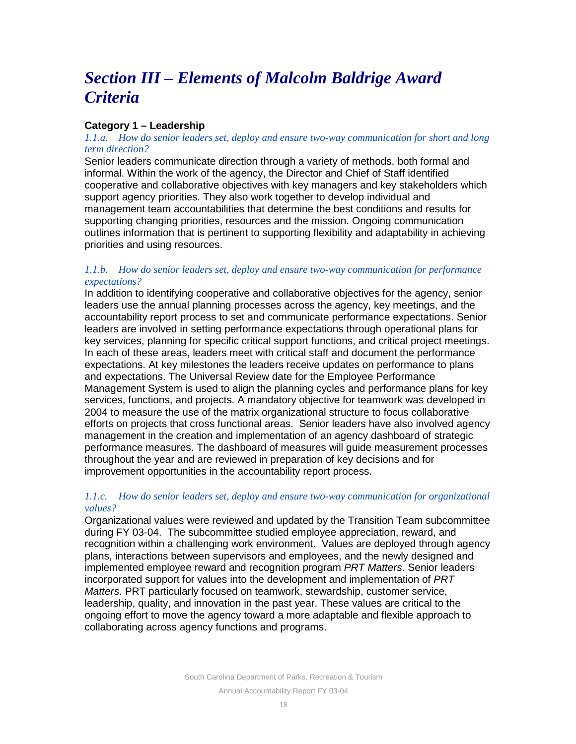# *Section III – Elements of Malcolm Baldrige Award Criteria*

## **Category 1 – Leadership**

## *1.1.a. How do senior leaders set, deploy and ensure two-way communication for short and long term direction?*

Senior leaders communicate direction through a variety of methods, both formal and informal. Within the work of the agency, the Director and Chief of Staff identified cooperative and collaborative objectives with key managers and key stakeholders which support agency priorities. They also work together to develop individual and management team accountabilities that determine the best conditions and results for supporting changing priorities, resources and the mission. Ongoing communication outlines information that is pertinent to supporting flexibility and adaptability in achieving priorities and using resources.

## *1.1.b. How do senior leaders set, deploy and ensure two-way communication for performance expectations?*

In addition to identifying cooperative and collaborative objectives for the agency, senior leaders use the annual planning processes across the agency, key meetings, and the accountability report process to set and communicate performance expectations. Senior leaders are involved in setting performance expectations through operational plans for key services, planning for specific critical support functions, and critical project meetings. In each of these areas, leaders meet with critical staff and document the performance expectations. At key milestones the leaders receive updates on performance to plans and expectations. The Universal Review date for the Employee Performance Management System is used to align the planning cycles and performance plans for key services, functions, and projects. A mandatory objective for teamwork was developed in 2004 to measure the use of the matrix organizational structure to focus collaborative efforts on projects that cross functional areas. Senior leaders have also involved agency management in the creation and implementation of an agency dashboard of strategic performance measures. The dashboard of measures will guide measurement processes throughout the year and are reviewed in preparation of key decisions and for improvement opportunities in the accountability report process.

## *1.1.c. How do senior leaders set, deploy and ensure two-way communication for organizational values?*

Organizational values were reviewed and updated by the Transition Team subcommittee during FY 03-04. The subcommittee studied employee appreciation, reward, and recognition within a challenging work environment. Values are deployed through agency plans, interactions between supervisors and employees, and the newly designed and implemented employee reward and recognition program *PRT Matters*. Senior leaders incorporated support for values into the development and implementation of *PRT Matters*. PRT particularly focused on teamwork, stewardship, customer service, leadership, quality, and innovation in the past year. These values are critical to the ongoing effort to move the agency toward a more adaptable and flexible approach to collaborating across agency functions and programs.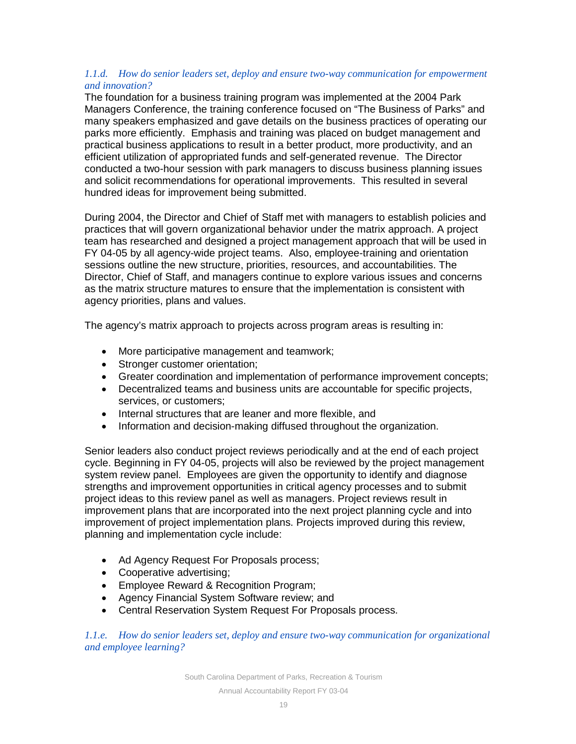## *1.1.d. How do senior leaders set, deploy and ensure two-way communication for empowerment and innovation?*

The foundation for a business training program was implemented at the 2004 Park Managers Conference, the training conference focused on "The Business of Parks" and many speakers emphasized and gave details on the business practices of operating our parks more efficiently. Emphasis and training was placed on budget management and practical business applications to result in a better product, more productivity, and an efficient utilization of appropriated funds and self-generated revenue. The Director conducted a two-hour session with park managers to discuss business planning issues and solicit recommendations for operational improvements. This resulted in several hundred ideas for improvement being submitted.

During 2004, the Director and Chief of Staff met with managers to establish policies and practices that will govern organizational behavior under the matrix approach. A project team has researched and designed a project management approach that will be used in FY 04-05 by all agency-wide project teams. Also, employee-training and orientation sessions outline the new structure, priorities, resources, and accountabilities. The Director, Chief of Staff, and managers continue to explore various issues and concerns as the matrix structure matures to ensure that the implementation is consistent with agency priorities, plans and values.

The agency's matrix approach to projects across program areas is resulting in:

- More participative management and teamwork;
- Stronger customer orientation;
- Greater coordination and implementation of performance improvement concepts;
- Decentralized teams and business units are accountable for specific projects, services, or customers;
- Internal structures that are leaner and more flexible, and
- Information and decision-making diffused throughout the organization.

Senior leaders also conduct project reviews periodically and at the end of each project cycle. Beginning in FY 04-05, projects will also be reviewed by the project management system review panel. Employees are given the opportunity to identify and diagnose strengths and improvement opportunities in critical agency processes and to submit project ideas to this review panel as well as managers. Project reviews result in improvement plans that are incorporated into the next project planning cycle and into improvement of project implementation plans. Projects improved during this review, planning and implementation cycle include:

- Ad Agency Request For Proposals process;
- Cooperative advertising;
- Employee Reward & Recognition Program;
- Agency Financial System Software review; and
- Central Reservation System Request For Proposals process.

*1.1.e. How do senior leaders set, deploy and ensure two-way communication for organizational and employee learning?*

South Carolina Department of Parks, Recreation & Tourism

Annual Accountability Report FY 03-04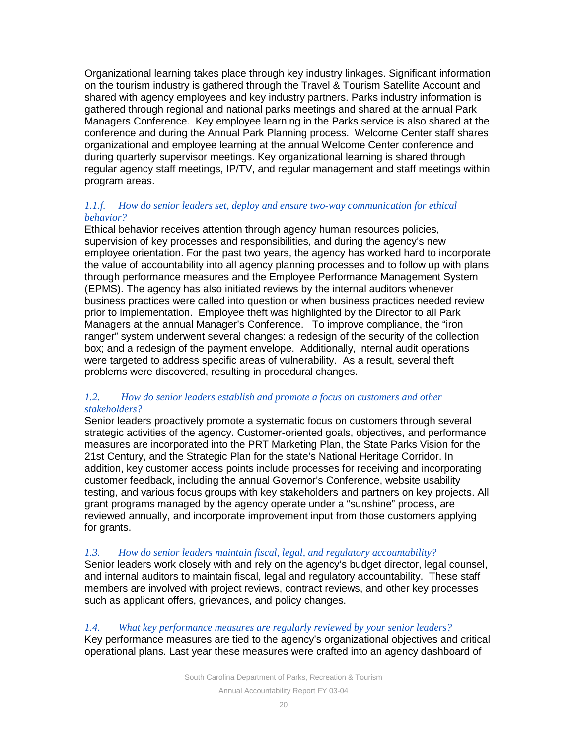Organizational learning takes place through key industry linkages. Significant information on the tourism industry is gathered through the Travel & Tourism Satellite Account and shared with agency employees and key industry partners. Parks industry information is gathered through regional and national parks meetings and shared at the annual Park Managers Conference. Key employee learning in the Parks service is also shared at the conference and during the Annual Park Planning process. Welcome Center staff shares organizational and employee learning at the annual Welcome Center conference and during quarterly supervisor meetings. Key organizational learning is shared through regular agency staff meetings, IP/TV, and regular management and staff meetings within program areas.

## *1.1.f. How do senior leaders set, deploy and ensure two-way communication for ethical behavior?*

Ethical behavior receives attention through agency human resources policies, supervision of key processes and responsibilities, and during the agency's new employee orientation. For the past two years, the agency has worked hard to incorporate the value of accountability into all agency planning processes and to follow up with plans through performance measures and the Employee Performance Management System (EPMS). The agency has also initiated reviews by the internal auditors whenever business practices were called into question or when business practices needed review prior to implementation. Employee theft was highlighted by the Director to all Park Managers at the annual Manager's Conference. To improve compliance, the "iron ranger" system underwent several changes: a redesign of the security of the collection box; and a redesign of the payment envelope. Additionally, internal audit operations were targeted to address specific areas of vulnerability. As a result, several theft problems were discovered, resulting in procedural changes.

## *1.2. How do senior leaders establish and promote a focus on customers and other stakeholders?*

Senior leaders proactively promote a systematic focus on customers through several strategic activities of the agency. Customer-oriented goals, objectives, and performance measures are incorporated into the PRT Marketing Plan, the State Parks Vision for the 21st Century, and the Strategic Plan for the state's National Heritage Corridor. In addition, key customer access points include processes for receiving and incorporating customer feedback, including the annual Governor's Conference, website usability testing, and various focus groups with key stakeholders and partners on key projects. All grant programs managed by the agency operate under a "sunshine" process, are reviewed annually, and incorporate improvement input from those customers applying for grants.

## *1.3. How do senior leaders maintain fiscal, legal, and regulatory accountability?*

Senior leaders work closely with and rely on the agency's budget director, legal counsel, and internal auditors to maintain fiscal, legal and regulatory accountability. These staff members are involved with project reviews, contract reviews, and other key processes such as applicant offers, grievances, and policy changes.

## *1.4. What key performance measures are regularly reviewed by your senior leaders?*

Key performance measures are tied to the agency's organizational objectives and critical operational plans. Last year these measures were crafted into an agency dashboard of

South Carolina Department of Parks, Recreation & Tourism

Annual Accountability Report FY 03-04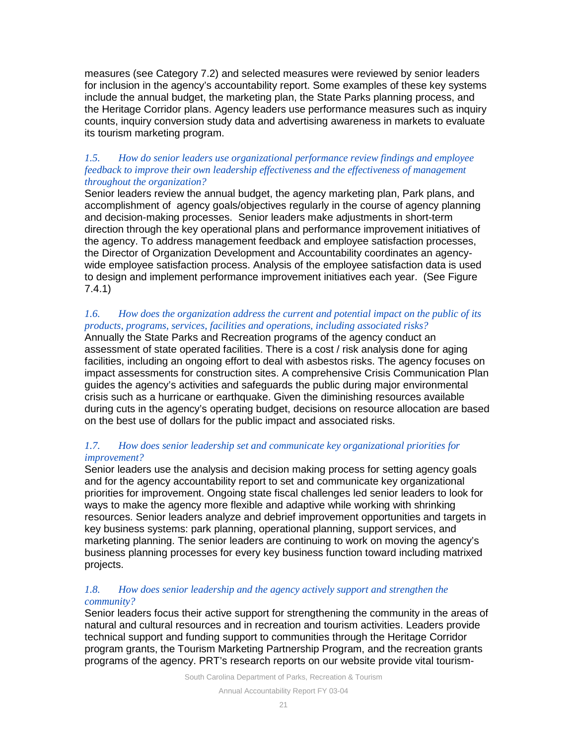measures (see Category 7.2) and selected measures were reviewed by senior leaders for inclusion in the agency's accountability report. Some examples of these key systems include the annual budget, the marketing plan, the State Parks planning process, and the Heritage Corridor plans. Agency leaders use performance measures such as inquiry counts, inquiry conversion study data and advertising awareness in markets to evaluate its tourism marketing program.

## *1.5. How do senior leaders use organizational performance review findings and employee feedback to improve their own leadership effectiveness and the effectiveness of management throughout the organization?*

Senior leaders review the annual budget, the agency marketing plan, Park plans, and accomplishment of agency goals/objectives regularly in the course of agency planning and decision-making processes. Senior leaders make adjustments in short-term direction through the key operational plans and performance improvement initiatives of the agency. To address management feedback and employee satisfaction processes, the Director of Organization Development and Accountability coordinates an agencywide employee satisfaction process. Analysis of the employee satisfaction data is used to design and implement performance improvement initiatives each year. (See Figure 7.4.1)

## *1.6. How does the organization address the current and potential impact on the public of its products, programs, services, facilities and operations, including associated risks?*

Annually the State Parks and Recreation programs of the agency conduct an assessment of state operated facilities. There is a cost / risk analysis done for aging facilities, including an ongoing effort to deal with asbestos risks. The agency focuses on impact assessments for construction sites. A comprehensive Crisis Communication Plan guides the agency's activities and safeguards the public during major environmental crisis such as a hurricane or earthquake. Given the diminishing resources available during cuts in the agency's operating budget, decisions on resource allocation are based on the best use of dollars for the public impact and associated risks.

## *1.7. How does senior leadership set and communicate key organizational priorities for improvement?*

Senior leaders use the analysis and decision making process for setting agency goals and for the agency accountability report to set and communicate key organizational priorities for improvement. Ongoing state fiscal challenges led senior leaders to look for ways to make the agency more flexible and adaptive while working with shrinking resources. Senior leaders analyze and debrief improvement opportunities and targets in key business systems: park planning, operational planning, support services, and marketing planning. The senior leaders are continuing to work on moving the agency's business planning processes for every key business function toward including matrixed projects.

## *1.8. How does senior leadership and the agency actively support and strengthen the community?*

Senior leaders focus their active support for strengthening the community in the areas of natural and cultural resources and in recreation and tourism activities. Leaders provide technical support and funding support to communities through the Heritage Corridor program grants, the Tourism Marketing Partnership Program, and the recreation grants programs of the agency. PRT's research reports on our website provide vital tourism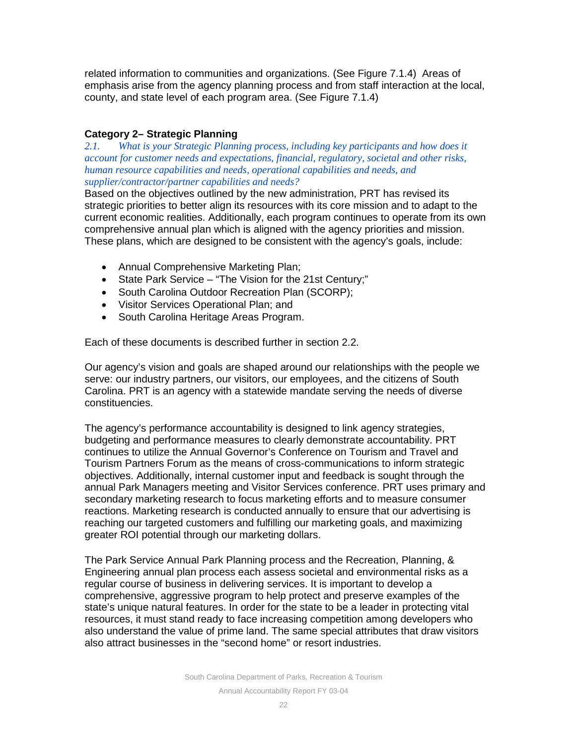related information to communities and organizations. (See Figure 7.1.4) Areas of emphasis arise from the agency planning process and from staff interaction at the local, county, and state level of each program area. (See Figure 7.1.4)

## **Category 2– Strategic Planning**

*2.1. What is your Strategic Planning process, including key participants and how does it account for customer needs and expectations, financial, regulatory, societal and other risks, human resource capabilities and needs, operational capabilities and needs, and supplier/contractor/partner capabilities and needs?*

Based on the objectives outlined by the new administration, PRT has revised its strategic priorities to better align its resources with its core mission and to adapt to the current economic realities. Additionally, each program continues to operate from its own comprehensive annual plan which is aligned with the agency priorities and mission. These plans, which are designed to be consistent with the agency's goals, include:

- Annual Comprehensive Marketing Plan;
- State Park Service "The Vision for the 21st Century;"
- South Carolina Outdoor Recreation Plan (SCORP);
- Visitor Services Operational Plan; and
- South Carolina Heritage Areas Program.

Each of these documents is described further in section 2.2.

Our agency's vision and goals are shaped around our relationships with the people we serve: our industry partners, our visitors, our employees, and the citizens of South Carolina. PRT is an agency with a statewide mandate serving the needs of diverse constituencies.

The agency's performance accountability is designed to link agency strategies, budgeting and performance measures to clearly demonstrate accountability. PRT continues to utilize the Annual Governor's Conference on Tourism and Travel and Tourism Partners Forum as the means of cross-communications to inform strategic objectives. Additionally, internal customer input and feedback is sought through the annual Park Managers meeting and Visitor Services conference. PRT uses primary and secondary marketing research to focus marketing efforts and to measure consumer reactions. Marketing research is conducted annually to ensure that our advertising is reaching our targeted customers and fulfilling our marketing goals, and maximizing greater ROI potential through our marketing dollars.

The Park Service Annual Park Planning process and the Recreation, Planning, & Engineering annual plan process each assess societal and environmental risks as a regular course of business in delivering services. It is important to develop a comprehensive, aggressive program to help protect and preserve examples of the state's unique natural features. In order for the state to be a leader in protecting vital resources, it must stand ready to face increasing competition among developers who also understand the value of prime land. The same special attributes that draw visitors also attract businesses in the "second home" or resort industries.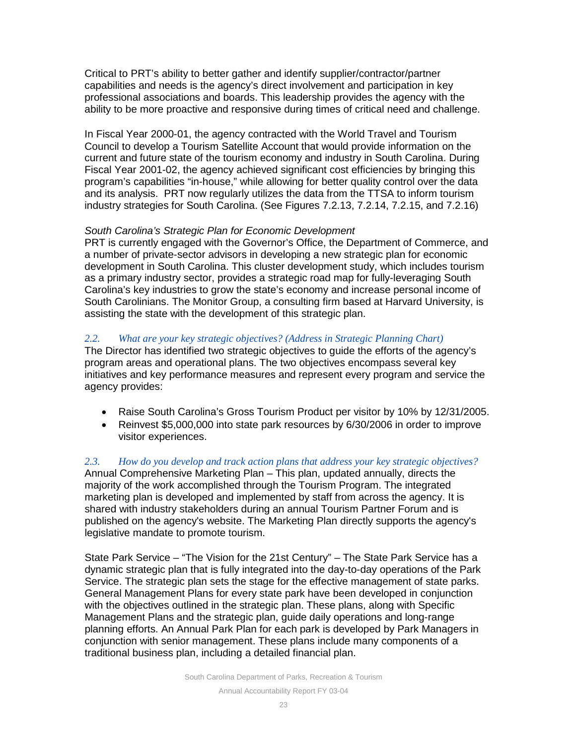Critical to PRT's ability to better gather and identify supplier/contractor/partner capabilities and needs is the agency's direct involvement and participation in key professional associations and boards. This leadership provides the agency with the ability to be more proactive and responsive during times of critical need and challenge.

In Fiscal Year 2000-01, the agency contracted with the World Travel and Tourism Council to develop a Tourism Satellite Account that would provide information on the current and future state of the tourism economy and industry in South Carolina. During Fiscal Year 2001-02, the agency achieved significant cost efficiencies by bringing this program's capabilities "in-house," while allowing for better quality control over the data and its analysis. PRT now regularly utilizes the data from the TTSA to inform tourism industry strategies for South Carolina. (See Figures 7.2.13, 7.2.14, 7.2.15, and 7.2.16)

## *South Carolina's Strategic Plan for Economic Development*

PRT is currently engaged with the Governor's Office, the Department of Commerce, and a number of private-sector advisors in developing a new strategic plan for economic development in South Carolina. This cluster development study, which includes tourism as a primary industry sector, provides a strategic road map for fully-leveraging South Carolina's key industries to grow the state's economy and increase personal income of South Carolinians. The Monitor Group, a consulting firm based at Harvard University, is assisting the state with the development of this strategic plan.

## *2.2. What are your key strategic objectives? (Address in Strategic Planning Chart)*

The Director has identified two strategic objectives to guide the efforts of the agency's program areas and operational plans. The two objectives encompass several key initiatives and key performance measures and represent every program and service the agency provides:

- Raise South Carolina's Gross Tourism Product per visitor by 10% by 12/31/2005.
- Reinvest \$5,000,000 into state park resources by 6/30/2006 in order to improve visitor experiences.

*2.3. How do you develop and track action plans that address your key strategic objectives?* Annual Comprehensive Marketing Plan – This plan, updated annually, directs the majority of the work accomplished through the Tourism Program. The integrated marketing plan is developed and implemented by staff from across the agency. It is shared with industry stakeholders during an annual Tourism Partner Forum and is published on the agency's website. The Marketing Plan directly supports the agency's legislative mandate to promote tourism.

State Park Service – "The Vision for the 21st Century" – The State Park Service has a dynamic strategic plan that is fully integrated into the day-to-day operations of the Park Service. The strategic plan sets the stage for the effective management of state parks. General Management Plans for every state park have been developed in conjunction with the objectives outlined in the strategic plan. These plans, along with Specific Management Plans and the strategic plan, guide daily operations and long-range planning efforts. An Annual Park Plan for each park is developed by Park Managers in conjunction with senior management. These plans include many components of a traditional business plan, including a detailed financial plan.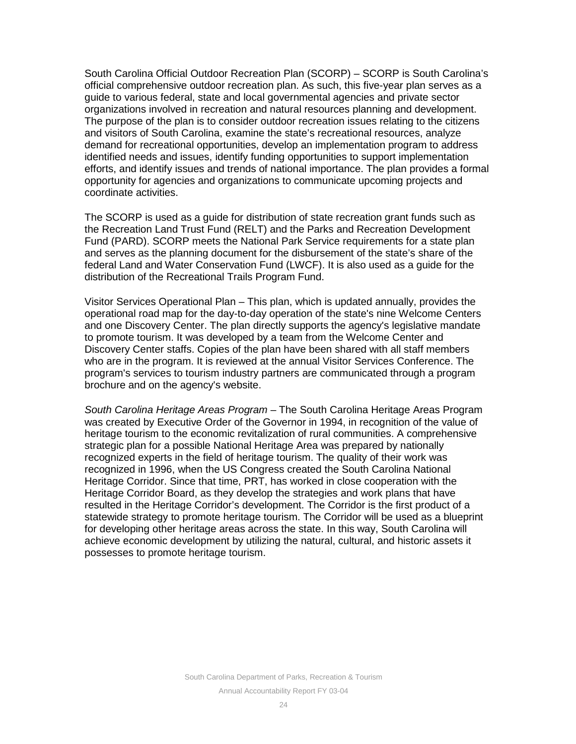South Carolina Official Outdoor Recreation Plan (SCORP) – SCORP is South Carolina's official comprehensive outdoor recreation plan. As such, this five-year plan serves as a guide to various federal, state and local governmental agencies and private sector organizations involved in recreation and natural resources planning and development. The purpose of the plan is to consider outdoor recreation issues relating to the citizens and visitors of South Carolina, examine the state's recreational resources, analyze demand for recreational opportunities, develop an implementation program to address identified needs and issues, identify funding opportunities to support implementation efforts, and identify issues and trends of national importance. The plan provides a formal opportunity for agencies and organizations to communicate upcoming projects and coordinate activities.

The SCORP is used as a guide for distribution of state recreation grant funds such as the Recreation Land Trust Fund (RELT) and the Parks and Recreation Development Fund (PARD). SCORP meets the National Park Service requirements for a state plan and serves as the planning document for the disbursement of the state's share of the federal Land and Water Conservation Fund (LWCF). It is also used as a guide for the distribution of the Recreational Trails Program Fund.

Visitor Services Operational Plan – This plan, which is updated annually, provides the operational road map for the day-to-day operation of the state's nine Welcome Centers and one Discovery Center. The plan directly supports the agency's legislative mandate to promote tourism. It was developed by a team from the Welcome Center and Discovery Center staffs. Copies of the plan have been shared with all staff members who are in the program. It is reviewed at the annual Visitor Services Conference. The program's services to tourism industry partners are communicated through a program brochure and on the agency's website.

*South Carolina Heritage Areas Program* – The South Carolina Heritage Areas Program was created by Executive Order of the Governor in 1994, in recognition of the value of heritage tourism to the economic revitalization of rural communities. A comprehensive strategic plan for a possible National Heritage Area was prepared by nationally recognized experts in the field of heritage tourism. The quality of their work was recognized in 1996, when the US Congress created the South Carolina National Heritage Corridor. Since that time, PRT, has worked in close cooperation with the Heritage Corridor Board, as they develop the strategies and work plans that have resulted in the Heritage Corridor's development. The Corridor is the first product of a statewide strategy to promote heritage tourism. The Corridor will be used as a blueprint for developing other heritage areas across the state. In this way, South Carolina will achieve economic development by utilizing the natural, cultural, and historic assets it possesses to promote heritage tourism.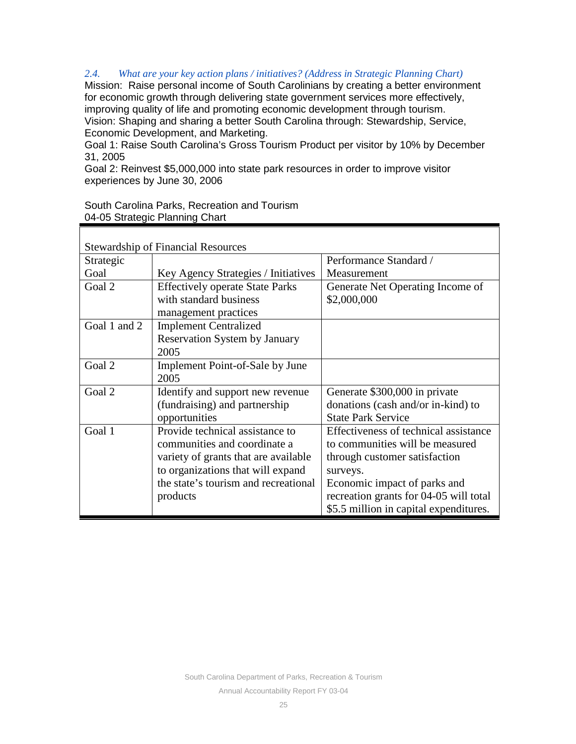## *2.4. What are your key action plans / initiatives? (Address in Strategic Planning Chart)*

Mission: Raise personal income of South Carolinians by creating a better environment for economic growth through delivering state government services more effectively, improving quality of life and promoting economic development through tourism. Vision: Shaping and sharing a better South Carolina through: Stewardship, Service, Economic Development, and Marketing.

Goal 1: Raise South Carolina's Gross Tourism Product per visitor by 10% by December 31, 2005

Goal 2: Reinvest \$5,000,000 into state park resources in order to improve visitor experiences by June 30, 2006

|                                | South Carolina Parks, Recreation and Tourism |
|--------------------------------|----------------------------------------------|
| 04-05 Strategic Planning Chart |                                              |

| <b>Stewardship of Financial Resources</b> |                                                                  |                                                 |  |  |  |  |  |
|-------------------------------------------|------------------------------------------------------------------|-------------------------------------------------|--|--|--|--|--|
| Strategic                                 |                                                                  | Performance Standard /                          |  |  |  |  |  |
| Goal                                      | Key Agency Strategies / Initiatives                              | Measurement                                     |  |  |  |  |  |
| Goal 2                                    | <b>Effectively operate State Parks</b><br>with standard business | Generate Net Operating Income of<br>\$2,000,000 |  |  |  |  |  |
|                                           | management practices                                             |                                                 |  |  |  |  |  |
| Goal 1 and 2                              | <b>Implement Centralized</b>                                     |                                                 |  |  |  |  |  |
|                                           | <b>Reservation System by January</b>                             |                                                 |  |  |  |  |  |
|                                           | 2005                                                             |                                                 |  |  |  |  |  |
| Goal 2                                    | Implement Point-of-Sale by June                                  |                                                 |  |  |  |  |  |
|                                           | 2005                                                             |                                                 |  |  |  |  |  |
| Goal 2                                    | Identify and support new revenue                                 | Generate \$300,000 in private                   |  |  |  |  |  |
|                                           | (fundraising) and partnership                                    | donations (cash and/or in-kind) to              |  |  |  |  |  |
|                                           | opportunities                                                    | <b>State Park Service</b>                       |  |  |  |  |  |
| Goal 1                                    | Provide technical assistance to                                  | Effectiveness of technical assistance           |  |  |  |  |  |
|                                           | communities and coordinate a                                     | to communities will be measured                 |  |  |  |  |  |
|                                           | variety of grants that are available                             | through customer satisfaction                   |  |  |  |  |  |
|                                           | to organizations that will expand                                | surveys.                                        |  |  |  |  |  |
|                                           | the state's tourism and recreational                             | Economic impact of parks and                    |  |  |  |  |  |
|                                           | products                                                         | recreation grants for 04-05 will total          |  |  |  |  |  |
|                                           |                                                                  | \$5.5 million in capital expenditures.          |  |  |  |  |  |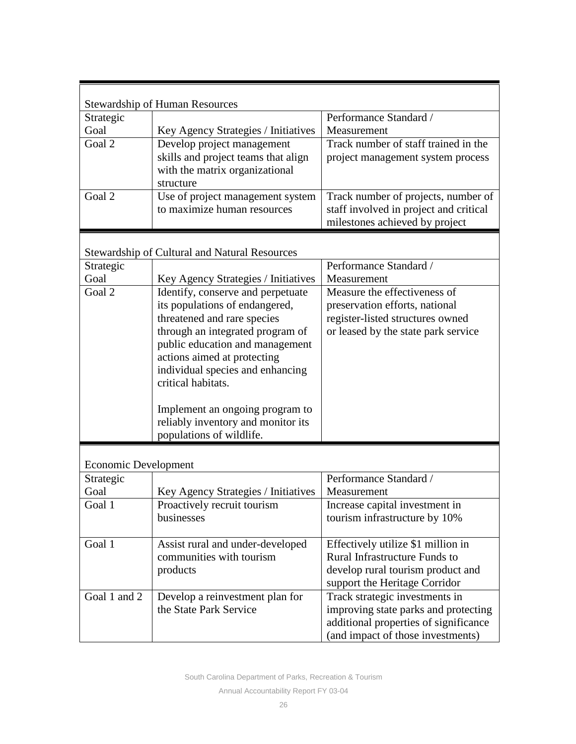|                             | <b>Stewardship of Human Resources</b>                |                                        |
|-----------------------------|------------------------------------------------------|----------------------------------------|
| Strategic                   |                                                      | Performance Standard /                 |
| Goal                        | Key Agency Strategies / Initiatives                  | Measurement                            |
| Goal 2                      | Develop project management                           | Track number of staff trained in the   |
|                             | skills and project teams that align                  | project management system process      |
|                             | with the matrix organizational                       |                                        |
|                             | structure                                            |                                        |
| Goal 2                      | Use of project management system                     | Track number of projects, number of    |
|                             | to maximize human resources                          | staff involved in project and critical |
|                             |                                                      | milestones achieved by project         |
|                             |                                                      |                                        |
|                             | <b>Stewardship of Cultural and Natural Resources</b> |                                        |
| Strategic                   |                                                      | Performance Standard /                 |
| Goal                        | Key Agency Strategies / Initiatives                  | Measurement                            |
| Goal 2                      | Identify, conserve and perpetuate                    | Measure the effectiveness of           |
|                             | its populations of endangered,                       | preservation efforts, national         |
|                             | threatened and rare species                          | register-listed structures owned       |
|                             | through an integrated program of                     | or leased by the state park service    |
|                             | public education and management                      |                                        |
|                             | actions aimed at protecting                          |                                        |
|                             | individual species and enhancing                     |                                        |
|                             | critical habitats.                                   |                                        |
|                             |                                                      |                                        |
|                             | Implement an ongoing program to                      |                                        |
|                             | reliably inventory and monitor its                   |                                        |
|                             | populations of wildlife.                             |                                        |
|                             |                                                      |                                        |
| <b>Economic Development</b> |                                                      |                                        |
| Strategic                   |                                                      | Performance Standard /                 |
| Goal                        | Key Agency Strategies / Initiatives                  | Measurement                            |
| Goal 1                      | Proactively recruit tourism                          | Increase capital investment in         |
|                             | businesses                                           | tourism infrastructure by 10%          |
|                             |                                                      |                                        |
| Goal 1                      | Assist rural and under-developed                     | Effectively utilize \$1 million in     |
|                             | communities with tourism                             | <b>Rural Infrastructure Funds to</b>   |
|                             | products                                             | develop rural tourism product and      |
|                             |                                                      | support the Heritage Corridor          |
| Goal 1 and 2                | Develop a reinvestment plan for                      | Track strategic investments in         |
|                             | the State Park Service                               | improving state parks and protecting   |
|                             |                                                      | additional properties of significance  |
|                             |                                                      | (and impact of those investments)      |

South Carolina Department of Parks, Recreation & Tourism Annual Accountability Report FY 03-04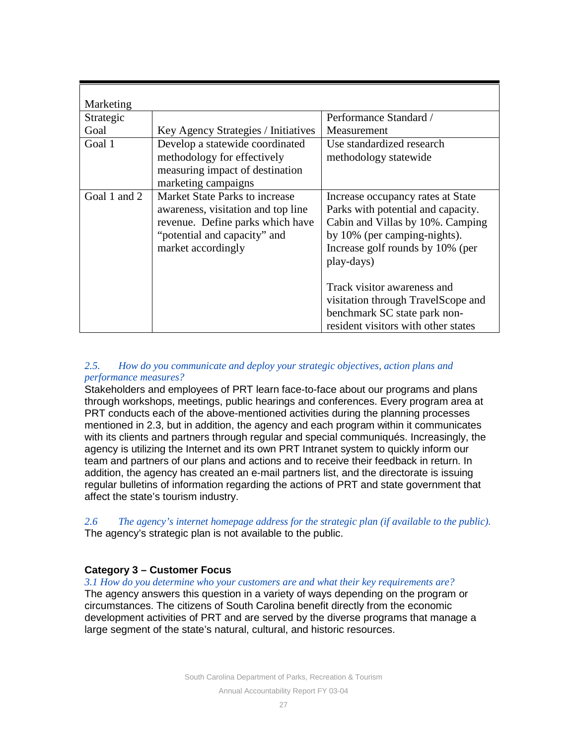| Marketing    |                                                                                                                                                                |                                                                                                                                                                                                                                                                                                                                           |
|--------------|----------------------------------------------------------------------------------------------------------------------------------------------------------------|-------------------------------------------------------------------------------------------------------------------------------------------------------------------------------------------------------------------------------------------------------------------------------------------------------------------------------------------|
| Strategic    |                                                                                                                                                                | Performance Standard /                                                                                                                                                                                                                                                                                                                    |
| Goal         | Key Agency Strategies / Initiatives                                                                                                                            | Measurement                                                                                                                                                                                                                                                                                                                               |
| Goal 1       | Develop a statewide coordinated<br>methodology for effectively<br>measuring impact of destination<br>marketing campaigns                                       | Use standardized research<br>methodology statewide                                                                                                                                                                                                                                                                                        |
| Goal 1 and 2 | Market State Parks to increase<br>awareness, visitation and top line<br>revenue. Define parks which have<br>"potential and capacity" and<br>market accordingly | Increase occupancy rates at State<br>Parks with potential and capacity.<br>Cabin and Villas by 10%. Camping<br>by 10% (per camping-nights).<br>Increase golf rounds by 10% (per<br>play-days)<br>Track visitor awareness and<br>visitation through TravelScope and<br>benchmark SC state park non-<br>resident visitors with other states |

## *2.5. How do you communicate and deploy your strategic objectives, action plans and performance measures?*

Stakeholders and employees of PRT learn face-to-face about our programs and plans through workshops, meetings, public hearings and conferences. Every program area at PRT conducts each of the above-mentioned activities during the planning processes mentioned in 2.3, but in addition, the agency and each program within it communicates with its clients and partners through regular and special communiqués. Increasingly, the agency is utilizing the Internet and its own PRT Intranet system to quickly inform our team and partners of our plans and actions and to receive their feedback in return. In addition, the agency has created an e-mail partners list, and the directorate is issuing regular bulletins of information regarding the actions of PRT and state government that affect the state's tourism industry.

*2.6 The agency's internet homepage address for the strategic plan (if available to the public).* The agency's strategic plan is not available to the public.

## **Category 3 – Customer Focus**

*3.1 How do you determine who your customers are and what their key requirements are?* The agency answers this question in a variety of ways depending on the program or circumstances. The citizens of South Carolina benefit directly from the economic development activities of PRT and are served by the diverse programs that manage a large segment of the state's natural, cultural, and historic resources.

Annual Accountability Report FY 03-04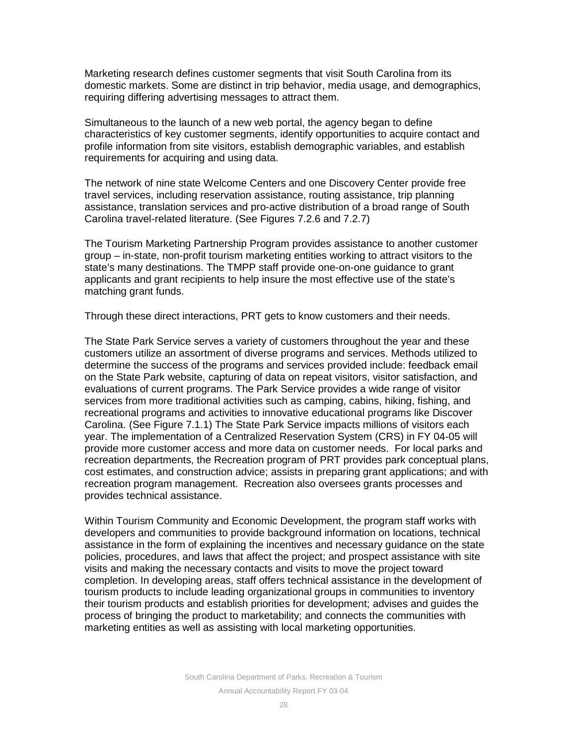Marketing research defines customer segments that visit South Carolina from its domestic markets. Some are distinct in trip behavior, media usage, and demographics, requiring differing advertising messages to attract them.

Simultaneous to the launch of a new web portal, the agency began to define characteristics of key customer segments, identify opportunities to acquire contact and profile information from site visitors, establish demographic variables, and establish requirements for acquiring and using data.

The network of nine state Welcome Centers and one Discovery Center provide free travel services, including reservation assistance, routing assistance, trip planning assistance, translation services and pro-active distribution of a broad range of South Carolina travel-related literature. (See Figures 7.2.6 and 7.2.7)

The Tourism Marketing Partnership Program provides assistance to another customer group – in-state, non-profit tourism marketing entities working to attract visitors to the state's many destinations. The TMPP staff provide one-on-one guidance to grant applicants and grant recipients to help insure the most effective use of the state's matching grant funds.

Through these direct interactions, PRT gets to know customers and their needs.

The State Park Service serves a variety of customers throughout the year and these customers utilize an assortment of diverse programs and services. Methods utilized to determine the success of the programs and services provided include: feedback email on the State Park website, capturing of data on repeat visitors, visitor satisfaction, and evaluations of current programs. The Park Service provides a wide range of visitor services from more traditional activities such as camping, cabins, hiking, fishing, and recreational programs and activities to innovative educational programs like Discover Carolina. (See Figure 7.1.1) The State Park Service impacts millions of visitors each year. The implementation of a Centralized Reservation System (CRS) in FY 04-05 will provide more customer access and more data on customer needs. For local parks and recreation departments, the Recreation program of PRT provides park conceptual plans, cost estimates, and construction advice; assists in preparing grant applications; and with recreation program management. Recreation also oversees grants processes and provides technical assistance.

Within Tourism Community and Economic Development, the program staff works with developers and communities to provide background information on locations, technical assistance in the form of explaining the incentives and necessary guidance on the state policies, procedures, and laws that affect the project; and prospect assistance with site visits and making the necessary contacts and visits to move the project toward completion. In developing areas, staff offers technical assistance in the development of tourism products to include leading organizational groups in communities to inventory their tourism products and establish priorities for development; advises and guides the process of bringing the product to marketability; and connects the communities with marketing entities as well as assisting with local marketing opportunities.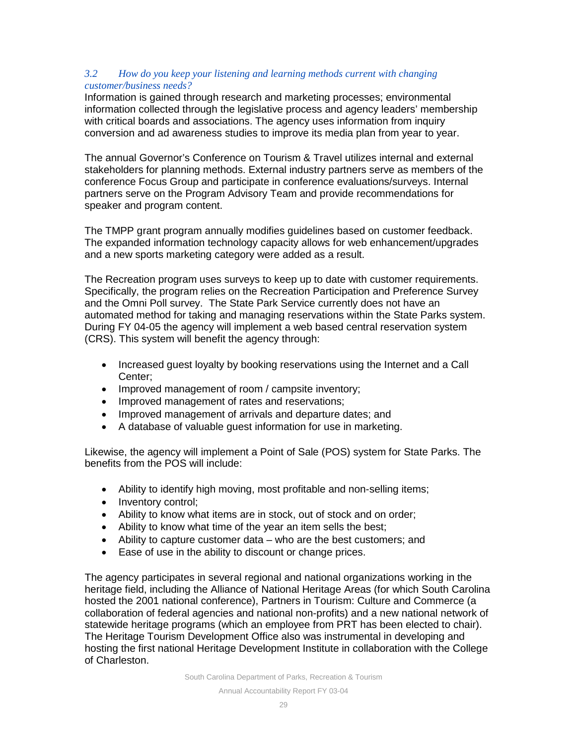## *3.2 How do you keep your listening and learning methods current with changing customer/business needs?*

Information is gained through research and marketing processes; environmental information collected through the legislative process and agency leaders' membership with critical boards and associations. The agency uses information from inquiry conversion and ad awareness studies to improve its media plan from year to year.

The annual Governor's Conference on Tourism & Travel utilizes internal and external stakeholders for planning methods. External industry partners serve as members of the conference Focus Group and participate in conference evaluations/surveys. Internal partners serve on the Program Advisory Team and provide recommendations for speaker and program content.

The TMPP grant program annually modifies guidelines based on customer feedback. The expanded information technology capacity allows for web enhancement/upgrades and a new sports marketing category were added as a result.

The Recreation program uses surveys to keep up to date with customer requirements. Specifically, the program relies on the Recreation Participation and Preference Survey and the Omni Poll survey. The State Park Service currently does not have an automated method for taking and managing reservations within the State Parks system. During FY 04-05 the agency will implement a web based central reservation system (CRS). This system will benefit the agency through:

- Increased guest loyalty by booking reservations using the Internet and a Call Center;
- Improved management of room / campsite inventory;
- Improved management of rates and reservations;
- Improved management of arrivals and departure dates; and
- A database of valuable guest information for use in marketing.

Likewise, the agency will implement a Point of Sale (POS) system for State Parks. The benefits from the POS will include:

- Ability to identify high moving, most profitable and non-selling items;
- Inventory control;
- Ability to know what items are in stock, out of stock and on order;
- Ability to know what time of the year an item sells the best;
- Ability to capture customer data who are the best customers; and
- Ease of use in the ability to discount or change prices.

The agency participates in several regional and national organizations working in the heritage field, including the Alliance of National Heritage Areas (for which South Carolina hosted the 2001 national conference), Partners in Tourism: Culture and Commerce (a collaboration of federal agencies and national non-profits) and a new national network of statewide heritage programs (which an employee from PRT has been elected to chair). The Heritage Tourism Development Office also was instrumental in developing and hosting the first national Heritage Development Institute in collaboration with the College of Charleston.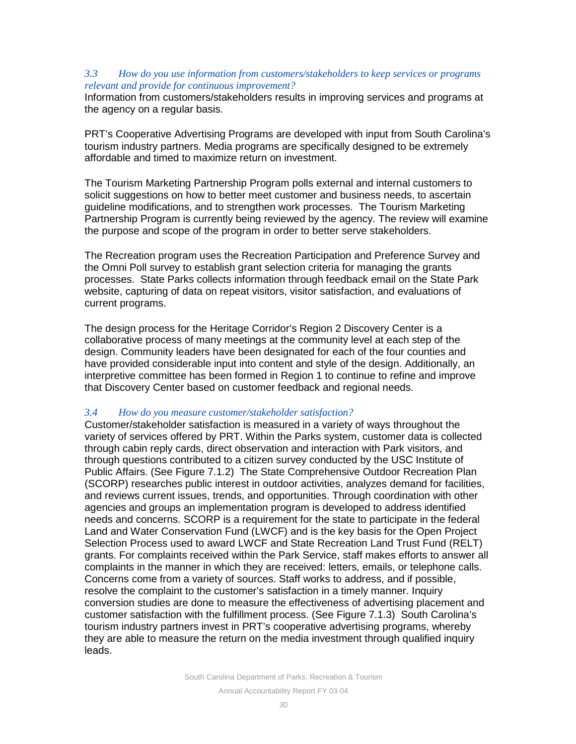## *3.3 How do you use information from customers/stakeholders to keep services or programs relevant and provide for continuous improvement?*

Information from customers/stakeholders results in improving services and programs at the agency on a regular basis.

PRT's Cooperative Advertising Programs are developed with input from South Carolina's tourism industry partners. Media programs are specifically designed to be extremely affordable and timed to maximize return on investment.

The Tourism Marketing Partnership Program polls external and internal customers to solicit suggestions on how to better meet customer and business needs, to ascertain guideline modifications, and to strengthen work processes. The Tourism Marketing Partnership Program is currently being reviewed by the agency. The review will examine the purpose and scope of the program in order to better serve stakeholders.

The Recreation program uses the Recreation Participation and Preference Survey and the Omni Poll survey to establish grant selection criteria for managing the grants processes. State Parks collects information through feedback email on the State Park website, capturing of data on repeat visitors, visitor satisfaction, and evaluations of current programs.

The design process for the Heritage Corridor's Region 2 Discovery Center is a collaborative process of many meetings at the community level at each step of the design. Community leaders have been designated for each of the four counties and have provided considerable input into content and style of the design. Additionally, an interpretive committee has been formed in Region 1 to continue to refine and improve that Discovery Center based on customer feedback and regional needs.

## *3.4 How do you measure customer/stakeholder satisfaction?*

Customer/stakeholder satisfaction is measured in a variety of ways throughout the variety of services offered by PRT. Within the Parks system, customer data is collected through cabin reply cards, direct observation and interaction with Park visitors, and through questions contributed to a citizen survey conducted by the USC Institute of Public Affairs. (See Figure 7.1.2) The State Comprehensive Outdoor Recreation Plan (SCORP) researches public interest in outdoor activities, analyzes demand for facilities, and reviews current issues, trends, and opportunities. Through coordination with other agencies and groups an implementation program is developed to address identified needs and concerns. SCORP is a requirement for the state to participate in the federal Land and Water Conservation Fund (LWCF) and is the key basis for the Open Project Selection Process used to award LWCF and State Recreation Land Trust Fund (RELT) grants. For complaints received within the Park Service, staff makes efforts to answer all complaints in the manner in which they are received: letters, emails, or telephone calls. Concerns come from a variety of sources. Staff works to address, and if possible, resolve the complaint to the customer's satisfaction in a timely manner. Inquiry conversion studies are done to measure the effectiveness of advertising placement and customer satisfaction with the fulfillment process. (See Figure 7.1.3) South Carolina's tourism industry partners invest in PRT's cooperative advertising programs, whereby they are able to measure the return on the media investment through qualified inquiry leads.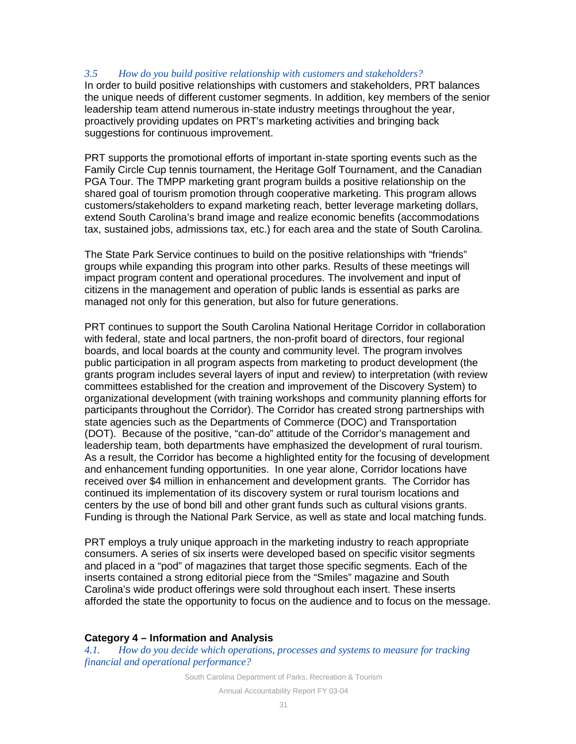## *3.5 How do you build positive relationship with customers and stakeholders?*

In order to build positive relationships with customers and stakeholders, PRT balances the unique needs of different customer segments. In addition, key members of the senior leadership team attend numerous in-state industry meetings throughout the year, proactively providing updates on PRT's marketing activities and bringing back suggestions for continuous improvement.

PRT supports the promotional efforts of important in-state sporting events such as the Family Circle Cup tennis tournament, the Heritage Golf Tournament, and the Canadian PGA Tour. The TMPP marketing grant program builds a positive relationship on the shared goal of tourism promotion through cooperative marketing. This program allows customers/stakeholders to expand marketing reach, better leverage marketing dollars, extend South Carolina's brand image and realize economic benefits (accommodations tax, sustained jobs, admissions tax, etc.) for each area and the state of South Carolina.

The State Park Service continues to build on the positive relationships with "friends" groups while expanding this program into other parks. Results of these meetings will impact program content and operational procedures. The involvement and input of citizens in the management and operation of public lands is essential as parks are managed not only for this generation, but also for future generations.

PRT continues to support the South Carolina National Heritage Corridor in collaboration with federal, state and local partners, the non-profit board of directors, four regional boards, and local boards at the county and community level. The program involves public participation in all program aspects from marketing to product development (the grants program includes several layers of input and review) to interpretation (with review committees established for the creation and improvement of the Discovery System) to organizational development (with training workshops and community planning efforts for participants throughout the Corridor). The Corridor has created strong partnerships with state agencies such as the Departments of Commerce (DOC) and Transportation (DOT). Because of the positive, "can-do" attitude of the Corridor's management and leadership team, both departments have emphasized the development of rural tourism. As a result, the Corridor has become a highlighted entity for the focusing of development and enhancement funding opportunities. In one year alone, Corridor locations have received over \$4 million in enhancement and development grants. The Corridor has continued its implementation of its discovery system or rural tourism locations and centers by the use of bond bill and other grant funds such as cultural visions grants. Funding is through the National Park Service, as well as state and local matching funds.

PRT employs a truly unique approach in the marketing industry to reach appropriate consumers. A series of six inserts were developed based on specific visitor segments and placed in a "pod" of magazines that target those specific segments. Each of the inserts contained a strong editorial piece from the "Smiles" magazine and South Carolina's wide product offerings were sold throughout each insert. These inserts afforded the state the opportunity to focus on the audience and to focus on the message.

## **Category 4 – Information and Analysis**

*4.1. How do you decide which operations, processes and systems to measure for tracking financial and operational performance?*

South Carolina Department of Parks, Recreation & Tourism

Annual Accountability Report FY 03-04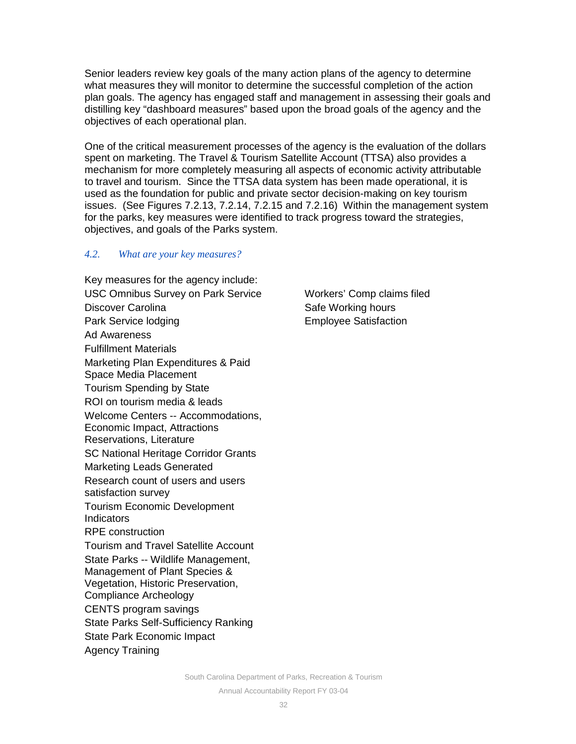Senior leaders review key goals of the many action plans of the agency to determine what measures they will monitor to determine the successful completion of the action plan goals. The agency has engaged staff and management in assessing their goals and distilling key "dashboard measures" based upon the broad goals of the agency and the objectives of each operational plan.

One of the critical measurement processes of the agency is the evaluation of the dollars spent on marketing. The Travel & Tourism Satellite Account (TTSA) also provides a mechanism for more completely measuring all aspects of economic activity attributable to travel and tourism. Since the TTSA data system has been made operational, it is used as the foundation for public and private sector decision-making on key tourism issues. (See Figures 7.2.13, 7.2.14, 7.2.15 and 7.2.16) Within the management system for the parks, key measures were identified to track progress toward the strategies, objectives, and goals of the Parks system.

## *4.2. What are your key measures?*

Key measures for the agency include: USC Omnibus Survey on Park Service Discover Carolina Park Service lodging Ad Awareness Fulfillment Materials Marketing Plan Expenditures & Paid Space Media Placement Tourism Spending by State ROI on tourism media & leads Welcome Centers -- Accommodations, Economic Impact, Attractions Reservations, Literature SC National Heritage Corridor Grants Marketing Leads Generated Research count of users and users satisfaction survey Tourism Economic Development Indicators RPE construction Tourism and Travel Satellite Account State Parks -- Wildlife Management, Management of Plant Species & Vegetation, Historic Preservation, Compliance Archeology CENTS program savings State Parks Self-Sufficiency Ranking State Park Economic Impact Agency Training

Workers' Comp claims filed Safe Working hours Employee Satisfaction

South Carolina Department of Parks, Recreation & Tourism Annual Accountability Report FY 03-04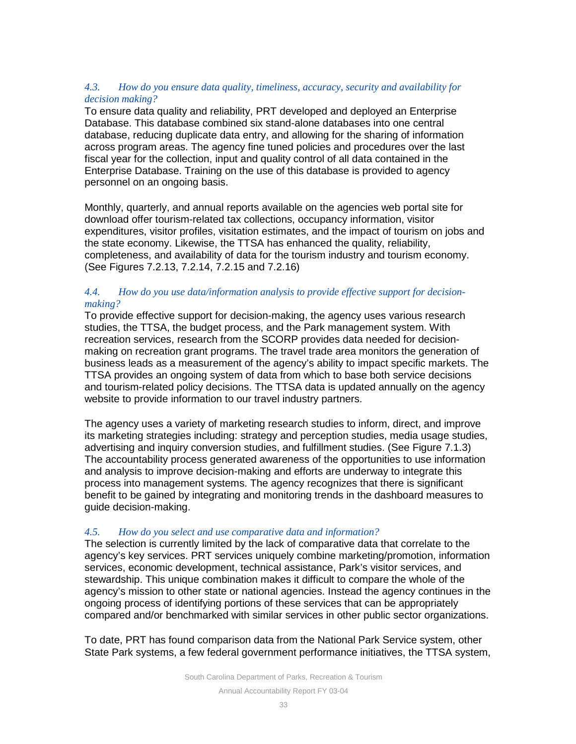## *4.3. How do you ensure data quality, timeliness, accuracy, security and availability for decision making?*

To ensure data quality and reliability, PRT developed and deployed an Enterprise Database. This database combined six stand-alone databases into one central database, reducing duplicate data entry, and allowing for the sharing of information across program areas. The agency fine tuned policies and procedures over the last fiscal year for the collection, input and quality control of all data contained in the Enterprise Database. Training on the use of this database is provided to agency personnel on an ongoing basis.

Monthly, quarterly, and annual reports available on the agencies web portal site for download offer tourism-related tax collections, occupancy information, visitor expenditures, visitor profiles, visitation estimates, and the impact of tourism on jobs and the state economy. Likewise, the TTSA has enhanced the quality, reliability, completeness, and availability of data for the tourism industry and tourism economy. (See Figures 7.2.13, 7.2.14, 7.2.15 and 7.2.16)

## *4.4. How do you use data/information analysis to provide effective support for decisionmaking?*

To provide effective support for decision-making, the agency uses various research studies, the TTSA, the budget process, and the Park management system. With recreation services, research from the SCORP provides data needed for decisionmaking on recreation grant programs. The travel trade area monitors the generation of business leads as a measurement of the agency's ability to impact specific markets. The TTSA provides an ongoing system of data from which to base both service decisions and tourism-related policy decisions. The TTSA data is updated annually on the agency website to provide information to our travel industry partners.

The agency uses a variety of marketing research studies to inform, direct, and improve its marketing strategies including: strategy and perception studies, media usage studies, advertising and inquiry conversion studies, and fulfillment studies. (See Figure 7.1.3) The accountability process generated awareness of the opportunities to use information and analysis to improve decision-making and efforts are underway to integrate this process into management systems. The agency recognizes that there is significant benefit to be gained by integrating and monitoring trends in the dashboard measures to guide decision-making.

## *4.5. How do you select and use comparative data and information?*

The selection is currently limited by the lack of comparative data that correlate to the agency's key services. PRT services uniquely combine marketing/promotion, information services, economic development, technical assistance, Park's visitor services, and stewardship. This unique combination makes it difficult to compare the whole of the agency's mission to other state or national agencies. Instead the agency continues in the ongoing process of identifying portions of these services that can be appropriately compared and/or benchmarked with similar services in other public sector organizations.

To date, PRT has found comparison data from the National Park Service system, other State Park systems, a few federal government performance initiatives, the TTSA system,

South Carolina Department of Parks, Recreation & Tourism

Annual Accountability Report FY 03-04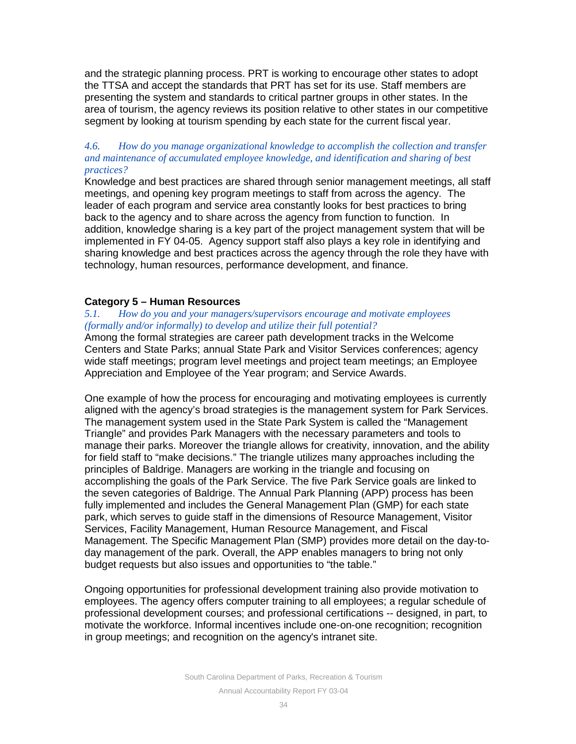and the strategic planning process. PRT is working to encourage other states to adopt the TTSA and accept the standards that PRT has set for its use. Staff members are presenting the system and standards to critical partner groups in other states. In the area of tourism, the agency reviews its position relative to other states in our competitive segment by looking at tourism spending by each state for the current fiscal year.

## *4.6. How do you manage organizational knowledge to accomplish the collection and transfer and maintenance of accumulated employee knowledge, and identification and sharing of best practices?*

Knowledge and best practices are shared through senior management meetings, all staff meetings, and opening key program meetings to staff from across the agency. The leader of each program and service area constantly looks for best practices to bring back to the agency and to share across the agency from function to function. In addition, knowledge sharing is a key part of the project management system that will be implemented in FY 04-05. Agency support staff also plays a key role in identifying and sharing knowledge and best practices across the agency through the role they have with technology, human resources, performance development, and finance.

## **Category 5 – Human Resources**

## *5.1. How do you and your managers/supervisors encourage and motivate employees (formally and/or informally) to develop and utilize their full potential?*

Among the formal strategies are career path development tracks in the Welcome Centers and State Parks; annual State Park and Visitor Services conferences; agency wide staff meetings; program level meetings and project team meetings; an Employee Appreciation and Employee of the Year program; and Service Awards.

One example of how the process for encouraging and motivating employees is currently aligned with the agency's broad strategies is the management system for Park Services. The management system used in the State Park System is called the "Management Triangle" and provides Park Managers with the necessary parameters and tools to manage their parks. Moreover the triangle allows for creativity, innovation, and the ability for field staff to "make decisions." The triangle utilizes many approaches including the principles of Baldrige. Managers are working in the triangle and focusing on accomplishing the goals of the Park Service. The five Park Service goals are linked to the seven categories of Baldrige. The Annual Park Planning (APP) process has been fully implemented and includes the General Management Plan (GMP) for each state park, which serves to guide staff in the dimensions of Resource Management, Visitor Services, Facility Management, Human Resource Management, and Fiscal Management. The Specific Management Plan (SMP) provides more detail on the day-today management of the park. Overall, the APP enables managers to bring not only budget requests but also issues and opportunities to "the table."

Ongoing opportunities for professional development training also provide motivation to employees. The agency offers computer training to all employees; a regular schedule of professional development courses; and professional certifications -- designed, in part, to motivate the workforce. Informal incentives include one-on-one recognition; recognition in group meetings; and recognition on the agency's intranet site.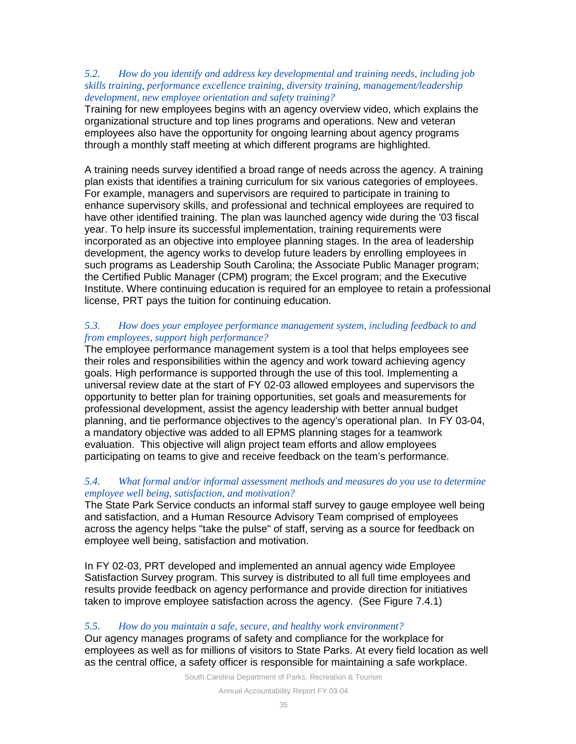## *5.2. How do you identify and address key developmental and training needs, including job skills training, performance excellence training, diversity training, management/leadership development, new employee orientation and safety training?*

Training for new employees begins with an agency overview video, which explains the organizational structure and top lines programs and operations. New and veteran employees also have the opportunity for ongoing learning about agency programs through a monthly staff meeting at which different programs are highlighted.

A training needs survey identified a broad range of needs across the agency. A training plan exists that identifies a training curriculum for six various categories of employees. For example, managers and supervisors are required to participate in training to enhance supervisory skills, and professional and technical employees are required to have other identified training. The plan was launched agency wide during the '03 fiscal year. To help insure its successful implementation, training requirements were incorporated as an objective into employee planning stages. In the area of leadership development, the agency works to develop future leaders by enrolling employees in such programs as Leadership South Carolina; the Associate Public Manager program; the Certified Public Manager (CPM) program; the Excel program; and the Executive Institute. Where continuing education is required for an employee to retain a professional license, PRT pays the tuition for continuing education.

## *5.3. How does your employee performance management system, including feedback to and from employees, support high performance?*

The employee performance management system is a tool that helps employees see their roles and responsibilities within the agency and work toward achieving agency goals. High performance is supported through the use of this tool. Implementing a universal review date at the start of FY 02-03 allowed employees and supervisors the opportunity to better plan for training opportunities, set goals and measurements for professional development, assist the agency leadership with better annual budget planning, and tie performance objectives to the agency's operational plan. In FY 03-04, a mandatory objective was added to all EPMS planning stages for a teamwork evaluation. This objective will align project team efforts and allow employees participating on teams to give and receive feedback on the team's performance.

## *5.4. What formal and/or informal assessment methods and measures do you use to determine employee well being, satisfaction, and motivation?*

The State Park Service conducts an informal staff survey to gauge employee well being and satisfaction, and a Human Resource Advisory Team comprised of employees across the agency helps "take the pulse" of staff, serving as a source for feedback on employee well being, satisfaction and motivation.

In FY 02-03, PRT developed and implemented an annual agency wide Employee Satisfaction Survey program. This survey is distributed to all full time employees and results provide feedback on agency performance and provide direction for initiatives taken to improve employee satisfaction across the agency. (See Figure 7.4.1)

## *5.5. How do you maintain a safe, secure, and healthy work environment?*

Our agency manages programs of safety and compliance for the workplace for employees as well as for millions of visitors to State Parks. At every field location as well as the central office, a safety officer is responsible for maintaining a safe workplace.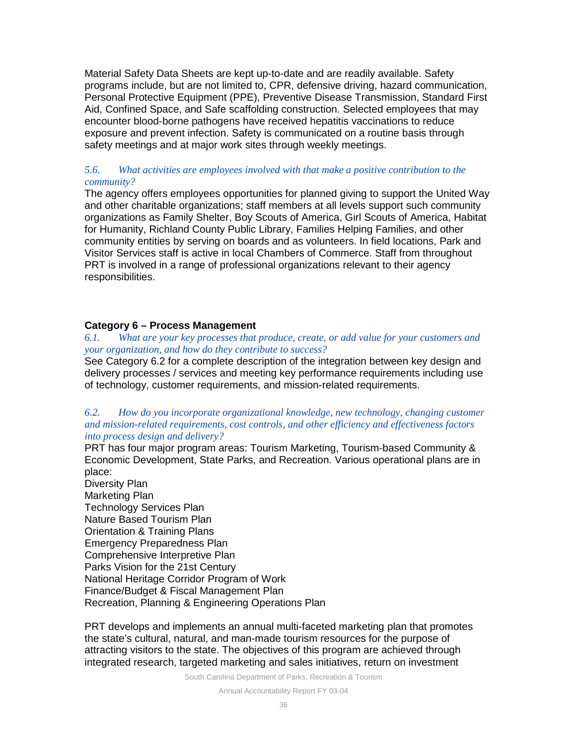Material Safety Data Sheets are kept up-to-date and are readily available. Safety programs include, but are not limited to, CPR, defensive driving, hazard communication, Personal Protective Equipment (PPE), Preventive Disease Transmission, Standard First Aid, Confined Space, and Safe scaffolding construction. Selected employees that may encounter blood-borne pathogens have received hepatitis vaccinations to reduce exposure and prevent infection. Safety is communicated on a routine basis through safety meetings and at major work sites through weekly meetings.

## *5.6. What activities are employees involved with that make a positive contribution to the community?*

The agency offers employees opportunities for planned giving to support the United Way and other charitable organizations; staff members at all levels support such community organizations as Family Shelter, Boy Scouts of America, Girl Scouts of America, Habitat for Humanity, Richland County Public Library, Families Helping Families, and other community entities by serving on boards and as volunteers. In field locations, Park and Visitor Services staff is active in local Chambers of Commerce. Staff from throughout PRT is involved in a range of professional organizations relevant to their agency responsibilities.

## **Category 6 – Process Management**

#### *6.1. What are your key processes that produce, create, or add value for your customers and your organization, and how do they contribute to success?*

See Category 6.2 for a complete description of the integration between key design and delivery processes / services and meeting key performance requirements including use of technology, customer requirements, and mission-related requirements.

#### *6.2. How do you incorporate organizational knowledge, new technology, changing customer and mission-related requirements, cost controls, and other efficiency and effectiveness factors into process design and delivery?*

PRT has four major program areas: Tourism Marketing, Tourism-based Community & Economic Development, State Parks, and Recreation. Various operational plans are in place:

Diversity Plan Marketing Plan Technology Services Plan Nature Based Tourism Plan Orientation & Training Plans Emergency Preparedness Plan Comprehensive Interpretive Plan Parks Vision for the 21st Century National Heritage Corridor Program of Work Finance/Budget & Fiscal Management Plan Recreation, Planning & Engineering Operations Plan

PRT develops and implements an annual multi-faceted marketing plan that promotes the state's cultural, natural, and man-made tourism resources for the purpose of attracting visitors to the state. The objectives of this program are achieved through integrated research, targeted marketing and sales initiatives, return on investment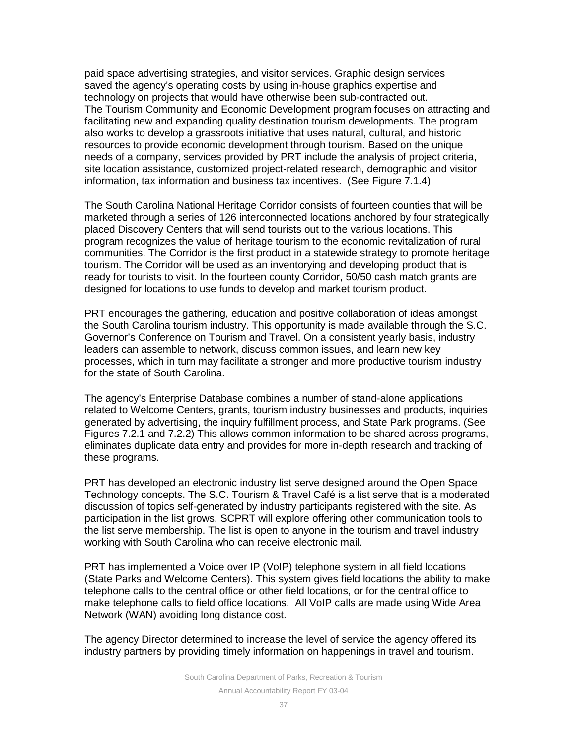paid space advertising strategies, and visitor services. Graphic design services saved the agency's operating costs by using in-house graphics expertise and technology on projects that would have otherwise been sub-contracted out. The Tourism Community and Economic Development program focuses on attracting and facilitating new and expanding quality destination tourism developments. The program also works to develop a grassroots initiative that uses natural, cultural, and historic resources to provide economic development through tourism. Based on the unique needs of a company, services provided by PRT include the analysis of project criteria, site location assistance, customized project-related research, demographic and visitor information, tax information and business tax incentives. (See Figure 7.1.4)

The South Carolina National Heritage Corridor consists of fourteen counties that will be marketed through a series of 126 interconnected locations anchored by four strategically placed Discovery Centers that will send tourists out to the various locations. This program recognizes the value of heritage tourism to the economic revitalization of rural communities. The Corridor is the first product in a statewide strategy to promote heritage tourism. The Corridor will be used as an inventorying and developing product that is ready for tourists to visit. In the fourteen county Corridor, 50/50 cash match grants are designed for locations to use funds to develop and market tourism product.

PRT encourages the gathering, education and positive collaboration of ideas amongst the South Carolina tourism industry. This opportunity is made available through the S.C. Governor's Conference on Tourism and Travel. On a consistent yearly basis, industry leaders can assemble to network, discuss common issues, and learn new key processes, which in turn may facilitate a stronger and more productive tourism industry for the state of South Carolina.

The agency's Enterprise Database combines a number of stand-alone applications related to Welcome Centers, grants, tourism industry businesses and products, inquiries generated by advertising, the inquiry fulfillment process, and State Park programs. (See Figures 7.2.1 and 7.2.2) This allows common information to be shared across programs, eliminates duplicate data entry and provides for more in-depth research and tracking of these programs.

PRT has developed an electronic industry list serve designed around the Open Space Technology concepts. The S.C. Tourism & Travel Café is a list serve that is a moderated discussion of topics self-generated by industry participants registered with the site. As participation in the list grows, SCPRT will explore offering other communication tools to the list serve membership. The list is open to anyone in the tourism and travel industry working with South Carolina who can receive electronic mail.

PRT has implemented a Voice over IP (VoIP) telephone system in all field locations (State Parks and Welcome Centers). This system gives field locations the ability to make telephone calls to the central office or other field locations, or for the central office to make telephone calls to field office locations. All VoIP calls are made using Wide Area Network (WAN) avoiding long distance cost.

The agency Director determined to increase the level of service the agency offered its industry partners by providing timely information on happenings in travel and tourism.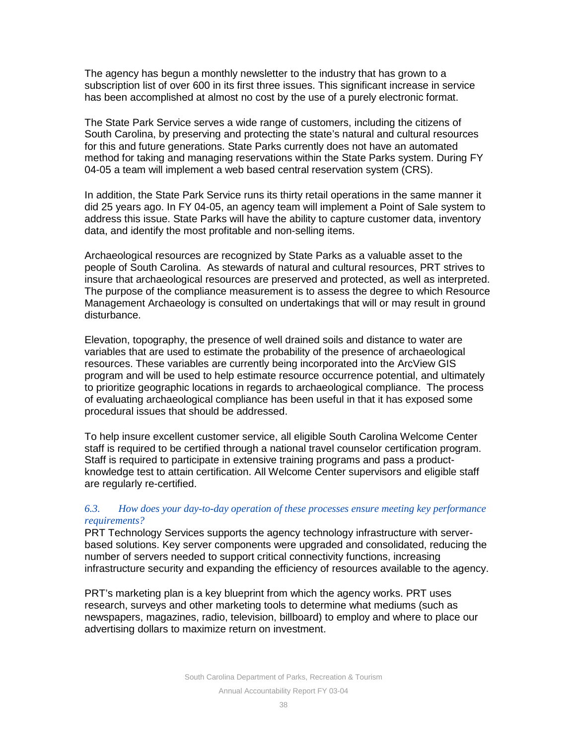The agency has begun a monthly newsletter to the industry that has grown to a subscription list of over 600 in its first three issues. This significant increase in service has been accomplished at almost no cost by the use of a purely electronic format.

The State Park Service serves a wide range of customers, including the citizens of South Carolina, by preserving and protecting the state's natural and cultural resources for this and future generations. State Parks currently does not have an automated method for taking and managing reservations within the State Parks system. During FY 04-05 a team will implement a web based central reservation system (CRS).

In addition, the State Park Service runs its thirty retail operations in the same manner it did 25 years ago. In FY 04-05, an agency team will implement a Point of Sale system to address this issue. State Parks will have the ability to capture customer data, inventory data, and identify the most profitable and non-selling items.

Archaeological resources are recognized by State Parks as a valuable asset to the people of South Carolina. As stewards of natural and cultural resources, PRT strives to insure that archaeological resources are preserved and protected, as well as interpreted. The purpose of the compliance measurement is to assess the degree to which Resource Management Archaeology is consulted on undertakings that will or may result in ground disturbance.

Elevation, topography, the presence of well drained soils and distance to water are variables that are used to estimate the probability of the presence of archaeological resources. These variables are currently being incorporated into the ArcView GIS program and will be used to help estimate resource occurrence potential, and ultimately to prioritize geographic locations in regards to archaeological compliance. The process of evaluating archaeological compliance has been useful in that it has exposed some procedural issues that should be addressed.

To help insure excellent customer service, all eligible South Carolina Welcome Center staff is required to be certified through a national travel counselor certification program. Staff is required to participate in extensive training programs and pass a productknowledge test to attain certification. All Welcome Center supervisors and eligible staff are regularly re-certified.

## *6.3. How does your day-to-day operation of these processes ensure meeting key performance requirements?*

PRT Technology Services supports the agency technology infrastructure with serverbased solutions. Key server components were upgraded and consolidated, reducing the number of servers needed to support critical connectivity functions, increasing infrastructure security and expanding the efficiency of resources available to the agency.

PRT's marketing plan is a key blueprint from which the agency works. PRT uses research, surveys and other marketing tools to determine what mediums (such as newspapers, magazines, radio, television, billboard) to employ and where to place our advertising dollars to maximize return on investment.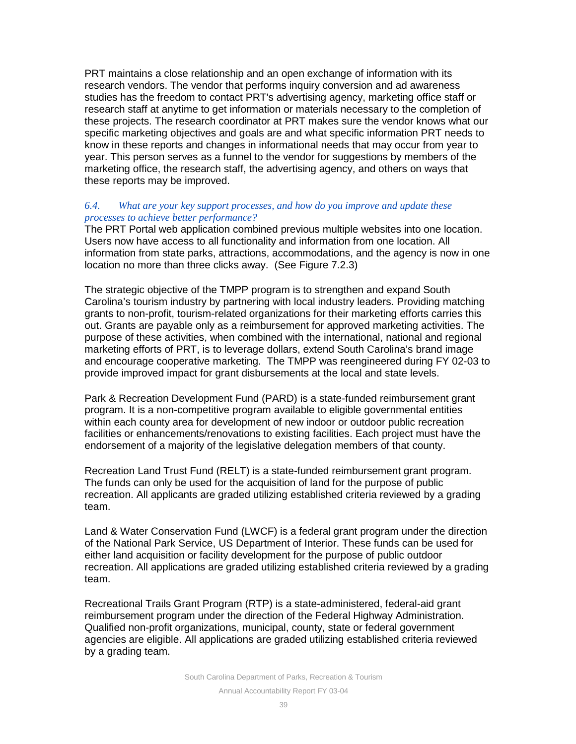PRT maintains a close relationship and an open exchange of information with its research vendors. The vendor that performs inquiry conversion and ad awareness studies has the freedom to contact PRT's advertising agency, marketing office staff or research staff at anytime to get information or materials necessary to the completion of these projects. The research coordinator at PRT makes sure the vendor knows what our specific marketing objectives and goals are and what specific information PRT needs to know in these reports and changes in informational needs that may occur from year to year. This person serves as a funnel to the vendor for suggestions by members of the marketing office, the research staff, the advertising agency, and others on ways that these reports may be improved.

#### *6.4. What are your key support processes, and how do you improve and update these processes to achieve better performance?*

The PRT Portal web application combined previous multiple websites into one location. Users now have access to all functionality and information from one location. All information from state parks, attractions, accommodations, and the agency is now in one location no more than three clicks away. (See Figure 7.2.3)

The strategic objective of the TMPP program is to strengthen and expand South Carolina's tourism industry by partnering with local industry leaders. Providing matching grants to non-profit, tourism-related organizations for their marketing efforts carries this out. Grants are payable only as a reimbursement for approved marketing activities. The purpose of these activities, when combined with the international, national and regional marketing efforts of PRT, is to leverage dollars, extend South Carolina's brand image and encourage cooperative marketing. The TMPP was reengineered during FY 02-03 to provide improved impact for grant disbursements at the local and state levels.

Park & Recreation Development Fund (PARD) is a state-funded reimbursement grant program. It is a non-competitive program available to eligible governmental entities within each county area for development of new indoor or outdoor public recreation facilities or enhancements/renovations to existing facilities. Each project must have the endorsement of a majority of the legislative delegation members of that county.

Recreation Land Trust Fund (RELT) is a state-funded reimbursement grant program. The funds can only be used for the acquisition of land for the purpose of public recreation. All applicants are graded utilizing established criteria reviewed by a grading team.

Land & Water Conservation Fund (LWCF) is a federal grant program under the direction of the National Park Service, US Department of Interior. These funds can be used for either land acquisition or facility development for the purpose of public outdoor recreation. All applications are graded utilizing established criteria reviewed by a grading team.

Recreational Trails Grant Program (RTP) is a state-administered, federal-aid grant reimbursement program under the direction of the Federal Highway Administration. Qualified non-profit organizations, municipal, county, state or federal government agencies are eligible. All applications are graded utilizing established criteria reviewed by a grading team.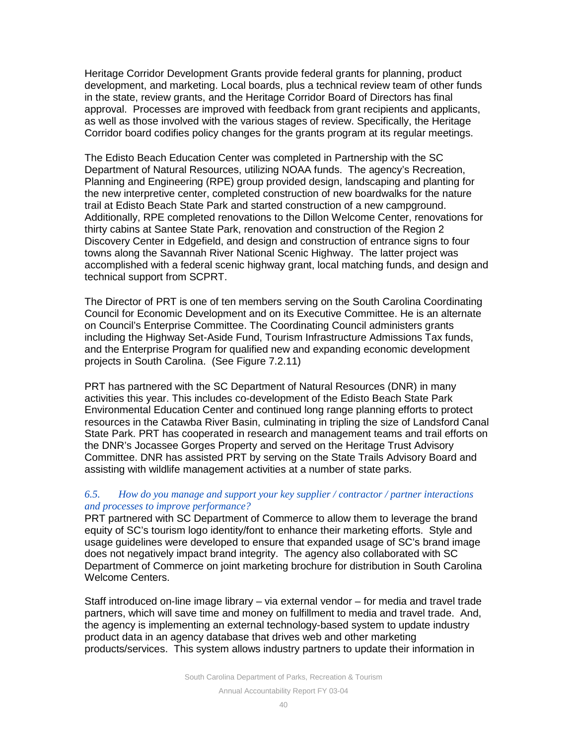Heritage Corridor Development Grants provide federal grants for planning, product development, and marketing. Local boards, plus a technical review team of other funds in the state, review grants, and the Heritage Corridor Board of Directors has final approval. Processes are improved with feedback from grant recipients and applicants, as well as those involved with the various stages of review. Specifically, the Heritage Corridor board codifies policy changes for the grants program at its regular meetings.

The Edisto Beach Education Center was completed in Partnership with the SC Department of Natural Resources, utilizing NOAA funds. The agency's Recreation, Planning and Engineering (RPE) group provided design, landscaping and planting for the new interpretive center, completed construction of new boardwalks for the nature trail at Edisto Beach State Park and started construction of a new campground. Additionally, RPE completed renovations to the Dillon Welcome Center, renovations for thirty cabins at Santee State Park, renovation and construction of the Region 2 Discovery Center in Edgefield, and design and construction of entrance signs to four towns along the Savannah River National Scenic Highway. The latter project was accomplished with a federal scenic highway grant, local matching funds, and design and technical support from SCPRT.

The Director of PRT is one of ten members serving on the South Carolina Coordinating Council for Economic Development and on its Executive Committee. He is an alternate on Council's Enterprise Committee. The Coordinating Council administers grants including the Highway Set-Aside Fund, Tourism Infrastructure Admissions Tax funds, and the Enterprise Program for qualified new and expanding economic development projects in South Carolina. (See Figure 7.2.11)

PRT has partnered with the SC Department of Natural Resources (DNR) in many activities this year. This includes co-development of the Edisto Beach State Park Environmental Education Center and continued long range planning efforts to protect resources in the Catawba River Basin, culminating in tripling the size of Landsford Canal State Park. PRT has cooperated in research and management teams and trail efforts on the DNR's Jocassee Gorges Property and served on the Heritage Trust Advisory Committee. DNR has assisted PRT by serving on the State Trails Advisory Board and assisting with wildlife management activities at a number of state parks.

#### *6.5. How do you manage and support your key supplier / contractor / partner interactions and processes to improve performance?*

PRT partnered with SC Department of Commerce to allow them to leverage the brand equity of SC's tourism logo identity/font to enhance their marketing efforts. Style and usage guidelines were developed to ensure that expanded usage of SC's brand image does not negatively impact brand integrity. The agency also collaborated with SC Department of Commerce on joint marketing brochure for distribution in South Carolina Welcome Centers.

Staff introduced on-line image library – via external vendor – for media and travel trade partners, which will save time and money on fulfillment to media and travel trade. And, the agency is implementing an external technology-based system to update industry product data in an agency database that drives web and other marketing products/services. This system allows industry partners to update their information in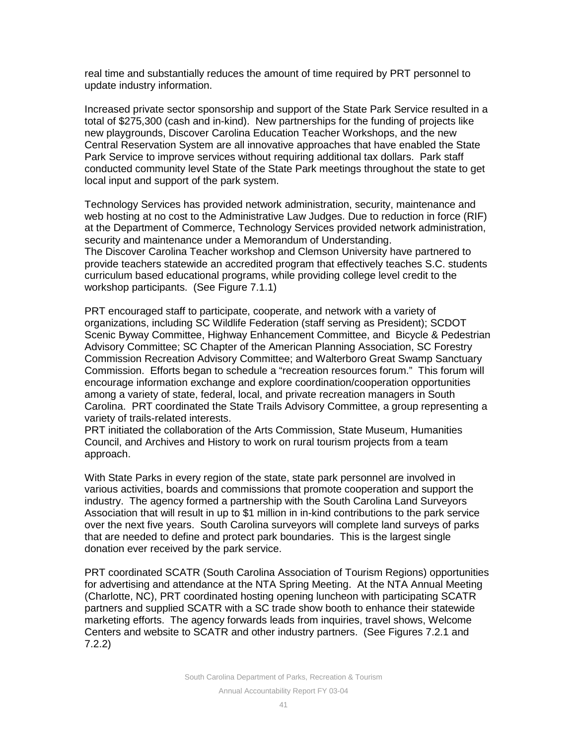real time and substantially reduces the amount of time required by PRT personnel to update industry information.

Increased private sector sponsorship and support of the State Park Service resulted in a total of \$275,300 (cash and in-kind). New partnerships for the funding of projects like new playgrounds, Discover Carolina Education Teacher Workshops, and the new Central Reservation System are all innovative approaches that have enabled the State Park Service to improve services without requiring additional tax dollars. Park staff conducted community level State of the State Park meetings throughout the state to get local input and support of the park system.

Technology Services has provided network administration, security, maintenance and web hosting at no cost to the Administrative Law Judges. Due to reduction in force (RIF) at the Department of Commerce, Technology Services provided network administration, security and maintenance under a Memorandum of Understanding. The Discover Carolina Teacher workshop and Clemson University have partnered to provide teachers statewide an accredited program that effectively teaches S.C. students curriculum based educational programs, while providing college level credit to the workshop participants. (See Figure 7.1.1)

PRT encouraged staff to participate, cooperate, and network with a variety of organizations, including SC Wildlife Federation (staff serving as President); SCDOT Scenic Byway Committee, Highway Enhancement Committee, and Bicycle & Pedestrian Advisory Committee; SC Chapter of the American Planning Association, SC Forestry Commission Recreation Advisory Committee; and Walterboro Great Swamp Sanctuary Commission. Efforts began to schedule a "recreation resources forum." This forum will encourage information exchange and explore coordination/cooperation opportunities among a variety of state, federal, local, and private recreation managers in South Carolina. PRT coordinated the State Trails Advisory Committee, a group representing a variety of trails-related interests.

PRT initiated the collaboration of the Arts Commission, State Museum, Humanities Council, and Archives and History to work on rural tourism projects from a team approach.

With State Parks in every region of the state, state park personnel are involved in various activities, boards and commissions that promote cooperation and support the industry. The agency formed a partnership with the South Carolina Land Surveyors Association that will result in up to \$1 million in in-kind contributions to the park service over the next five years. South Carolina surveyors will complete land surveys of parks that are needed to define and protect park boundaries. This is the largest single donation ever received by the park service.

PRT coordinated SCATR (South Carolina Association of Tourism Regions) opportunities for advertising and attendance at the NTA Spring Meeting. At the NTA Annual Meeting (Charlotte, NC), PRT coordinated hosting opening luncheon with participating SCATR partners and supplied SCATR with a SC trade show booth to enhance their statewide marketing efforts. The agency forwards leads from inquiries, travel shows, Welcome Centers and website to SCATR and other industry partners. (See Figures 7.2.1 and 7.2.2)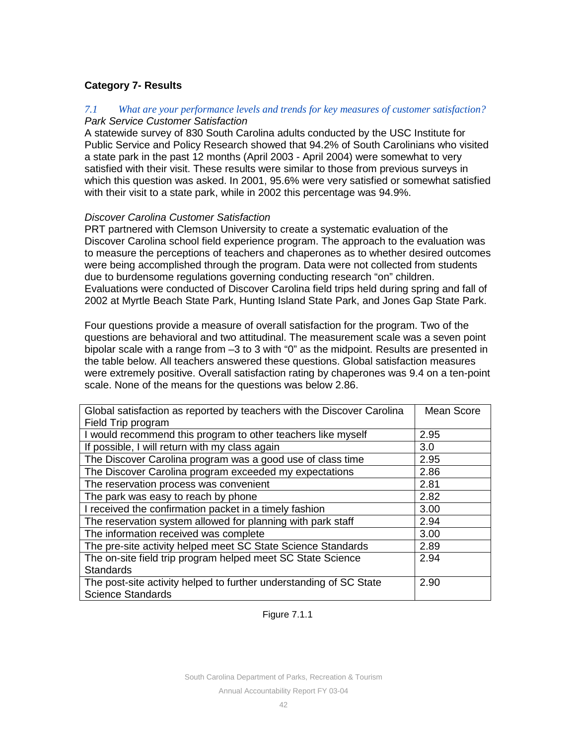## **Category 7- Results**

## *7.1 What are your performance levels and trends for key measures of customer satisfaction? Park Service Customer Satisfaction*

A statewide survey of 830 South Carolina adults conducted by the USC Institute for Public Service and Policy Research showed that 94.2% of South Carolinians who visited a state park in the past 12 months (April 2003 - April 2004) were somewhat to very satisfied with their visit. These results were similar to those from previous surveys in which this question was asked. In 2001, 95.6% were very satisfied or somewhat satisfied with their visit to a state park, while in 2002 this percentage was 94.9%.

## *Discover Carolina Customer Satisfaction*

PRT partnered with Clemson University to create a systematic evaluation of the Discover Carolina school field experience program. The approach to the evaluation was to measure the perceptions of teachers and chaperones as to whether desired outcomes were being accomplished through the program. Data were not collected from students due to burdensome regulations governing conducting research "on" children. Evaluations were conducted of Discover Carolina field trips held during spring and fall of 2002 at Myrtle Beach State Park, Hunting Island State Park, and Jones Gap State Park.

Four questions provide a measure of overall satisfaction for the program. Two of the questions are behavioral and two attitudinal. The measurement scale was a seven point bipolar scale with a range from –3 to 3 with "0" as the midpoint. Results are presented in the table below. All teachers answered these questions. Global satisfaction measures were extremely positive. Overall satisfaction rating by chaperones was 9.4 on a ten-point scale. None of the means for the questions was below 2.86.

| Global satisfaction as reported by teachers with the Discover Carolina | Mean Score |
|------------------------------------------------------------------------|------------|
| Field Trip program                                                     |            |
| I would recommend this program to other teachers like myself           | 2.95       |
| If possible, I will return with my class again                         | 3.0        |
| The Discover Carolina program was a good use of class time             | 2.95       |
| The Discover Carolina program exceeded my expectations                 | 2.86       |
| The reservation process was convenient                                 | 2.81       |
| The park was easy to reach by phone                                    | 2.82       |
| I received the confirmation packet in a timely fashion                 | 3.00       |
| The reservation system allowed for planning with park staff            | 2.94       |
| The information received was complete                                  | 3.00       |
| The pre-site activity helped meet SC State Science Standards           | 2.89       |
| The on-site field trip program helped meet SC State Science            | 2.94       |
| <b>Standards</b>                                                       |            |
| The post-site activity helped to further understanding of SC State     | 2.90       |
| <b>Science Standards</b>                                               |            |

## Figure 7.1.1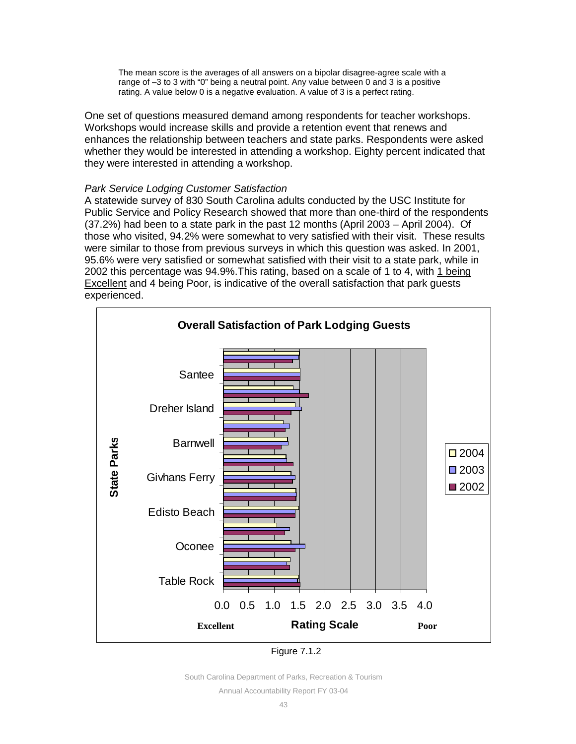The mean score is the averages of all answers on a bipolar disagree-agree scale with a range of –3 to 3 with "0" being a neutral point. Any value between 0 and 3 is a positive rating. A value below 0 is a negative evaluation. A value of 3 is a perfect rating.

One set of questions measured demand among respondents for teacher workshops. Workshops would increase skills and provide a retention event that renews and enhances the relationship between teachers and state parks. Respondents were asked whether they would be interested in attending a workshop. Eighty percent indicated that they were interested in attending a workshop.

## *Park Service Lodging Customer Satisfaction*

A statewide survey of 830 South Carolina adults conducted by the USC Institute for Public Service and Policy Research showed that more than one-third of the respondents (37.2%) had been to a state park in the past 12 months (April 2003 – April 2004). Of those who visited, 94.2% were somewhat to very satisfied with their visit. These results were similar to those from previous surveys in which this question was asked. In 2001, 95.6% were very satisfied or somewhat satisfied with their visit to a state park, while in 2002 this percentage was 94.9%.This rating, based on a scale of 1 to 4, with 1 being **Excellent and 4 being Poor, is indicative of the overall satisfaction that park guests** experienced.



| <b>Figure 7.1.2</b> |  |  |
|---------------------|--|--|
|                     |  |  |

South Carolina Department of Parks, Recreation & Tourism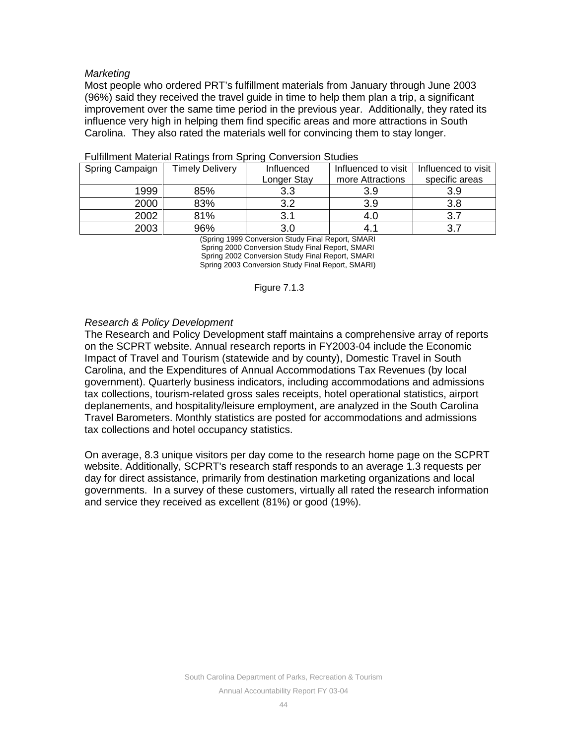## *Marketing*

Most people who ordered PRT's fulfillment materials from January through June 2003 (96%) said they received the travel guide in time to help them plan a trip, a significant improvement over the same time period in the previous year. Additionally, they rated its influence very high in helping them find specific areas and more attractions in South Carolina. They also rated the materials well for convincing them to stay longer.

| Spring Campaign | <b>Timely Delivery</b> | Influenced  | Influenced to visit | Influenced to visit |
|-----------------|------------------------|-------------|---------------------|---------------------|
|                 |                        | Longer Stay | more Attractions    | specific areas      |
| 1999            | 85%                    | 3.3         | 3.9                 | 3.9                 |
| 2000            | 83%                    | 3.2         | 3.9                 | 3.8                 |
| 2002            | 81%                    | 3.1         | 4.0                 | ົ                   |
| 2003            | 96%                    | 3.0         | 4.1                 |                     |

| <b>Fulfillment Material Ratings from Spring Conversion Studies</b> |  |  |  |  |
|--------------------------------------------------------------------|--|--|--|--|
|--------------------------------------------------------------------|--|--|--|--|

(Spring 1999 Conversion Study Final Report, SMARI Spring 2000 Conversion Study Final Report, SMARI Spring 2002 Conversion Study Final Report, SMARI Spring 2003 Conversion Study Final Report, SMARI)

#### Figure 7.1.3

## *Research & Policy Development*

The Research and Policy Development staff maintains a comprehensive array of reports on the SCPRT website. Annual research reports in FY2003-04 include the Economic Impact of Travel and Tourism (statewide and by county), Domestic Travel in South Carolina, and the Expenditures of Annual Accommodations Tax Revenues (by local government). Quarterly business indicators, including accommodations and admissions tax collections, tourism-related gross sales receipts, hotel operational statistics, airport deplanements, and hospitality/leisure employment, are analyzed in the South Carolina Travel Barometers. Monthly statistics are posted for accommodations and admissions tax collections and hotel occupancy statistics.

On average, 8.3 unique visitors per day come to the research home page on the SCPRT website. Additionally, SCPRT's research staff responds to an average 1.3 requests per day for direct assistance, primarily from destination marketing organizations and local governments. In a survey of these customers, virtually all rated the research information and service they received as excellent (81%) or good (19%).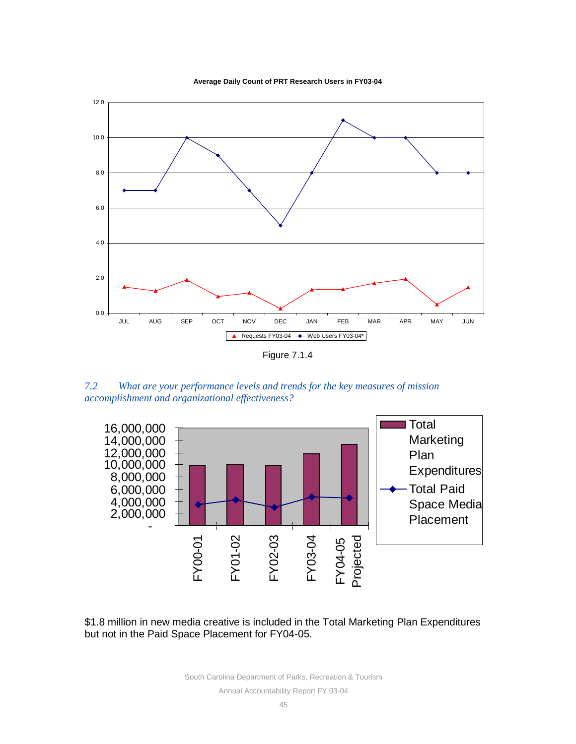



*7.2 What are your performance levels and trends for the key measures of mission accomplishment and organizational effectiveness?*





South Carolina Department of Parks, Recreation & Tourism Annual Accountability Report FY 03-04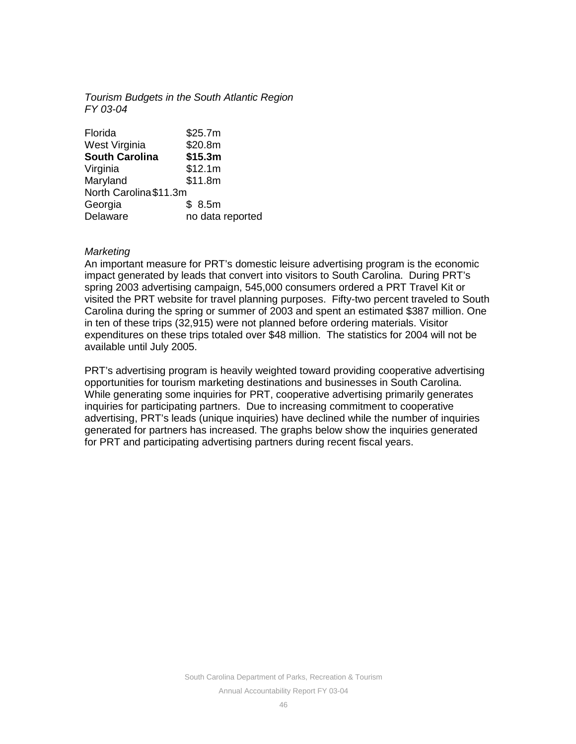## *Tourism Budgets in the South Atlantic Region FY 03-04*

| \$25.7m                |
|------------------------|
| \$20.8m                |
| \$15.3m                |
| \$12.1m                |
| \$11.8m                |
| North Carolina \$11.3m |
| \$8.5m                 |
| no data reported       |
|                        |

## *Marketing*

An important measure for PRT's domestic leisure advertising program is the economic impact generated by leads that convert into visitors to South Carolina. During PRT's spring 2003 advertising campaign, 545,000 consumers ordered a PRT Travel Kit or visited the PRT website for travel planning purposes. Fifty-two percent traveled to South Carolina during the spring or summer of 2003 and spent an estimated \$387 million. One in ten of these trips (32,915) were not planned before ordering materials. Visitor expenditures on these trips totaled over \$48 million. The statistics for 2004 will not be available until July 2005.

PRT's advertising program is heavily weighted toward providing cooperative advertising opportunities for tourism marketing destinations and businesses in South Carolina. While generating some inquiries for PRT, cooperative advertising primarily generates inquiries for participating partners. Due to increasing commitment to cooperative advertising, PRT's leads (unique inquiries) have declined while the number of inquiries generated for partners has increased. The graphs below show the inquiries generated for PRT and participating advertising partners during recent fiscal years.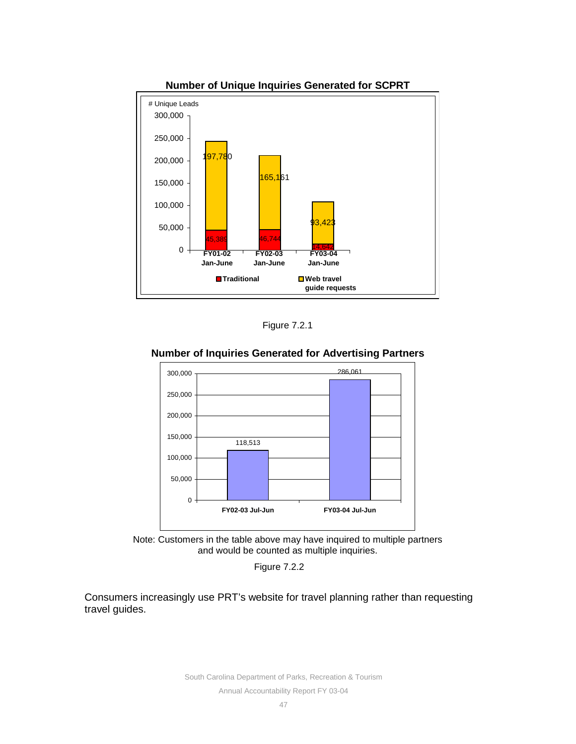

**Number of Unique Inquiries Generated for SCPRT**

Figure 7.2.1

## **Number of Inquiries Generated for Advertising Partners**





Figure 7.2.2

Consumers increasingly use PRT's website for travel planning rather than requesting travel guides.

> South Carolina Department of Parks, Recreation & Tourism Annual Accountability Report FY 03-04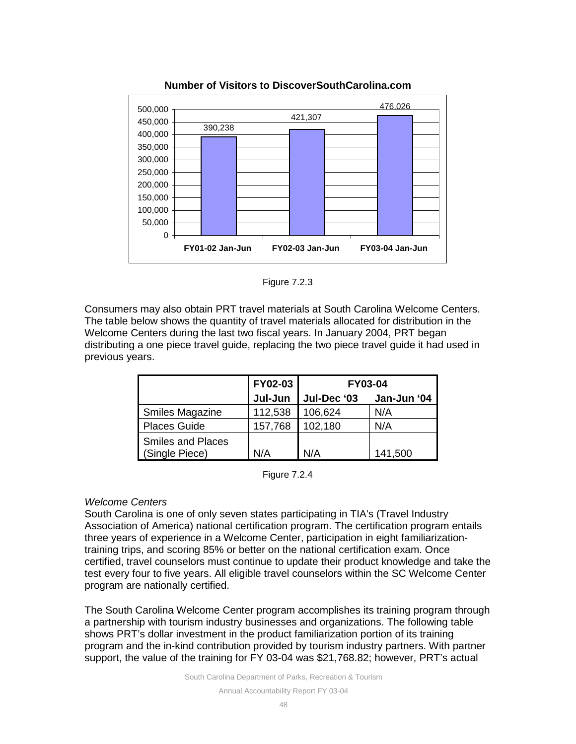

## **Number of Visitors to DiscoverSouthCarolina.com**

Figure 7.2.3

Consumers may also obtain PRT travel materials at South Carolina Welcome Centers. The table below shows the quantity of travel materials allocated for distribution in the Welcome Centers during the last two fiscal years. In January 2004, PRT began distributing a one piece travel guide, replacing the two piece travel guide it had used in previous years.

|                          | <b>FY02-03</b> | <b>FY03-04</b> |             |  |
|--------------------------|----------------|----------------|-------------|--|
|                          | Jul-Jun        | Jul-Dec '03    | Jan-Jun '04 |  |
| <b>Smiles Magazine</b>   | 112,538        | 106,624        | N/A         |  |
| <b>Places Guide</b>      | 157,768        | 102,180        | N/A         |  |
| <b>Smiles and Places</b> |                |                |             |  |
| (Single Piece)           | N/A            | N/A            | 141,500     |  |

Figure 7.2.4

## *Welcome Centers*

South Carolina is one of only seven states participating in TIA's (Travel Industry Association of America) national certification program. The certification program entails three years of experience in a Welcome Center, participation in eight familiarizationtraining trips, and scoring 85% or better on the national certification exam. Once certified, travel counselors must continue to update their product knowledge and take the test every four to five years. All eligible travel counselors within the SC Welcome Center program are nationally certified.

The South Carolina Welcome Center program accomplishes its training program through a partnership with tourism industry businesses and organizations. The following table shows PRT's dollar investment in the product familiarization portion of its training program and the in-kind contribution provided by tourism industry partners. With partner support, the value of the training for FY 03-04 was \$21,768.82; however, PRT's actual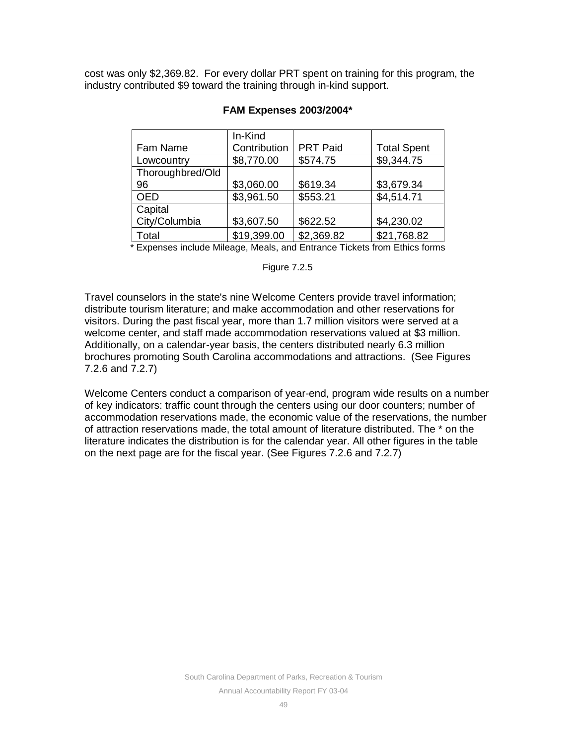cost was only \$2,369.82. For every dollar PRT spent on training for this program, the industry contributed \$9 toward the training through in-kind support.

|                                                                      | In-Kind      |                 |                    |
|----------------------------------------------------------------------|--------------|-----------------|--------------------|
| Fam Name                                                             | Contribution | <b>PRT Paid</b> | <b>Total Spent</b> |
| Lowcountry                                                           | \$8,770.00   | \$574.75        | \$9,344.75         |
| Thoroughbred/Old                                                     |              |                 |                    |
| 96                                                                   | \$3,060.00   | \$619.34        | \$3,679.34         |
| <b>OED</b>                                                           | \$3,961.50   | \$553.21        | \$4,514.71         |
| Capital                                                              |              |                 |                    |
| City/Columbia                                                        | \$3,607.50   | \$622.52        | \$4,230.02         |
| Total                                                                | \$19,399.00  | \$2,369.82      | \$21,768.82        |
| * European de de Milano - Maria por Lotonna - Tialeta form Ethian fa |              |                 |                    |

## **FAM Expenses 2003/2004\***

Expenses include Mileage, Meals, and Entrance Tickets from Ethics forms

#### Figure 7.2.5

Travel counselors in the state's nine Welcome Centers provide travel information; distribute tourism literature; and make accommodation and other reservations for visitors. During the past fiscal year, more than 1.7 million visitors were served at a welcome center, and staff made accommodation reservations valued at \$3 million. Additionally, on a calendar-year basis, the centers distributed nearly 6.3 million brochures promoting South Carolina accommodations and attractions. (See Figures 7.2.6 and 7.2.7)

Welcome Centers conduct a comparison of year-end, program wide results on a number of key indicators: traffic count through the centers using our door counters; number of accommodation reservations made, the economic value of the reservations, the number of attraction reservations made, the total amount of literature distributed. The \* on the literature indicates the distribution is for the calendar year. All other figures in the table on the next page are for the fiscal year. (See Figures 7.2.6 and 7.2.7)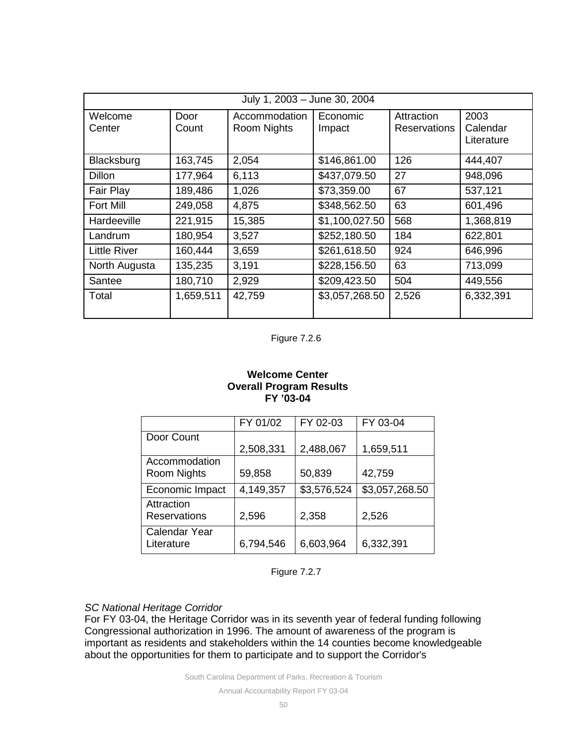| July 1, 2003 - June 30, 2004 |               |                                     |                    |                            |                                |  |  |
|------------------------------|---------------|-------------------------------------|--------------------|----------------------------|--------------------------------|--|--|
| Welcome<br>Center            | Door<br>Count | Accommodation<br><b>Room Nights</b> | Economic<br>Impact | Attraction<br>Reservations | 2003<br>Calendar<br>Literature |  |  |
| Blacksburg                   | 163,745       | 2,054                               | \$146,861.00       | 126                        | 444,407                        |  |  |
| <b>Dillon</b>                | 177,964       | 6,113                               | \$437,079.50       | 27                         | 948,096                        |  |  |
| Fair Play                    | 189,486       | 1,026                               | \$73,359.00        | 67                         | 537,121                        |  |  |
| Fort Mill                    | 249,058       | 4,875                               | \$348,562.50       | 63                         | 601,496                        |  |  |
| Hardeeville                  | 221,915       | 15,385                              | \$1,100,027.50     | 568                        | 1,368,819                      |  |  |
| Landrum                      | 180,954       | 3,527                               | \$252,180.50       | 184                        | 622,801                        |  |  |
| <b>Little River</b>          | 160,444       | 3,659                               | \$261,618.50       | 924                        | 646,996                        |  |  |
| North Augusta                | 135,235       | 3,191                               | \$228,156.50       | 63                         | 713,099                        |  |  |
| Santee                       | 180,710       | 2,929                               | \$209,423.50       | 504                        | 449,556                        |  |  |
| Total                        | 1,659,511     | 42,759                              | \$3,057,268.50     | 2,526                      | 6,332,391                      |  |  |

Figure 7.2.6

## **Welcome Center Overall Program Results FY '03-04**

|                     | FY 01/02  | FY 02-03    | FY 03-04       |
|---------------------|-----------|-------------|----------------|
| Door Count          |           |             |                |
|                     | 2,508,331 | 2,488,067   | 1,659,511      |
| Accommodation       |           |             |                |
| Room Nights         | 59,858    | 50,839      | 42,759         |
| Economic Impact     | 4,149,357 | \$3,576,524 | \$3,057,268.50 |
| Attraction          |           |             |                |
| <b>Reservations</b> | 2,596     | 2,358       | 2,526          |
| Calendar Year       |           |             |                |
| Literature          | 6,794,546 | 6,603,964   | 6,332,391      |

Figure 7.2.7

## *SC National Heritage Corridor*

For FY 03-04, the Heritage Corridor was in its seventh year of federal funding following Congressional authorization in 1996. The amount of awareness of the program is important as residents and stakeholders within the 14 counties become knowledgeable about the opportunities for them to participate and to support the Corridor's

South Carolina Department of Parks, Recreation & Tourism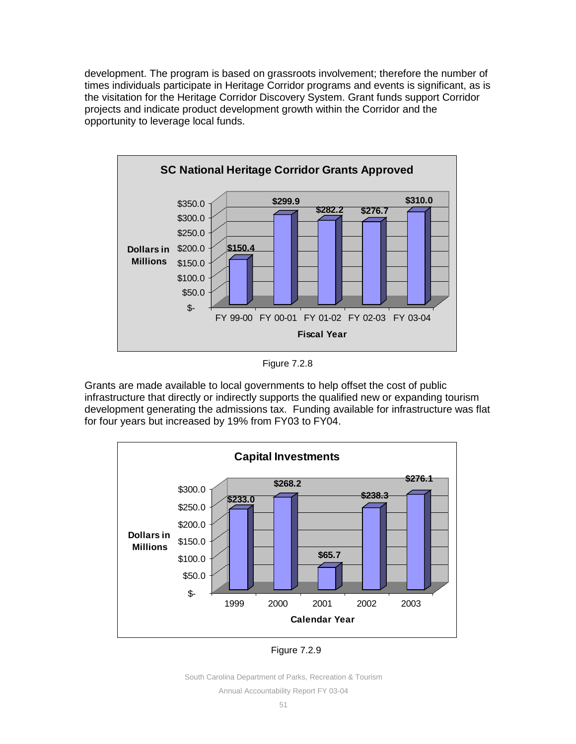development. The program is based on grassroots involvement; therefore the number of times individuals participate in Heritage Corridor programs and events is significant, as is the visitation for the Heritage Corridor Discovery System. Grant funds support Corridor projects and indicate product development growth within the Corridor and the opportunity to leverage local funds.



Figure 7.2.8

Grants are made available to local governments to help offset the cost of public infrastructure that directly or indirectly supports the qualified new or expanding tourism development generating the admissions tax. Funding available for infrastructure was flat for four years but increased by 19% from FY03 to FY04.



Figure 7.2.9

South Carolina Department of Parks, Recreation & Tourism

Annual Accountability Report FY 03-04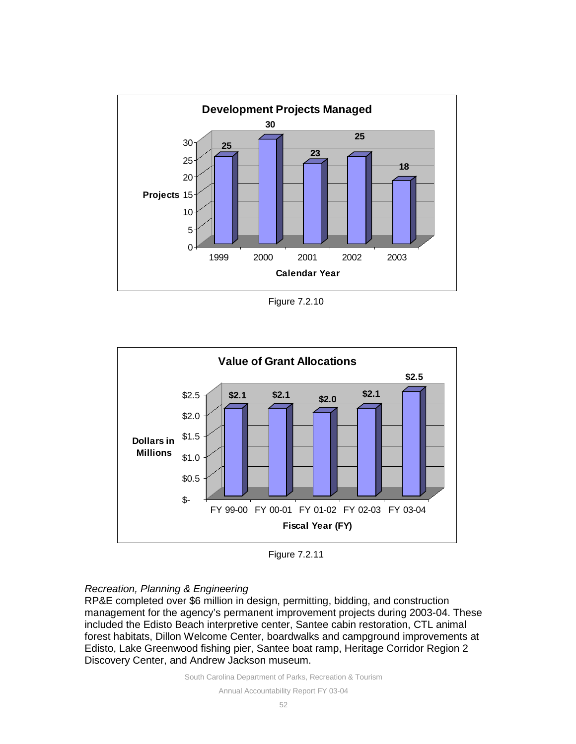

Figure 7.2.10



Figure 7.2.11

## *Recreation, Planning & Engineering*

RP&E completed over \$6 million in design, permitting, bidding, and construction management for the agency's permanent improvement projects during 2003-04. These included the Edisto Beach interpretive center, Santee cabin restoration, CTL animal forest habitats, Dillon Welcome Center, boardwalks and campground improvements at Edisto, Lake Greenwood fishing pier, Santee boat ramp, Heritage Corridor Region 2 Discovery Center, and Andrew Jackson museum.

South Carolina Department of Parks, Recreation & Tourism

Annual Accountability Report FY 03-04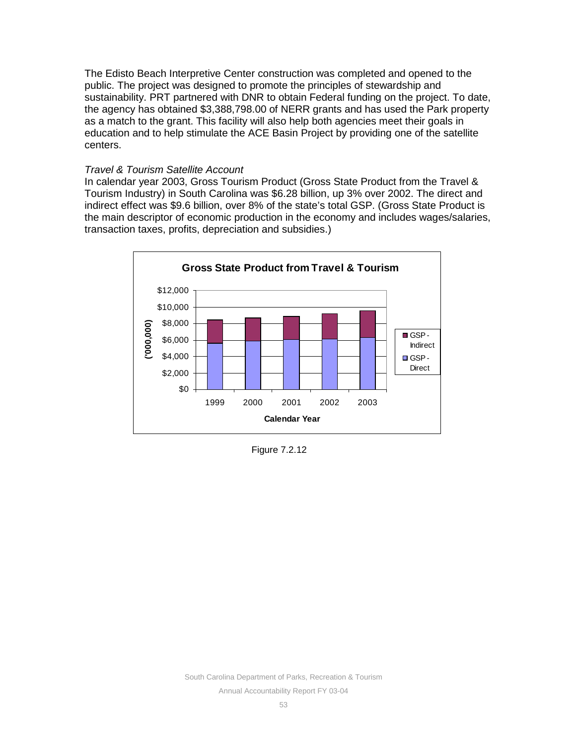The Edisto Beach Interpretive Center construction was completed and opened to the public. The project was designed to promote the principles of stewardship and sustainability. PRT partnered with DNR to obtain Federal funding on the project. To date, the agency has obtained \$3,388,798.00 of NERR grants and has used the Park property as a match to the grant. This facility will also help both agencies meet their goals in education and to help stimulate the ACE Basin Project by providing one of the satellite centers.

## *Travel & Tourism Satellite Account*

In calendar year 2003, Gross Tourism Product (Gross State Product from the Travel & Tourism Industry) in South Carolina was \$6.28 billion, up 3% over 2002. The direct and indirect effect was \$9.6 billion, over 8% of the state's total GSP. (Gross State Product is the main descriptor of economic production in the economy and includes wages/salaries, transaction taxes, profits, depreciation and subsidies.)



Figure 7.2.12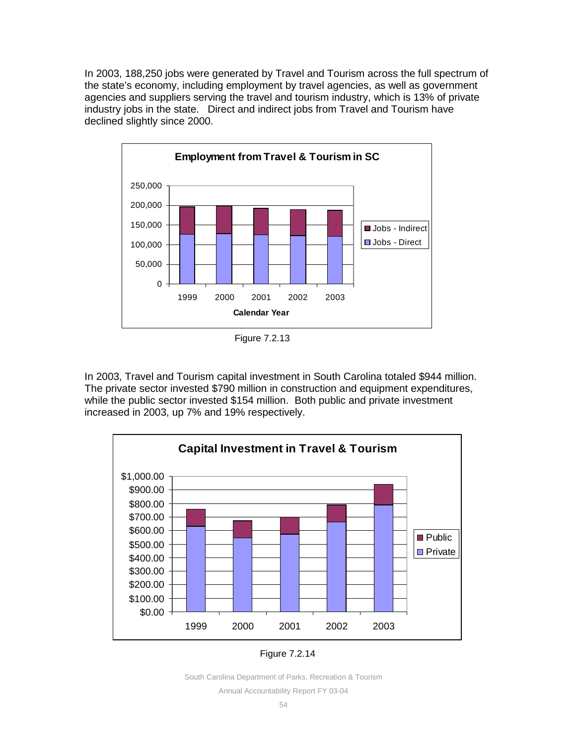In 2003, 188,250 jobs were generated by Travel and Tourism across the full spectrum of the state's economy, including employment by travel agencies, as well as government agencies and suppliers serving the travel and tourism industry, which is 13% of private industry jobs in the state. Direct and indirect jobs from Travel and Tourism have declined slightly since 2000.



Figure 7.2.13

In 2003, Travel and Tourism capital investment in South Carolina totaled \$944 million. The private sector invested \$790 million in construction and equipment expenditures, while the public sector invested \$154 million. Both public and private investment increased in 2003, up 7% and 19% respectively.



Figure 7.2.14

Annual Accountability Report FY 03-04

South Carolina Department of Parks, Recreation & Tourism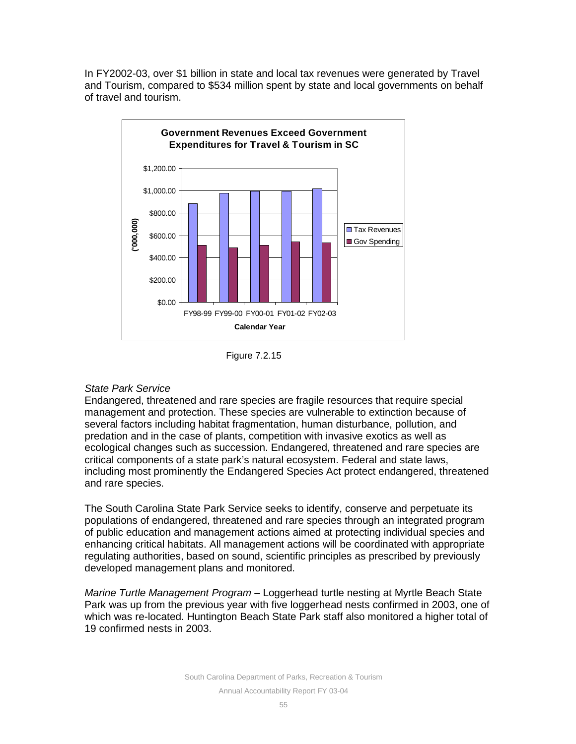In FY2002-03, over \$1 billion in state and local tax revenues were generated by Travel and Tourism, compared to \$534 million spent by state and local governments on behalf of travel and tourism.



Figure 7.2.15

## *State Park Service*

Endangered, threatened and rare species are fragile resources that require special management and protection. These species are vulnerable to extinction because of several factors including habitat fragmentation, human disturbance, pollution, and predation and in the case of plants, competition with invasive exotics as well as ecological changes such as succession. Endangered, threatened and rare species are critical components of a state park's natural ecosystem. Federal and state laws, including most prominently the Endangered Species Act protect endangered, threatened and rare species.

The South Carolina State Park Service seeks to identify, conserve and perpetuate its populations of endangered, threatened and rare species through an integrated program of public education and management actions aimed at protecting individual species and enhancing critical habitats. All management actions will be coordinated with appropriate regulating authorities, based on sound, scientific principles as prescribed by previously developed management plans and monitored.

*Marine Turtle Management Program* – Loggerhead turtle nesting at Myrtle Beach State Park was up from the previous year with five loggerhead nests confirmed in 2003, one of which was re-located. Huntington Beach State Park staff also monitored a higher total of 19 confirmed nests in 2003.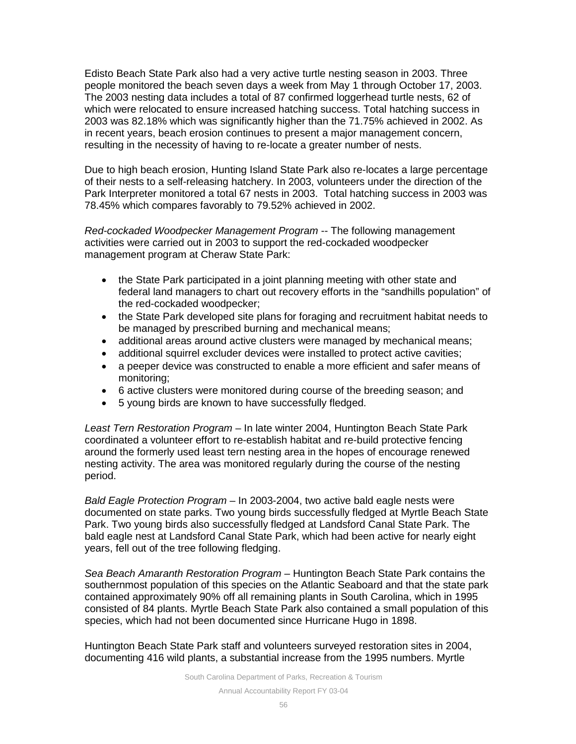Edisto Beach State Park also had a very active turtle nesting season in 2003. Three people monitored the beach seven days a week from May 1 through October 17, 2003. The 2003 nesting data includes a total of 87 confirmed loggerhead turtle nests, 62 of which were relocated to ensure increased hatching success. Total hatching success in 2003 was 82.18% which was significantly higher than the 71.75% achieved in 2002. As in recent years, beach erosion continues to present a major management concern, resulting in the necessity of having to re-locate a greater number of nests.

Due to high beach erosion, Hunting Island State Park also re-locates a large percentage of their nests to a self-releasing hatchery. In 2003, volunteers under the direction of the Park Interpreter monitored a total 67 nests in 2003. Total hatching success in 2003 was 78.45% which compares favorably to 79.52% achieved in 2002.

*Red-cockaded Woodpecker Management Program* -- The following management activities were carried out in 2003 to support the red-cockaded woodpecker management program at Cheraw State Park:

- the State Park participated in a joint planning meeting with other state and federal land managers to chart out recovery efforts in the "sandhills population" of the red-cockaded woodpecker;
- the State Park developed site plans for foraging and recruitment habitat needs to be managed by prescribed burning and mechanical means;
- additional areas around active clusters were managed by mechanical means;
- additional squirrel excluder devices were installed to protect active cavities;
- a peeper device was constructed to enable a more efficient and safer means of monitoring;
- 6 active clusters were monitored during course of the breeding season; and
- 5 young birds are known to have successfully fledged.

*Least Tern Restoration Program* – In late winter 2004, Huntington Beach State Park coordinated a volunteer effort to re-establish habitat and re-build protective fencing around the formerly used least tern nesting area in the hopes of encourage renewed nesting activity. The area was monitored regularly during the course of the nesting period.

*Bald Eagle Protection Program* – In 2003-2004, two active bald eagle nests were documented on state parks. Two young birds successfully fledged at Myrtle Beach State Park. Two young birds also successfully fledged at Landsford Canal State Park. The bald eagle nest at Landsford Canal State Park, which had been active for nearly eight years, fell out of the tree following fledging.

*Sea Beach Amaranth Restoration Program* – Huntington Beach State Park contains the southernmost population of this species on the Atlantic Seaboard and that the state park contained approximately 90% off all remaining plants in South Carolina, which in 1995 consisted of 84 plants. Myrtle Beach State Park also contained a small population of this species, which had not been documented since Hurricane Hugo in 1898.

Huntington Beach State Park staff and volunteers surveyed restoration sites in 2004, documenting 416 wild plants, a substantial increase from the 1995 numbers. Myrtle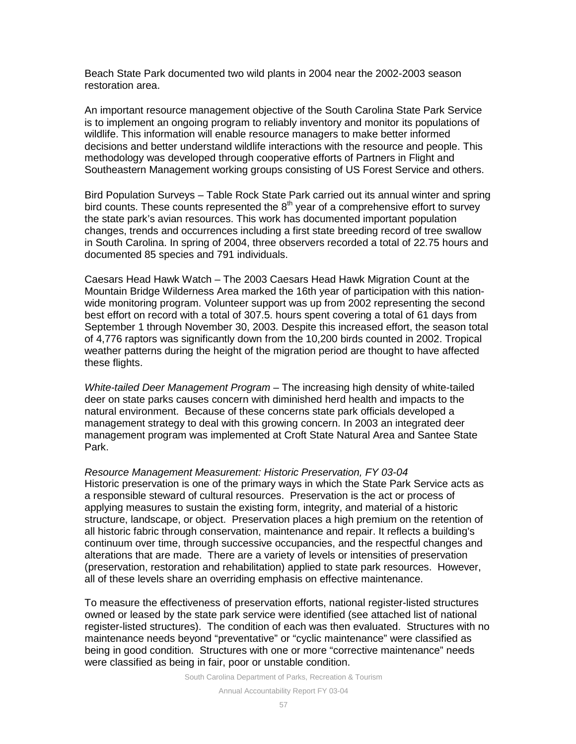Beach State Park documented two wild plants in 2004 near the 2002-2003 season restoration area.

An important resource management objective of the South Carolina State Park Service is to implement an ongoing program to reliably inventory and monitor its populations of wildlife. This information will enable resource managers to make better informed decisions and better understand wildlife interactions with the resource and people. This methodology was developed through cooperative efforts of Partners in Flight and Southeastern Management working groups consisting of US Forest Service and others.

Bird Population Surveys – Table Rock State Park carried out its annual winter and spring bird counts. These counts represented the  $8<sup>th</sup>$  year of a comprehensive effort to survey the state park's avian resources. This work has documented important population changes, trends and occurrences including a first state breeding record of tree swallow in South Carolina. In spring of 2004, three observers recorded a total of 22.75 hours and documented 85 species and 791 individuals.

Caesars Head Hawk Watch – The 2003 Caesars Head Hawk Migration Count at the Mountain Bridge Wilderness Area marked the 16th year of participation with this nationwide monitoring program. Volunteer support was up from 2002 representing the second best effort on record with a total of 307.5. hours spent covering a total of 61 days from September 1 through November 30, 2003. Despite this increased effort, the season total of 4,776 raptors was significantly down from the 10,200 birds counted in 2002. Tropical weather patterns during the height of the migration period are thought to have affected these flights.

*White-tailed Deer Management Program* – The increasing high density of white-tailed deer on state parks causes concern with diminished herd health and impacts to the natural environment. Because of these concerns state park officials developed a management strategy to deal with this growing concern. In 2003 an integrated deer management program was implemented at Croft State Natural Area and Santee State Park.

*Resource Management Measurement: Historic Preservation, FY 03-04* Historic preservation is one of the primary ways in which the State Park Service acts as a responsible steward of cultural resources. Preservation is the act or process of applying measures to sustain the existing form, integrity, and material of a historic structure, landscape, or object. Preservation places a high premium on the retention of all historic fabric through conservation, maintenance and repair. It reflects a building's continuum over time, through successive occupancies, and the respectful changes and alterations that are made. There are a variety of levels or intensities of preservation (preservation, restoration and rehabilitation) applied to state park resources. However, all of these levels share an overriding emphasis on effective maintenance.

To measure the effectiveness of preservation efforts, national register-listed structures owned or leased by the state park service were identified (see attached list of national register-listed structures). The condition of each was then evaluated. Structures with no maintenance needs beyond "preventative" or "cyclic maintenance" were classified as being in good condition. Structures with one or more "corrective maintenance" needs were classified as being in fair, poor or unstable condition.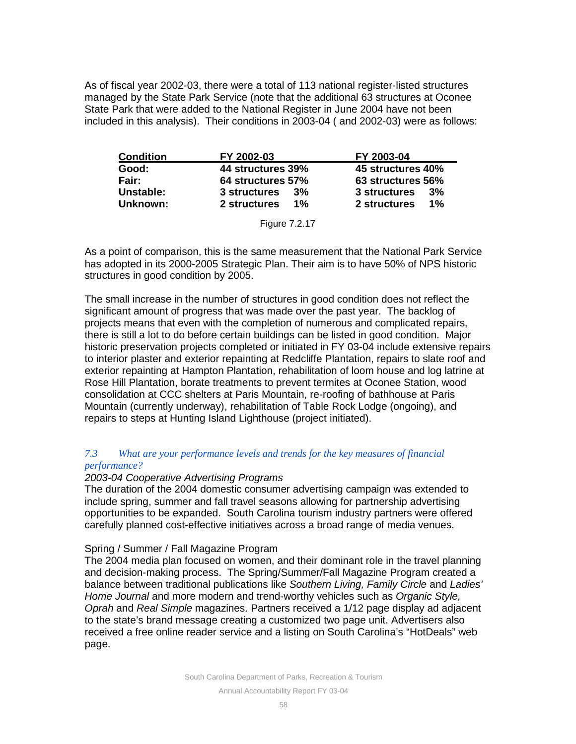As of fiscal year 2002-03, there were a total of 113 national register-listed structures managed by the State Park Service (note that the additional 63 structures at Oconee State Park that were added to the National Register in June 2004 have not been included in this analysis). Their conditions in 2003-04 ( and 2002-03) were as follows:

| <b>Condition</b> | FY 2002-03            | FY 2003-04            |
|------------------|-----------------------|-----------------------|
| Good:            | 44 structures 39%     | 45 structures 40%     |
| Fair:            | 64 structures 57%     | 63 structures 56%     |
| Unstable:        | 3 structures<br>3%    | 3 structures<br>3%    |
| Unknown:         | 2 structures<br>$1\%$ | $1\%$<br>2 structures |

| Figure 7.2.17 |  |
|---------------|--|
|---------------|--|

As a point of comparison, this is the same measurement that the National Park Service has adopted in its 2000-2005 Strategic Plan. Their aim is to have 50% of NPS historic structures in good condition by 2005.

The small increase in the number of structures in good condition does not reflect the significant amount of progress that was made over the past year. The backlog of projects means that even with the completion of numerous and complicated repairs, there is still a lot to do before certain buildings can be listed in good condition. Major historic preservation projects completed or initiated in FY 03-04 include extensive repairs to interior plaster and exterior repainting at Redcliffe Plantation, repairs to slate roof and exterior repainting at Hampton Plantation, rehabilitation of loom house and log latrine at Rose Hill Plantation, borate treatments to prevent termites at Oconee Station, wood consolidation at CCC shelters at Paris Mountain, re-roofing of bathhouse at Paris Mountain (currently underway), rehabilitation of Table Rock Lodge (ongoing), and repairs to steps at Hunting Island Lighthouse (project initiated).

## *7.3 What are your performance levels and trends for the key measures of financial performance?*

## *2003-04 Cooperative Advertising Programs*

The duration of the 2004 domestic consumer advertising campaign was extended to include spring, summer and fall travel seasons allowing for partnership advertising opportunities to be expanded. South Carolina tourism industry partners were offered carefully planned cost-effective initiatives across a broad range of media venues.

## Spring / Summer / Fall Magazine Program

The 2004 media plan focused on women, and their dominant role in the travel planning and decision-making process. The Spring/Summer/Fall Magazine Program created a balance between traditional publications like *Southern Living, Family Circle* and *Ladies' Home Journal* and more modern and trend-worthy vehicles such as *Organic Style, Oprah* and *Real Simple* magazines. Partners received a 1/12 page display ad adjacent to the state's brand message creating a customized two page unit. Advertisers also received a free online reader service and a listing on South Carolina's "HotDeals" web page.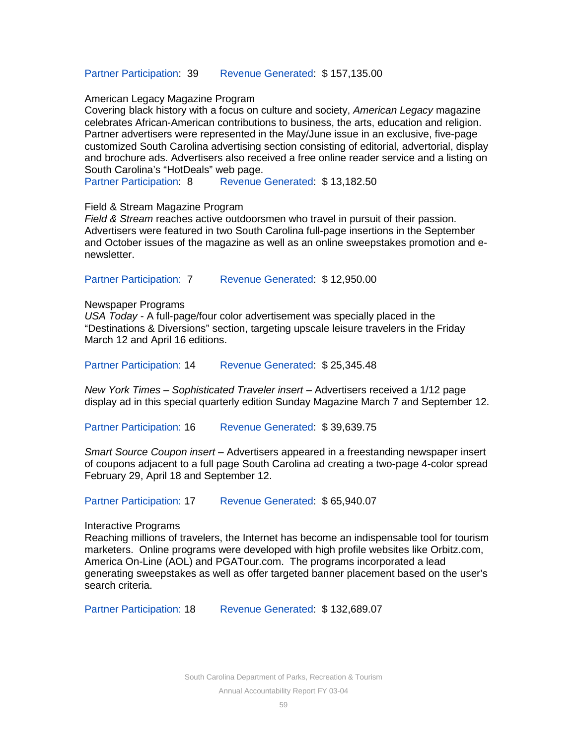#### Partner Participation: 39 Revenue Generated: \$ 157,135.00

#### American Legacy Magazine Program

Covering black history with a focus on culture and society, *American Legacy* magazine celebrates African-American contributions to business, the arts, education and religion. Partner advertisers were represented in the May/June issue in an exclusive, five-page customized South Carolina advertising section consisting of editorial, advertorial, display and brochure ads. Advertisers also received a free online reader service and a listing on South Carolina's "HotDeals" web page.

Partner Participation: 8 Revenue Generated: \$13,182.50

#### Field & Stream Magazine Program

*Field & Stream* reaches active outdoorsmen who travel in pursuit of their passion. Advertisers were featured in two South Carolina full-page insertions in the September and October issues of the magazine as well as an online sweepstakes promotion and enewsletter.

Partner Participation: 7 Revenue Generated: \$12,950.00

#### Newspaper Programs

*USA Today* - A full-page/four color advertisement was specially placed in the "Destinations & Diversions" section, targeting upscale leisure travelers in the Friday March 12 and April 16 editions.

Partner Participation: 14 Revenue Generated: \$ 25,345.48

*New York Times – Sophisticated Traveler insert* – Advertisers received a 1/12 page display ad in this special quarterly edition Sunday Magazine March 7 and September 12.

Partner Participation: 16 Revenue Generated: \$ 39,639.75

*Smart Source Coupon insert* – Advertisers appeared in a freestanding newspaper insert of coupons adjacent to a full page South Carolina ad creating a two-page 4-color spread February 29, April 18 and September 12.

Partner Participation: 17 Revenue Generated: \$65,940.07

Interactive Programs

Reaching millions of travelers, the Internet has become an indispensable tool for tourism marketers. Online programs were developed with high profile websites like Orbitz.com, America On-Line (AOL) and PGATour.com. The programs incorporated a lead generating sweepstakes as well as offer targeted banner placement based on the user's search criteria.

Partner Participation: 18 Revenue Generated: \$132,689.07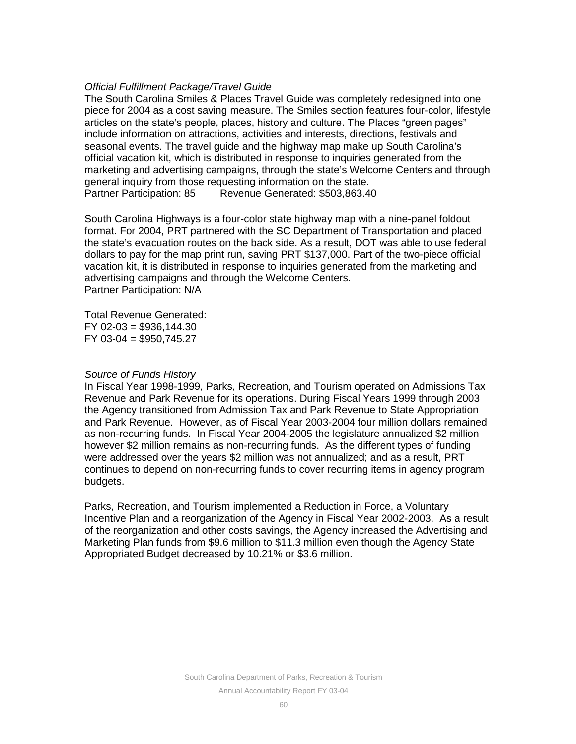## *Official Fulfillment Package/Travel Guide*

The South Carolina Smiles & Places Travel Guide was completely redesigned into one piece for 2004 as a cost saving measure. The Smiles section features four-color, lifestyle articles on the state's people, places, history and culture. The Places "green pages" include information on attractions, activities and interests, directions, festivals and seasonal events. The travel guide and the highway map make up South Carolina's official vacation kit, which is distributed in response to inquiries generated from the marketing and advertising campaigns, through the state's Welcome Centers and through general inquiry from those requesting information on the state. Partner Participation: 85 Revenue Generated: \$503,863.40

South Carolina Highways is a four-color state highway map with a nine-panel foldout format. For 2004, PRT partnered with the SC Department of Transportation and placed the state's evacuation routes on the back side. As a result, DOT was able to use federal dollars to pay for the map print run, saving PRT \$137,000. Part of the two-piece official vacation kit, it is distributed in response to inquiries generated from the marketing and advertising campaigns and through the Welcome Centers. Partner Participation: N/A

Total Revenue Generated: FY 02-03 = \$936,144.30 FY 03-04 = \$950,745.27

#### *Source of Funds History*

In Fiscal Year 1998-1999, Parks, Recreation, and Tourism operated on Admissions Tax Revenue and Park Revenue for its operations. During Fiscal Years 1999 through 2003 the Agency transitioned from Admission Tax and Park Revenue to State Appropriation and Park Revenue. However, as of Fiscal Year 2003-2004 four million dollars remained as non-recurring funds. In Fiscal Year 2004-2005 the legislature annualized \$2 million however \$2 million remains as non-recurring funds. As the different types of funding were addressed over the years \$2 million was not annualized; and as a result, PRT continues to depend on non-recurring funds to cover recurring items in agency program budgets.

Parks, Recreation, and Tourism implemented a Reduction in Force, a Voluntary Incentive Plan and a reorganization of the Agency in Fiscal Year 2002-2003. As a result of the reorganization and other costs savings, the Agency increased the Advertising and Marketing Plan funds from \$9.6 million to \$11.3 million even though the Agency State Appropriated Budget decreased by 10.21% or \$3.6 million.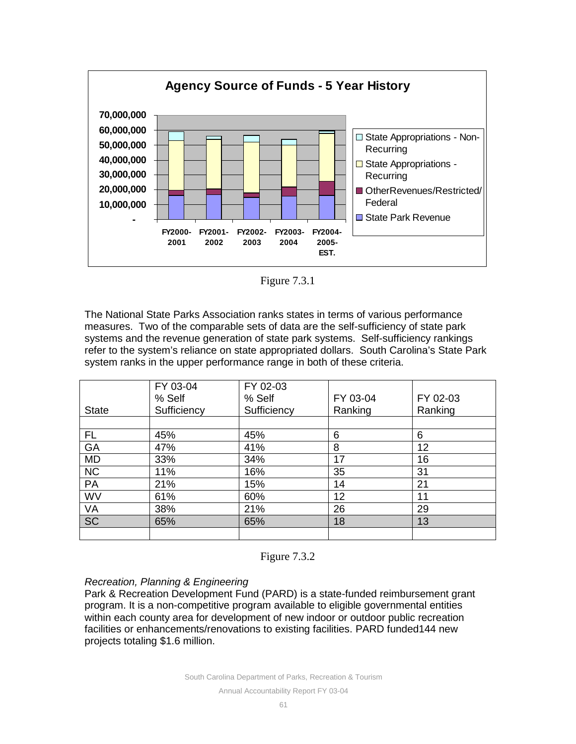

Figure 7.3.1

The National State Parks Association ranks states in terms of various performance measures. Two of the comparable sets of data are the self-sufficiency of state park systems and the revenue generation of state park systems. Self-sufficiency rankings refer to the system's reliance on state appropriated dollars. South Carolina's State Park system ranks in the upper performance range in both of these criteria.

|              | FY 03-04<br>% Self | FY 02-03<br>% Self | FY 03-04 | FY 02-03 |
|--------------|--------------------|--------------------|----------|----------|
| <b>State</b> | Sufficiency        | Sufficiency        | Ranking  | Ranking  |
|              |                    |                    |          |          |
| FL.          | 45%                | 45%                | 6        | 6        |
| GA           | 47%                | 41%                | 8        | 12       |
| MD           | 33%                | 34%                | 17       | 16       |
| <b>NC</b>    | 11%                | 16%                | 35       | 31       |
| PA           | 21%                | 15%                | 14       | 21       |
| WV           | 61%                | 60%                | 12       | 11       |
| VA           | 38%                | 21%                | 26       | 29       |
| <b>SC</b>    | 65%                | 65%                | 18       | 13       |
|              |                    |                    |          |          |



## *Recreation, Planning & Engineering*

Park & Recreation Development Fund (PARD) is a state-funded reimbursement grant program. It is a non-competitive program available to eligible governmental entities within each county area for development of new indoor or outdoor public recreation facilities or enhancements/renovations to existing facilities. PARD funded144 new projects totaling \$1.6 million.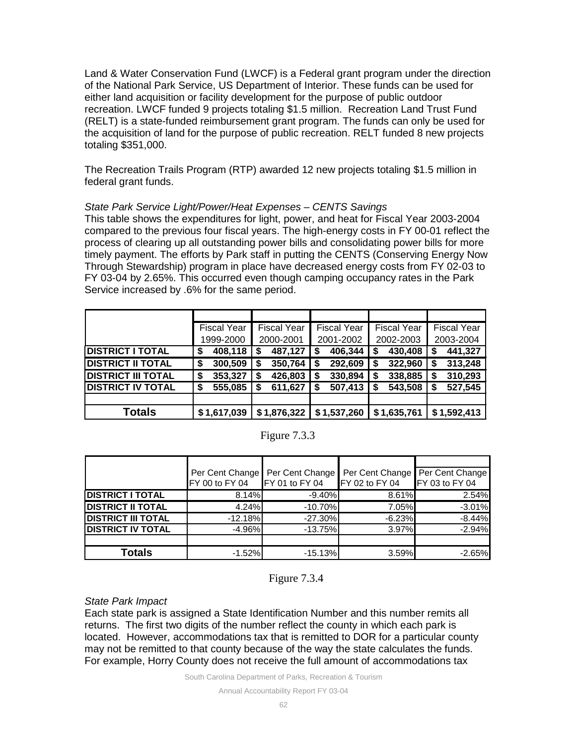Land & Water Conservation Fund (LWCF) is a Federal grant program under the direction of the National Park Service, US Department of Interior. These funds can be used for either land acquisition or facility development for the purpose of public outdoor recreation. LWCF funded 9 projects totaling \$1.5 million. Recreation Land Trust Fund (RELT) is a state-funded reimbursement grant program. The funds can only be used for the acquisition of land for the purpose of public recreation. RELT funded 8 new projects totaling \$351,000.

The Recreation Trails Program (RTP) awarded 12 new projects totaling \$1.5 million in federal grant funds.

## *State Park Service Light/Power/Heat Expenses – CENTS Savings*

This table shows the expenditures for light, power, and heat for Fiscal Year 2003-2004 compared to the previous four fiscal years. The high-energy costs in FY 00-01 reflect the process of clearing up all outstanding power bills and consolidating power bills for more timely payment. The efforts by Park staff in putting the CENTS (Conserving Energy Now Through Stewardship) program in place have decreased energy costs from FY 02-03 to FY 03-04 by 2.65%. This occurred even though camping occupancy rates in the Park Service increased by .6% for the same period.

|                           |   | <b>Fiscal Year</b> |   | <b>Fiscal Year</b> | <b>Fiscal Year</b> |   | <b>Fiscal Year</b> | <b>Fiscal Year</b> |
|---------------------------|---|--------------------|---|--------------------|--------------------|---|--------------------|--------------------|
|                           |   | 1999-2000          |   | 2000-2001          | 2001-2002          |   | 2002-2003          | 2003-2004          |
| <b>DISTRICT I TOTAL</b>   | S | 408,118            | S | 487,127            | 406,344            | S | 430,408            | 441,327            |
| <b>DISTRICT II TOTAL</b>  |   | 300,509            | S | 350,764            | 292,609            |   | 322,960            | 313,248            |
| <b>DISTRICT III TOTAL</b> |   | 353,327            | S | 426,803            | 330,894            |   | 338,885            | 310,293            |
| <b>DISTRICT IV TOTAL</b>  | S | 555,085            | S | 611,627            | 507,413            |   | 543,508            | 527,545            |
|                           |   |                    |   |                    |                    |   |                    |                    |
| Totals                    |   | \$1,617,039        |   | \$1,876,322        | \$1,537,260        |   | \$1,635,761        | \$1,592,413        |

## Figure 7.3.3

|                           | Per Cent Change<br>FY 00 to FY 04 | Per Cent Change<br>FY 01 to FY 04 | Per Cent Change<br>FY 02 to FY 04 | Per Cent Change<br>FY 03 to FY 04 |
|---------------------------|-----------------------------------|-----------------------------------|-----------------------------------|-----------------------------------|
| <b>DISTRICT I TOTAL</b>   | 8.14%                             | $-9.40\%$                         | 8.61%                             | 2.54%                             |
| <b>DISTRICT II TOTAL</b>  | 4.24%                             | $-10.70%$                         | 7.05%                             | $-3.01%$                          |
| <b>DISTRICT III TOTAL</b> | $-12.18%$                         | $-27.30\%$                        | $-6.23%$                          | $-8.44%$                          |
| <b>DISTRICT IV TOTAL</b>  | $-4.96\%$                         | $-13.75%$                         | 3.97%                             | $-2.94%$                          |
|                           |                                   |                                   |                                   |                                   |
| <b>Totals</b>             | $-1.52%$                          | $-15.13%$                         | 3.59%                             | $-2.65%$                          |

## Figure 7.3.4

## *State Park Impact*

Each state park is assigned a State Identification Number and this number remits all returns. The first two digits of the number reflect the county in which each park is located. However, accommodations tax that is remitted to DOR for a particular county may not be remitted to that county because of the way the state calculates the funds. For example, Horry County does not receive the full amount of accommodations tax

South Carolina Department of Parks, Recreation & Tourism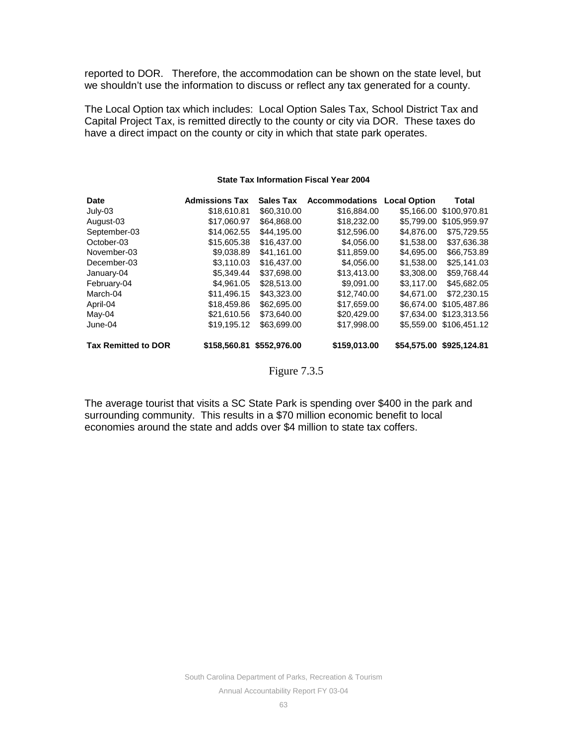reported to DOR. Therefore, the accommodation can be shown on the state level, but we shouldn't use the information to discuss or reflect any tax generated for a county.

The Local Option tax which includes: Local Option Sales Tax, School District Tax and Capital Project Tax, is remitted directly to the county or city via DOR. These taxes do have a direct impact on the county or city in which that state park operates.

## **Date Admissions Tax Sales Tax Accommodations Local Option Total** \$18,610.81 \$60,310.00 \$16,884.00 \$5,166.00 \$100,970.81 August-03 \$17,060.97 \$64,868.00 \$18,232.00 \$5,799.00 \$105,959.97 September-03 \$14,062.55 \$44,195.00 \$12,596.00 \$4,876.00<br>October-03 \$15,605.38 \$16,437.00 \$4,056.00 \$1,538.00  $$15,605.38$   $$16,437.00$   $$4,056.00$   $$1,538.00$   $$37,636.38$ <br> $$9,038.89$   $$41,161.00$   $$11,859.00$   $$4,695.00$   $$66,753.89$ November-03 \$9,038.89 \$41,161.00 \$11,859.00 \$4,695.00 \$66,753.89 December-03 \$3,110.03 \$16,437.00 \$4,056.00 \$1,538.00 \$25,141.03 January-04 \$5,349.44 \$37,698.00 \$13,413.00 \$3,308.00 \$59,768.44 February-04 \$4,961.05 \$28,513.00 \$9,091.00 \$3,117.00 \$45,682.05 March-04 \$11,496.15 \$43,323.00 \$12,740.00 \$4,671.00 \$72,230.15<br>April-04 \$18,459.86 \$62,695.00 \$17,659.00 \$6,674.00 \$105,487.86 \$18,459.86 \$62,695.00 \$17,659.00 \$6,674.00 \$105,487.86 May-04  $$21,610.56$  \$73,640.00 \$20,429.00 \$7,634.00 \$123,313.56 June-04 \$19,195.12 \$63,699.00 \$17,998.00 \$5,559.00 \$106,451.12 **Tax Remitted to DOR \$158,560.81 \$552,976.00 \$159,013.00 \$54,575.00 \$925,124.81**

## **State Tax Information Fiscal Year 2004**

Figure 7.3.5

The average tourist that visits a SC State Park is spending over \$400 in the park and surrounding community. This results in a \$70 million economic benefit to local economies around the state and adds over \$4 million to state tax coffers.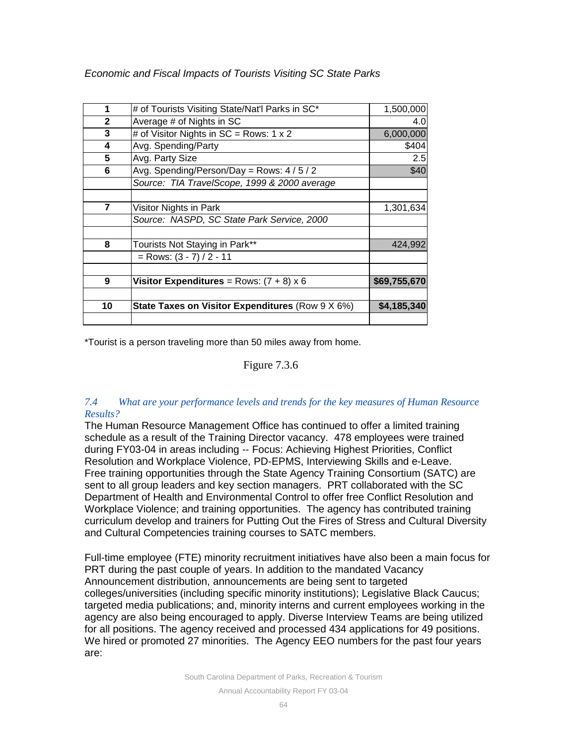|                                                  | 1,500,000                                       |
|--------------------------------------------------|-------------------------------------------------|
| Average # of Nights in SC                        | 4.0                                             |
| # of Visitor Nights in $SC = Rows: 1 \times 2$   | 6,000,000                                       |
| Avg. Spending/Party                              | \$404                                           |
| Avg. Party Size                                  | 2.5                                             |
| Avg. Spending/Person/Day = Rows: 4/5/2           | \$40                                            |
| Source: TIA TravelScope, 1999 & 2000 average     |                                                 |
| Visitor Nights in Park                           | 1,301,634                                       |
| Source: NASPD, SC State Park Service, 2000       |                                                 |
| Tourists Not Staying in Park**                   | 424,992                                         |
| $=$ Rows: $(3 - 7) / 2 - 11$                     |                                                 |
| Visitor Expenditures = $Rows: (7 + 8) \times 6$  | \$69,755,670                                    |
| State Taxes on Visitor Expenditures (Row 9 X 6%) | \$4,185,340                                     |
|                                                  |                                                 |
|                                                  | # of Tourists Visiting State/Nat'l Parks in SC* |

*Economic and Fiscal Impacts of Tourists Visiting SC State Parks*

\*Tourist is a person traveling more than 50 miles away from home.

## Figure 7.3.6

## *7.4 What are your performance levels and trends for the key measures of Human Resource Results?*

The Human Resource Management Office has continued to offer a limited training schedule as a result of the Training Director vacancy. 478 employees were trained during FY03-04 in areas including -- Focus: Achieving Highest Priorities, Conflict Resolution and Workplace Violence, PD-EPMS, Interviewing Skills and e-Leave. Free training opportunities through the State Agency Training Consortium (SATC) are sent to all group leaders and key section managers. PRT collaborated with the SC Department of Health and Environmental Control to offer free Conflict Resolution and Workplace Violence; and training opportunities. The agency has contributed training curriculum develop and trainers for Putting Out the Fires of Stress and Cultural Diversity and Cultural Competencies training courses to SATC members.

Full-time employee (FTE) minority recruitment initiatives have also been a main focus for PRT during the past couple of years. In addition to the mandated Vacancy Announcement distribution, announcements are being sent to targeted colleges/universities (including specific minority institutions); Legislative Black Caucus; targeted media publications; and, minority interns and current employees working in the agency are also being encouraged to apply. Diverse Interview Teams are being utilized for all positions. The agency received and processed 434 applications for 49 positions. We hired or promoted 27 minorities. The Agency EEO numbers for the past four years are:

South Carolina Department of Parks, Recreation & Tourism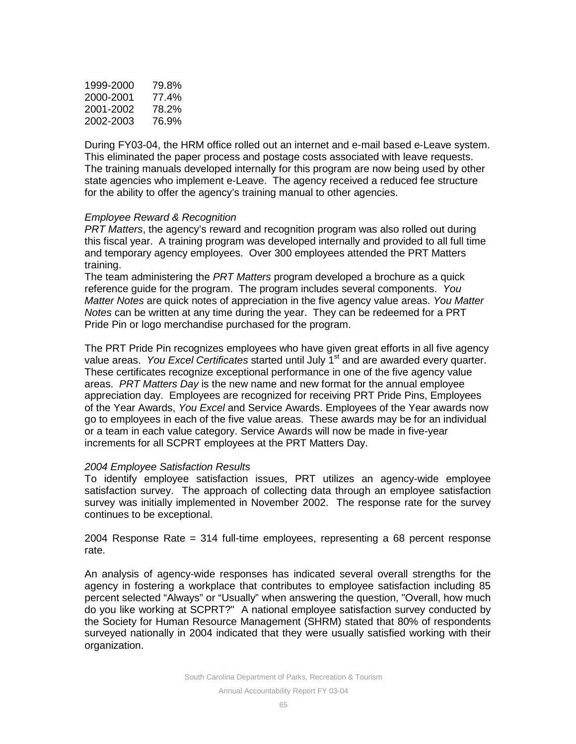| 1999-2000 | 79.8% |
|-----------|-------|
| 2000-2001 | 77.4% |
| 2001-2002 | 78.2% |
| 2002-2003 | 76.9% |

During FY03-04, the HRM office rolled out an internet and e-mail based e-Leave system. This eliminated the paper process and postage costs associated with leave requests. The training manuals developed internally for this program are now being used by other state agencies who implement e-Leave. The agency received a reduced fee structure for the ability to offer the agency's training manual to other agencies.

## *Employee Reward & Recognition*

*PRT Matters*, the agency's reward and recognition program was also rolled out during this fiscal year. A training program was developed internally and provided to all full time and temporary agency employees. Over 300 employees attended the PRT Matters training.

The team administering the *PRT Matters* program developed a brochure as a quick reference guide for the program. The program includes several components. *You Matter Notes* are quick notes of appreciation in the five agency value areas. *You Matter Notes* can be written at any time during the year. They can be redeemed for a PRT Pride Pin or logo merchandise purchased for the program.

The PRT Pride Pin recognizes employees who have given great efforts in all five agency value areas. *You Excel Certificates* started until July 1<sup>st</sup> and are awarded every quarter. These certificates recognize exceptional performance in one of the five agency value areas. *PRT Matters Day* is the new name and new format for the annual employee appreciation day. Employees are recognized for receiving PRT Pride Pins, Employees of the Year Awards, *You Excel* and Service Awards. Employees of the Year awards now go to employees in each of the five value areas. These awards may be for an individual or a team in each value category. Service Awards will now be made in five-year increments for all SCPRT employees at the PRT Matters Day.

## *2004 Employee Satisfaction Results*

To identify employee satisfaction issues, PRT utilizes an agency-wide employee satisfaction survey. The approach of collecting data through an employee satisfaction survey was initially implemented in November 2002. The response rate for the survey continues to be exceptional.

2004 Response Rate = 314 full-time employees, representing a 68 percent response rate.

An analysis of agency-wide responses has indicated several overall strengths for the agency in fostering a workplace that contributes to employee satisfaction including 85 percent selected "Always" or "Usually" when answering the question, "Overall, how much do you like working at SCPRT?" A national employee satisfaction survey conducted by the Society for Human Resource Management (SHRM) stated that 80% of respondents surveyed nationally in 2004 indicated that they were usually satisfied working with their organization.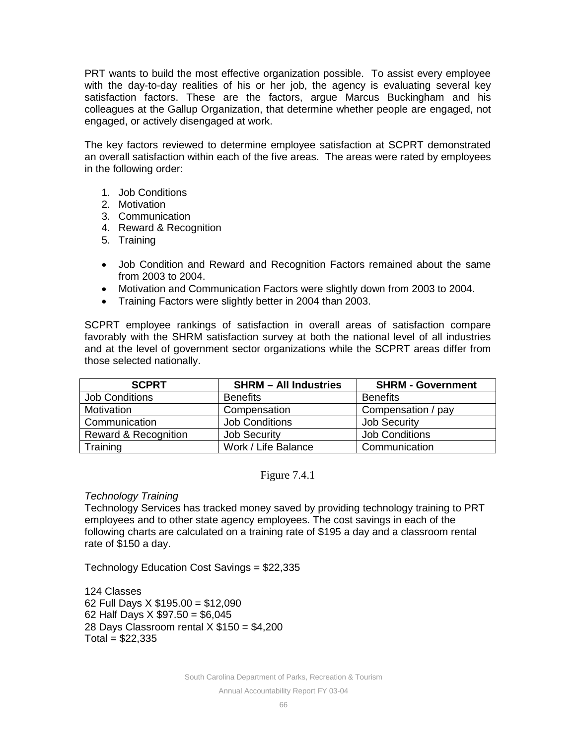PRT wants to build the most effective organization possible. To assist every employee with the day-to-day realities of his or her job, the agency is evaluating several key satisfaction factors. These are the factors, argue Marcus Buckingham and his colleagues at the Gallup Organization, that determine whether people are engaged, not engaged, or actively disengaged at work.

The key factors reviewed to determine employee satisfaction at SCPRT demonstrated an overall satisfaction within each of the five areas. The areas were rated by employees in the following order:

- 1. Job Conditions
- 2. Motivation
- 3. Communication
- 4. Reward & Recognition
- 5. Training
- Job Condition and Reward and Recognition Factors remained about the same from 2003 to 2004.
- Motivation and Communication Factors were slightly down from 2003 to 2004.
- Training Factors were slightly better in 2004 than 2003.

SCPRT employee rankings of satisfaction in overall areas of satisfaction compare favorably with the SHRM satisfaction survey at both the national level of all industries and at the level of government sector organizations while the SCPRT areas differ from those selected nationally.

| <b>SCPRT</b>                    | <b>SHRM - All Industries</b> | <b>SHRM - Government</b> |
|---------------------------------|------------------------------|--------------------------|
| <b>Job Conditions</b>           | <b>Benefits</b>              | <b>Benefits</b>          |
| Motivation                      | Compensation                 | Compensation / pay       |
| Communication                   | <b>Job Conditions</b>        | <b>Job Security</b>      |
| <b>Reward &amp; Recognition</b> | <b>Job Security</b>          | <b>Job Conditions</b>    |
| Training                        | Work / Life Balance          | Communication            |

Figure 7.4.1

## *Technology Training*

Technology Services has tracked money saved by providing technology training to PRT employees and to other state agency employees. The cost savings in each of the following charts are calculated on a training rate of \$195 a day and a classroom rental rate of \$150 a day.

Technology Education Cost Savings = \$22,335

124 Classes 62 Full Days X \$195.00 = \$12,090 62 Half Days X \$97.50 = \$6,045 28 Days Classroom rental  $X $150 = $4,200$  $Total = $22,335$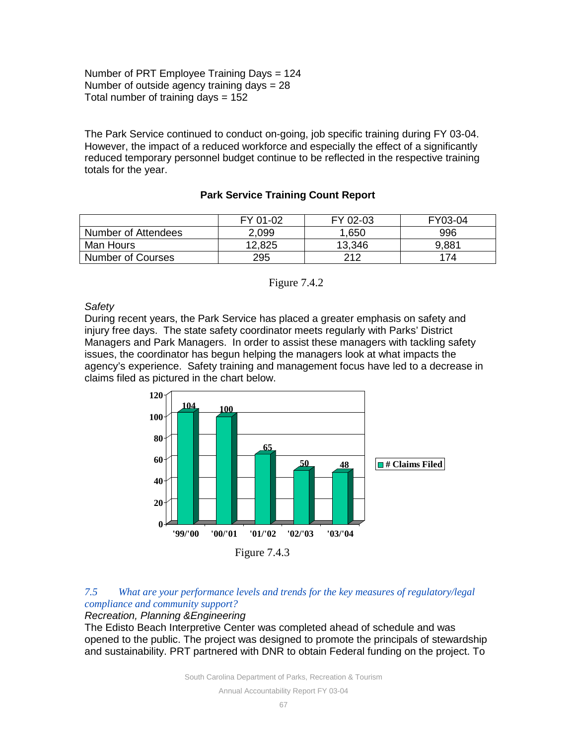Number of PRT Employee Training Days = 124 Number of outside agency training days = 28 Total number of training days  $= 152$ 

The Park Service continued to conduct on-going, job specific training during FY 03-04. However, the impact of a reduced workforce and especially the effect of a significantly reduced temporary personnel budget continue to be reflected in the respective training totals for the year.

## **Park Service Training Count Report**

|                          | FY 01-02 | FY 02-03 | FY03-04 |
|--------------------------|----------|----------|---------|
| Number of Attendees      | 2,099    | 1,650    | 996     |
| Man Hours                | 12,825   | 13,346   | 9,881   |
| <b>Number of Courses</b> | 295      | 212      | 174     |



## *Safety*

During recent years, the Park Service has placed a greater emphasis on safety and injury free days. The state safety coordinator meets regularly with Parks' District Managers and Park Managers. In order to assist these managers with tackling safety issues, the coordinator has begun helping the managers look at what impacts the agency's experience. Safety training and management focus have led to a decrease in claims filed as pictured in the chart below.



## *7.5 What are your performance levels and trends for the key measures of regulatory/legal compliance and community support?*

## *Recreation, Planning &Engineering*

The Edisto Beach Interpretive Center was completed ahead of schedule and was opened to the public. The project was designed to promote the principals of stewardship and sustainability. PRT partnered with DNR to obtain Federal funding on the project. To

South Carolina Department of Parks, Recreation & Tourism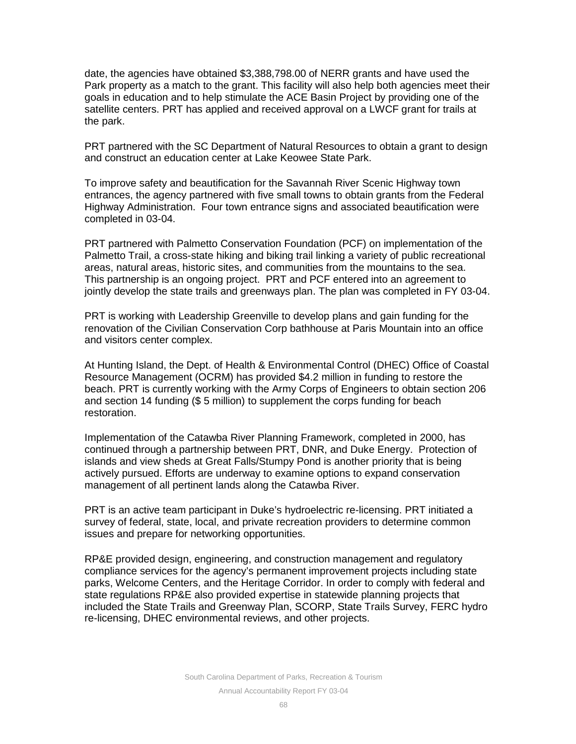date, the agencies have obtained \$3,388,798.00 of NERR grants and have used the Park property as a match to the grant. This facility will also help both agencies meet their goals in education and to help stimulate the ACE Basin Project by providing one of the satellite centers. PRT has applied and received approval on a LWCF grant for trails at the park.

PRT partnered with the SC Department of Natural Resources to obtain a grant to design and construct an education center at Lake Keowee State Park.

To improve safety and beautification for the Savannah River Scenic Highway town entrances, the agency partnered with five small towns to obtain grants from the Federal Highway Administration. Four town entrance signs and associated beautification were completed in 03-04.

PRT partnered with Palmetto Conservation Foundation (PCF) on implementation of the Palmetto Trail, a cross-state hiking and biking trail linking a variety of public recreational areas, natural areas, historic sites, and communities from the mountains to the sea. This partnership is an ongoing project. PRT and PCF entered into an agreement to jointly develop the state trails and greenways plan. The plan was completed in FY 03-04.

PRT is working with Leadership Greenville to develop plans and gain funding for the renovation of the Civilian Conservation Corp bathhouse at Paris Mountain into an office and visitors center complex.

At Hunting Island, the Dept. of Health & Environmental Control (DHEC) Office of Coastal Resource Management (OCRM) has provided \$4.2 million in funding to restore the beach. PRT is currently working with the Army Corps of Engineers to obtain section 206 and section 14 funding (\$ 5 million) to supplement the corps funding for beach restoration.

Implementation of the Catawba River Planning Framework, completed in 2000, has continued through a partnership between PRT, DNR, and Duke Energy. Protection of islands and view sheds at Great Falls/Stumpy Pond is another priority that is being actively pursued. Efforts are underway to examine options to expand conservation management of all pertinent lands along the Catawba River.

PRT is an active team participant in Duke's hydroelectric re-licensing. PRT initiated a survey of federal, state, local, and private recreation providers to determine common issues and prepare for networking opportunities.

RP&E provided design, engineering, and construction management and regulatory compliance services for the agency's permanent improvement projects including state parks, Welcome Centers, and the Heritage Corridor. In order to comply with federal and state regulations RP&E also provided expertise in statewide planning projects that included the State Trails and Greenway Plan, SCORP, State Trails Survey, FERC hydro re-licensing, DHEC environmental reviews, and other projects.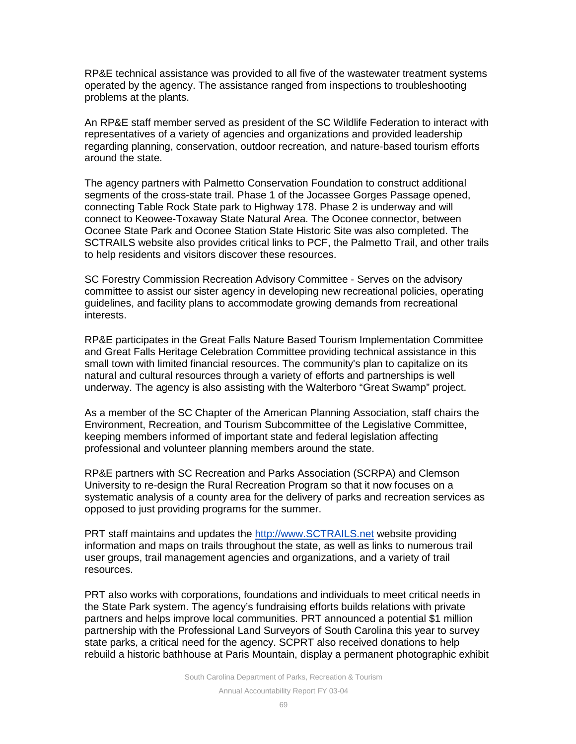RP&E technical assistance was provided to all five of the wastewater treatment systems operated by the agency. The assistance ranged from inspections to troubleshooting problems at the plants.

An RP&E staff member served as president of the SC Wildlife Federation to interact with representatives of a variety of agencies and organizations and provided leadership regarding planning, conservation, outdoor recreation, and nature-based tourism efforts around the state.

The agency partners with Palmetto Conservation Foundation to construct additional segments of the cross-state trail. Phase 1 of the Jocassee Gorges Passage opened, connecting Table Rock State park to Highway 178. Phase 2 is underway and will connect to Keowee-Toxaway State Natural Area. The Oconee connector, between Oconee State Park and Oconee Station State Historic Site was also completed. The SCTRAILS website also provides critical links to PCF, the Palmetto Trail, and other trails to help residents and visitors discover these resources.

SC Forestry Commission Recreation Advisory Committee - Serves on the advisory committee to assist our sister agency in developing new recreational policies, operating guidelines, and facility plans to accommodate growing demands from recreational interests.

RP&E participates in the Great Falls Nature Based Tourism Implementation Committee and Great Falls Heritage Celebration Committee providing technical assistance in this small town with limited financial resources. The community's plan to capitalize on its natural and cultural resources through a variety of efforts and partnerships is well underway. The agency is also assisting with the Walterboro "Great Swamp" project.

As a member of the SC Chapter of the American Planning Association, staff chairs the Environment, Recreation, and Tourism Subcommittee of the Legislative Committee, keeping members informed of important state and federal legislation affecting professional and volunteer planning members around the state.

RP&E partners with SC Recreation and Parks Association (SCRPA) and Clemson University to re-design the Rural Recreation Program so that it now focuses on a systematic analysis of a county area for the delivery of parks and recreation services as opposed to just providing programs for the summer.

PRT staff maintains and updates the http://www.SCTRAILS.net website providing information and maps on trails throughout the state, as well as links to numerous trail user groups, trail management agencies and organizations, and a variety of trail resources.

PRT also works with corporations, foundations and individuals to meet critical needs in the State Park system. The agency's fundraising efforts builds relations with private partners and helps improve local communities. PRT announced a potential \$1 million partnership with the Professional Land Surveyors of South Carolina this year to survey state parks, a critical need for the agency. SCPRT also received donations to help rebuild a historic bathhouse at Paris Mountain, display a permanent photographic exhibit